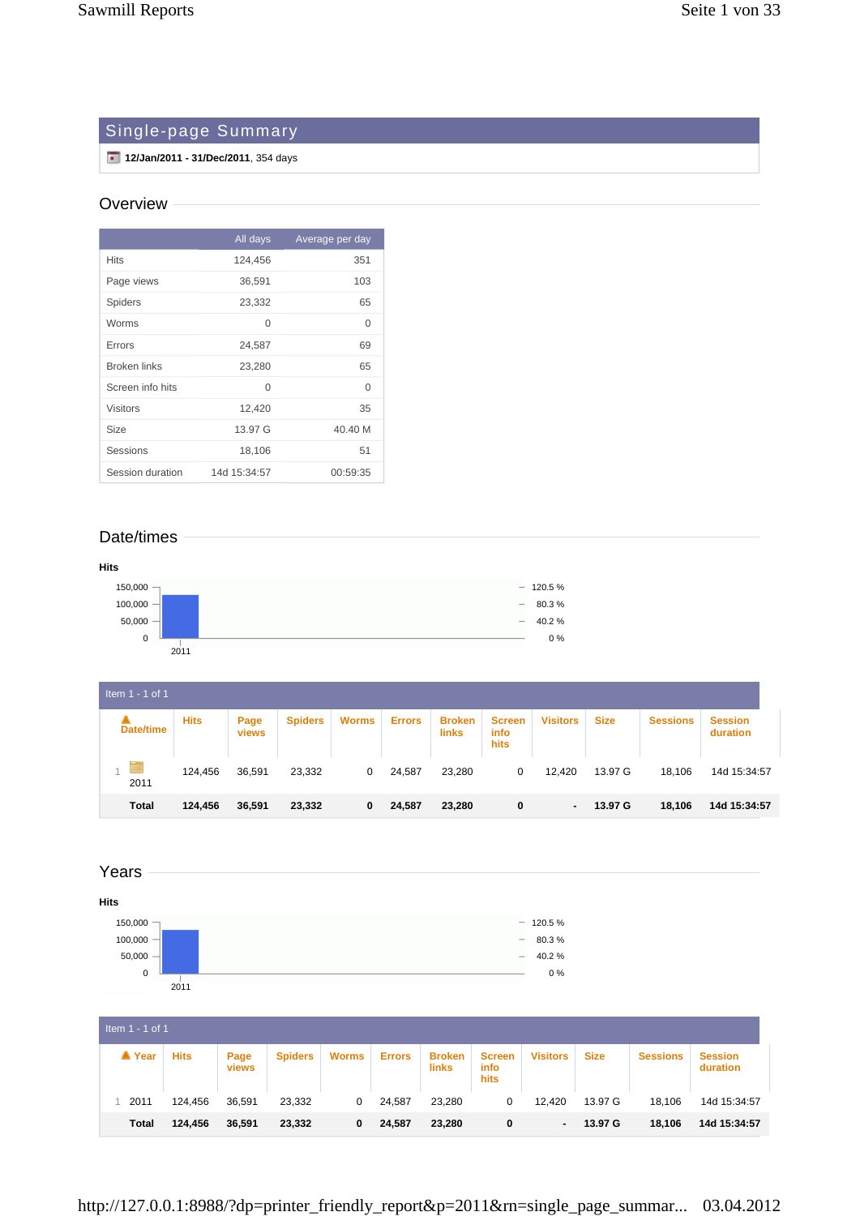# Single-page Summary

**12/Jan/2011 - 31/Dec/2011**, 354 days

#### **Overview**

|                     | All days     | Average per day |
|---------------------|--------------|-----------------|
| <b>Hits</b>         | 124,456      | 351             |
| Page views          | 36,591       | 103             |
| Spiders             | 23,332       | 65              |
| Worms               | 0            | $\Omega$        |
| Errors              | 24,587       | 69              |
| <b>Broken links</b> | 23,280       | 65              |
| Screen info hits    | 0            | $\Omega$        |
| <b>Visitors</b>     | 12,420       | 35              |
| Size                | 13.97 G      | 40.40 M         |
| Sessions            | 18,106       | 51              |
| Session duration    | 14d 15:34:57 | 00:59:35        |

# Date/times



| Item $1 - 1$ of 1 |             |                      |                |              |               |                        |                               |                 |             |                 |                            |  |  |
|-------------------|-------------|----------------------|----------------|--------------|---------------|------------------------|-------------------------------|-----------------|-------------|-----------------|----------------------------|--|--|
| <b>Date/time</b>  | <b>Hits</b> | Page<br><b>views</b> | <b>Spiders</b> | <b>Worms</b> | <b>Errors</b> | <b>Broken</b><br>links | <b>Screen</b><br>info<br>hits | <b>Visitors</b> | <b>Size</b> | <b>Sessions</b> | <b>Session</b><br>duration |  |  |
| 2011              | 124,456     | 36,591               | 23,332         | 0            | 24,587        | 23,280                 | 0                             | 12,420          | 13.97 G     | 18,106          | 14d 15:34:57               |  |  |
| <b>Total</b>      | 124,456     | 36,591               | 23,332         | 0            | 24,587        | 23,280                 | 0                             | $\blacksquare$  | 13.97 G     | 18,106          | 14d 15:34:57               |  |  |



| Item $1 - 1$ of 1 |             |               |                |              |               |                        |                               |                 |             |                 |                            |
|-------------------|-------------|---------------|----------------|--------------|---------------|------------------------|-------------------------------|-----------------|-------------|-----------------|----------------------------|
| ▲ Year            | <b>Hits</b> | Page<br>views | <b>Spiders</b> | <b>Worms</b> | <b>Errors</b> | <b>Broken</b><br>links | <b>Screen</b><br>info<br>hits | <b>Visitors</b> | <b>Size</b> | <b>Sessions</b> | <b>Session</b><br>duration |
| 2011              | 124.456     | 36.591        | 23,332         | 0            | 24,587        | 23,280                 | 0                             | 12,420          | 13.97 G     | 18,106          | 14d 15:34:57               |
| Total             | 124,456     | 36,591        | 23,332         | 0            | 24,587        | 23,280                 | 0                             | ٠               | 13.97 G     | 18,106          | 14d 15:34:57               |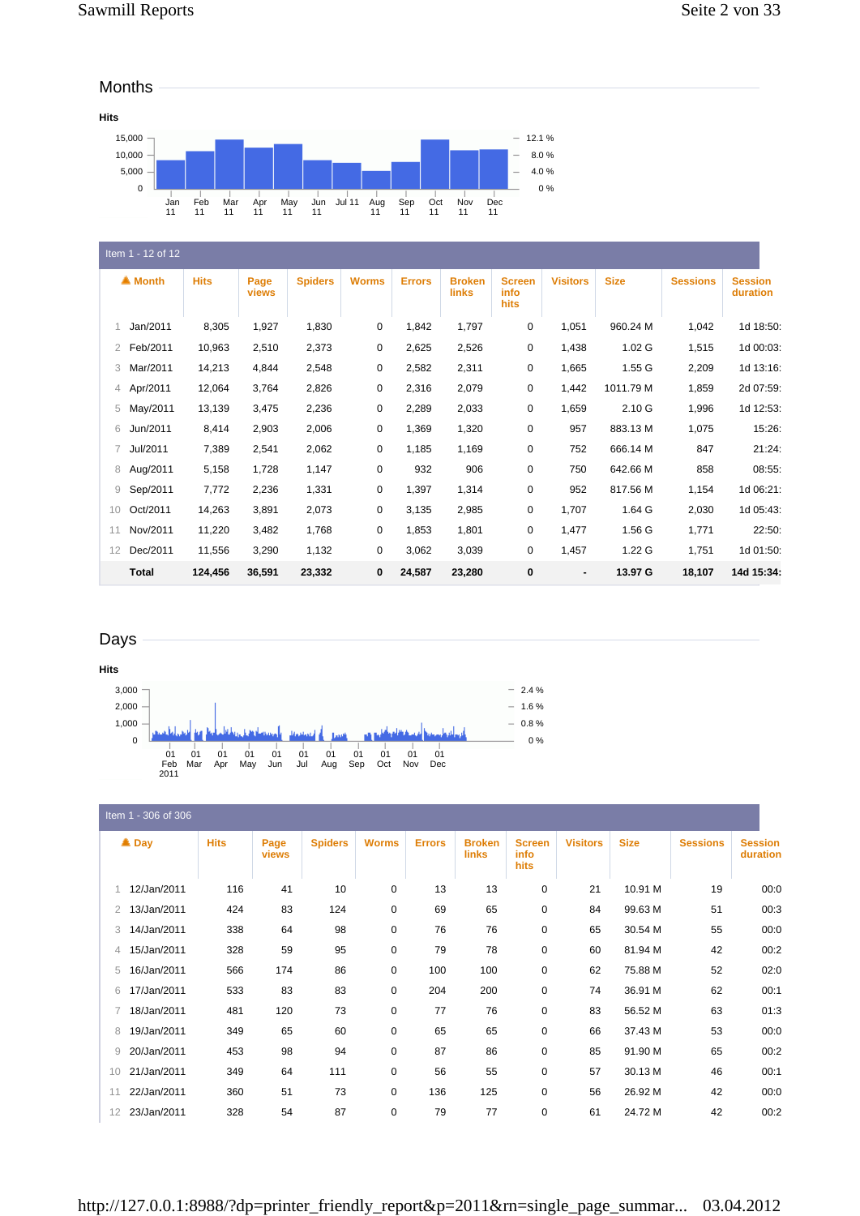#### Months



|    | Item 1 - 12 of 12 |             |               |                |              |               |                               |                               |                 |                   |                 |                            |  |  |
|----|-------------------|-------------|---------------|----------------|--------------|---------------|-------------------------------|-------------------------------|-----------------|-------------------|-----------------|----------------------------|--|--|
|    | ▲ Month           | <b>Hits</b> | Page<br>views | <b>Spiders</b> | <b>Worms</b> | <b>Errors</b> | <b>Broken</b><br><b>links</b> | <b>Screen</b><br>info<br>hits | <b>Visitors</b> | <b>Size</b>       | <b>Sessions</b> | <b>Session</b><br>duration |  |  |
| 1. | Jan/2011          | 8,305       | 1,927         | 1,830          | 0            | 1,842         | 1,797                         | 0                             | 1,051           | 960.24 M          | 1,042           | 1d 18:50:                  |  |  |
| 2  | Feb/2011          | 10,963      | 2,510         | 2,373          | 0            | 2,625         | 2,526                         | $\mathbf 0$                   | 1,438           | 1.02 <sub>G</sub> | 1,515           | 1d 00:03:                  |  |  |
| 3  | Mar/2011          | 14,213      | 4,844         | 2,548          | 0            | 2,582         | 2,311                         | 0                             | 1,665           | 1.55 G            | 2,209           | 1d 13:16:                  |  |  |
| 4  | Apr/2011          | 12,064      | 3,764         | 2,826          | 0            | 2,316         | 2,079                         | 0                             | 1,442           | 1011.79 M         | 1,859           | 2d 07:59:                  |  |  |
| 5  | May/2011          | 13,139      | 3,475         | 2,236          | 0            | 2,289         | 2,033                         | 0                             | 1,659           | 2.10G             | 1,996           | 1d 12:53:                  |  |  |
| 6  | Jun/2011          | 8,414       | 2,903         | 2,006          | 0            | 1,369         | 1,320                         | 0                             | 957             | 883.13 M          | 1,075           | 15:26:                     |  |  |
| 7  | Jul/2011          | 7,389       | 2,541         | 2,062          | 0            | 1,185         | 1,169                         | 0                             | 752             | 666.14 M          | 847             | 21:24:                     |  |  |
| 8  | Aug/2011          | 5,158       | 1,728         | 1,147          | $\mathbf 0$  | 932           | 906                           | 0                             | 750             | 642.66 M          | 858             | 08:55:                     |  |  |
| 9  | Sep/2011          | 7,772       | 2,236         | 1,331          | 0            | 1,397         | 1,314                         | 0                             | 952             | 817.56 M          | 1,154           | 1d 06:21:                  |  |  |
| 10 | Oct/2011          | 14,263      | 3,891         | 2,073          | 0            | 3,135         | 2,985                         | 0                             | 1,707           | 1.64 G            | 2,030           | 1d 05:43:                  |  |  |
| 11 | Nov/2011          | 11,220      | 3,482         | 1,768          | 0            | 1,853         | 1,801                         | 0                             | 1,477           | 1.56 G            | 1,771           | 22:50:                     |  |  |
| 12 | Dec/2011          | 11,556      | 3,290         | 1,132          | 0            | 3,062         | 3,039                         | 0                             | 1,457           | 1.22 G            | 1,751           | 1d 01:50:                  |  |  |
|    | <b>Total</b>      | 124,456     | 36,591        | 23,332         | $\mathbf 0$  | 24,587        | 23,280                        | 0                             | ٠               | 13.97 G           | 18,107          | 14d 15:34:                 |  |  |

#### Days



Item 1 - 306 of 306

|                 | $\triangle$ Day | <b>Hits</b> | Page<br>views | <b>Spiders</b> | <b>Worms</b> | <b>Errors</b> | <b>Broken</b><br>links | <b>Screen</b><br>info<br>hits | <b>Visitors</b> | <b>Size</b> | <b>Sessions</b> | <b>Session</b><br>duration |
|-----------------|-----------------|-------------|---------------|----------------|--------------|---------------|------------------------|-------------------------------|-----------------|-------------|-----------------|----------------------------|
|                 | 12/Jan/2011     | 116         | 41            | 10             | 0            | 13            | 13                     | $\mathbf 0$                   | 21              | 10.91 M     | 19              | 00:0                       |
| 2               | 13/Jan/2011     | 424         | 83            | 124            | $\mathbf 0$  | 69            | 65                     | $\mathbf 0$                   | 84              | 99.63 M     | 51              | 00:3                       |
| 3               | 14/Jan/2011     | 338         | 64            | 98             | $\mathbf 0$  | 76            | 76                     | $\mathbf 0$                   | 65              | 30.54 M     | 55              | 00:0                       |
| 4               | 15/Jan/2011     | 328         | 59            | 95             | $\mathbf 0$  | 79            | 78                     | $\mathbf 0$                   | 60              | 81.94 M     | 42              | 00:2                       |
| 5               | 16/Jan/2011     | 566         | 174           | 86             | $\mathbf 0$  | 100           | 100                    | $\mathbf 0$                   | 62              | 75.88 M     | 52              | 02:0                       |
| 6               | 17/Jan/2011     | 533         | 83            | 83             | $\mathbf 0$  | 204           | 200                    | $\mathbf 0$                   | 74              | 36.91 M     | 62              | 00:1                       |
|                 | 18/Jan/2011     | 481         | 120           | 73             | $\mathbf 0$  | 77            | 76                     | $\mathbf 0$                   | 83              | 56.52 M     | 63              | 01:3                       |
| 8               | 19/Jan/2011     | 349         | 65            | 60             | $\mathbf 0$  | 65            | 65                     | $\mathbf 0$                   | 66              | 37.43 M     | 53              | 00:0                       |
| 9               | 20/Jan/2011     | 453         | 98            | 94             | $\mathbf 0$  | 87            | 86                     | $\mathbf 0$                   | 85              | 91.90 M     | 65              | 00:2                       |
| 10 <sup>1</sup> | 21/Jan/2011     | 349         | 64            | 111            | $\mathbf 0$  | 56            | 55                     | $\mathbf 0$                   | 57              | 30.13 M     | 46              | 00:1                       |
| 11              | 22/Jan/2011     | 360         | 51            | 73             | $\mathbf 0$  | 136           | 125                    | 0                             | 56              | 26.92 M     | 42              | 00:0                       |
| 12              | 23/Jan/2011     | 328         | 54            | 87             | 0            | 79            | 77                     | $\mathbf 0$                   | 61              | 24.72 M     | 42              | 00:2                       |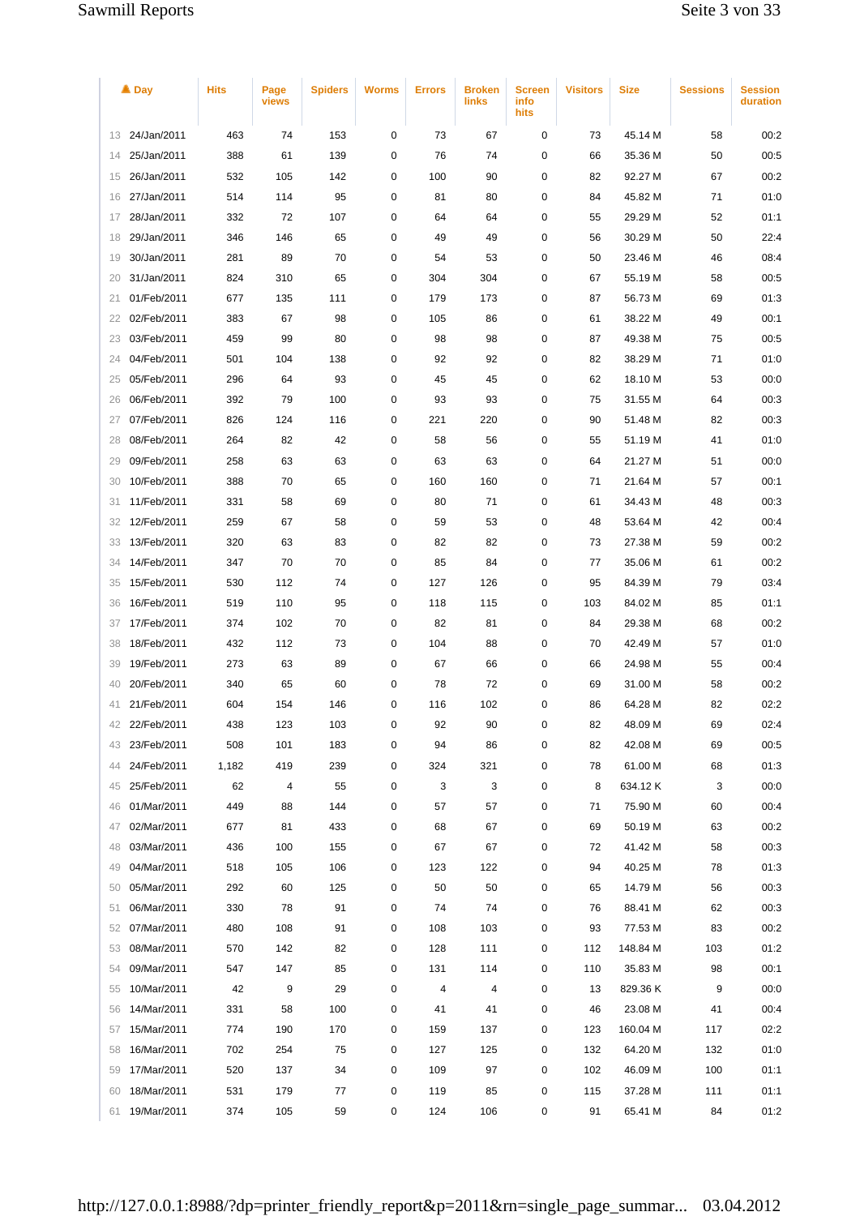| $\triangle$ Day   | <b>Hits</b> | Page<br>views | <b>Spiders</b> | <b>Worms</b> | <b>Errors</b> | <b>Broken</b><br><b>links</b> | Screen<br>info<br>hits | <b>Visitors</b> | <b>Size</b> | <b>Sessions</b> | <b>Session</b><br>duration |
|-------------------|-------------|---------------|----------------|--------------|---------------|-------------------------------|------------------------|-----------------|-------------|-----------------|----------------------------|
| 24/Jan/2011<br>13 | 463         | 74            | 153            | 0            | 73            | 67                            | 0                      | 73              | 45.14 M     | 58              | 00:2                       |
| 25/Jan/2011<br>14 | 388         | 61            | 139            | 0            | 76            | 74                            | 0                      | 66              | 35.36 M     | 50              | 00:5                       |
| 26/Jan/2011<br>15 | 532         | 105           | 142            | 0            | 100           | 90                            | 0                      | 82              | 92.27 M     | 67              | 00:2                       |
| 27/Jan/2011<br>16 | 514         | 114           | 95             | 0            | 81            | 80                            | 0                      | 84              | 45.82 M     | 71              | 01:0                       |
| 28/Jan/2011<br>17 | 332         | 72            | 107            | 0            | 64            | 64                            | 0                      | 55              | 29.29 M     | 52              | 01:1                       |
| 29/Jan/2011<br>18 | 346         | 146           | 65             | 0            | 49            | 49                            | 0                      | 56              | 30.29 M     | 50              | 22:4                       |
| 30/Jan/2011<br>19 | 281         | 89            | 70             | 0            | 54            | 53                            | 0                      | 50              | 23.46 M     | 46              | 08:4                       |
| 31/Jan/2011<br>20 | 824         | 310           | 65             | 0            | 304           | 304                           | 0                      | 67              | 55.19 M     | 58              | 00:5                       |
| 01/Feb/2011<br>21 | 677         | 135           | 111            | 0            | 179           | 173                           | 0                      | 87              | 56.73 M     | 69              | 01:3                       |
| 02/Feb/2011<br>22 | 383         | 67            | 98             | 0            | 105           | 86                            | 0                      | 61              | 38.22 M     | 49              | 00:1                       |
| 03/Feb/2011<br>23 | 459         | 99            | 80             | 0            | 98            | 98                            | 0                      | 87              | 49.38 M     | 75              | 00:5                       |
| 04/Feb/2011<br>24 | 501         | 104           | 138            | 0            | 92            | 92                            | 0                      | 82              | 38.29 M     | 71              | 01:0                       |
| 05/Feb/2011<br>25 | 296         | 64            | 93             | 0            | 45            | 45                            | 0                      | 62              | 18.10 M     | 53              | 00:0                       |
| 06/Feb/2011<br>26 | 392         | 79            | 100            | 0            | 93            | 93                            | 0                      | 75              | 31.55 M     | 64              | 00:3                       |
| 07/Feb/2011<br>27 | 826         | 124           | 116            | 0            | 221           | 220                           | 0                      | 90              | 51.48 M     | 82              | 00:3                       |
| 08/Feb/2011<br>28 | 264         | 82            | 42             | 0            | 58            | 56                            | 0                      | 55              | 51.19 M     | 41              | 01:0                       |
| 09/Feb/2011<br>29 | 258         | 63            | 63             | 0            | 63            | 63                            | 0                      | 64              | 21.27 M     | 51              | 00:0                       |
| 10/Feb/2011<br>30 | 388         | 70            | 65             | 0            | 160           | 160                           | 0                      | 71              | 21.64 M     | 57              | 00:1                       |
| 11/Feb/2011<br>31 | 331         | 58            | 69             | 0            | 80            | 71                            | 0                      | 61              | 34.43 M     | 48              | 00:3                       |
| 12/Feb/2011<br>32 | 259         | 67            | 58             | 0            | 59            | 53                            | 0                      | 48              | 53.64 M     | 42              | 00:4                       |
| 13/Feb/2011<br>33 | 320         | 63            | 83             | 0            | 82            | 82                            | 0                      | 73              | 27.38 M     | 59              | 00:2                       |
| 14/Feb/2011<br>34 | 347         | 70            | 70             | 0            | 85            | 84                            | 0                      | 77              | 35.06 M     | 61              | 00:2                       |
| 15/Feb/2011<br>35 | 530         | 112           | 74             | 0            | 127           | 126                           | 0                      | 95              | 84.39 M     | 79              | 03:4                       |
| 16/Feb/2011<br>36 | 519         | 110           | 95             | 0            | 118           | 115                           | 0                      | 103             | 84.02 M     | 85              | 01:1                       |
| 17/Feb/2011<br>37 | 374         | 102           | 70             | 0            | 82            | 81                            | 0                      | 84              | 29.38 M     | 68              | 00:2                       |
| 18/Feb/2011<br>38 | 432         | 112           | 73             | 0            | 104           | 88                            | 0                      | 70              | 42.49 M     | 57              | 01:0                       |
| 19/Feb/2011<br>39 | 273         | 63            | 89             | 0            | 67            | 66                            | 0                      | 66              | 24.98 M     | 55              | 00:4                       |
| 20/Feb/2011<br>40 | 340         | 65            | 60             | 0            | 78            | 72                            | 0                      | 69              | 31.00 M     | 58              | 00:2                       |
| 21/Feb/2011<br>41 | 604         | 154           | 146            | 0            | 116           | 102                           | 0                      | 86              | 64.28 M     | 82              | 02:2                       |
| 22/Feb/2011<br>42 | 438         | 123           | 103            | 0            | 92            | 90                            | 0                      | 82              | 48.09 M     | 69              | 02:4                       |
| 23/Feb/2011<br>43 | 508         | 101           | 183            | 0            | 94            | 86                            | 0                      | 82              | 42.08 M     | 69              | 00:5                       |
| 24/Feb/2011<br>44 | 1,182       | 419           | 239            | 0            | 324           | 321                           | 0                      | 78              | 61.00 M     | 68              | 01:3                       |
| 25/Feb/2011<br>45 | 62          | 4             | 55             | 0            | 3             | 3                             | 0                      | 8               | 634.12K     | 3               | 00:00                      |
| 01/Mar/2011<br>46 | 449         | 88            | 144            | 0            | 57            | 57                            | 0                      | 71              | 75.90 M     | 60              | 00:4                       |
| 02/Mar/2011<br>47 | 677         | 81            | 433            | 0            | 68            | 67                            | 0                      | 69              | 50.19 M     | 63              | 00:2                       |
| 03/Mar/2011<br>48 | 436         | 100           | 155            | 0            | 67            | 67                            | 0                      | 72              | 41.42 M     | 58              | 00:3                       |
| 04/Mar/2011<br>49 | 518         | 105           | 106            | 0            | 123           | 122                           | 0                      | 94              | 40.25 M     | 78              | 01:3                       |
| 05/Mar/2011<br>50 | 292         | 60            | 125            | 0            | 50            | 50                            | 0                      | 65              | 14.79 M     | 56              | 00:3                       |
| 06/Mar/2011<br>51 | 330         | 78            | 91             | 0            | 74            | 74                            | 0                      | 76              | 88.41 M     | 62              | 00:3                       |
| 07/Mar/2011<br>52 | 480         | 108           | 91             | 0            | 108           | 103                           | 0                      | 93              | 77.53 M     | 83              | 00:2                       |
| 08/Mar/2011<br>53 | 570         | 142           | 82             | 0            | 128           | 111                           | 0                      | 112             | 148.84 M    | 103             | 01:2                       |
| 09/Mar/2011<br>54 | 547         | 147           | 85             | 0            | 131           | 114                           | 0                      | 110             | 35.83 M     | 98              | 00:1                       |
| 10/Mar/2011<br>55 | 42          | 9             | 29             | 0            | 4             | 4                             | 0                      | 13              | 829.36 K    | 9               | 00:0                       |
| 14/Mar/2011<br>56 | 331         | 58            | 100            | 0            | 41            | 41                            | 0                      | 46              | 23.08 M     | 41              | 00:4                       |
| 15/Mar/2011<br>57 | 774         | 190           | 170            | 0            | 159           | 137                           | 0                      | 123             | 160.04 M    | 117             | 02:2                       |
| 16/Mar/2011<br>58 | 702         | 254           | 75             | 0            | 127           | 125                           | 0                      | 132             | 64.20 M     | 132             | 01:0                       |
| 17/Mar/2011<br>59 | 520         | 137           | 34             | 0            | 109           | 97                            | 0                      | 102             | 46.09 M     | 100             | 01:1                       |
| 18/Mar/2011<br>60 | 531         | 179           | 77             | 0            | 119           | 85                            | 0                      | 115             | 37.28 M     | 111             | 01:1                       |
| 19/Mar/2011<br>61 | 374         | 105           | 59             | 0            | 124           | 106                           | 0                      | 91              | 65.41 M     | 84              | 01:2                       |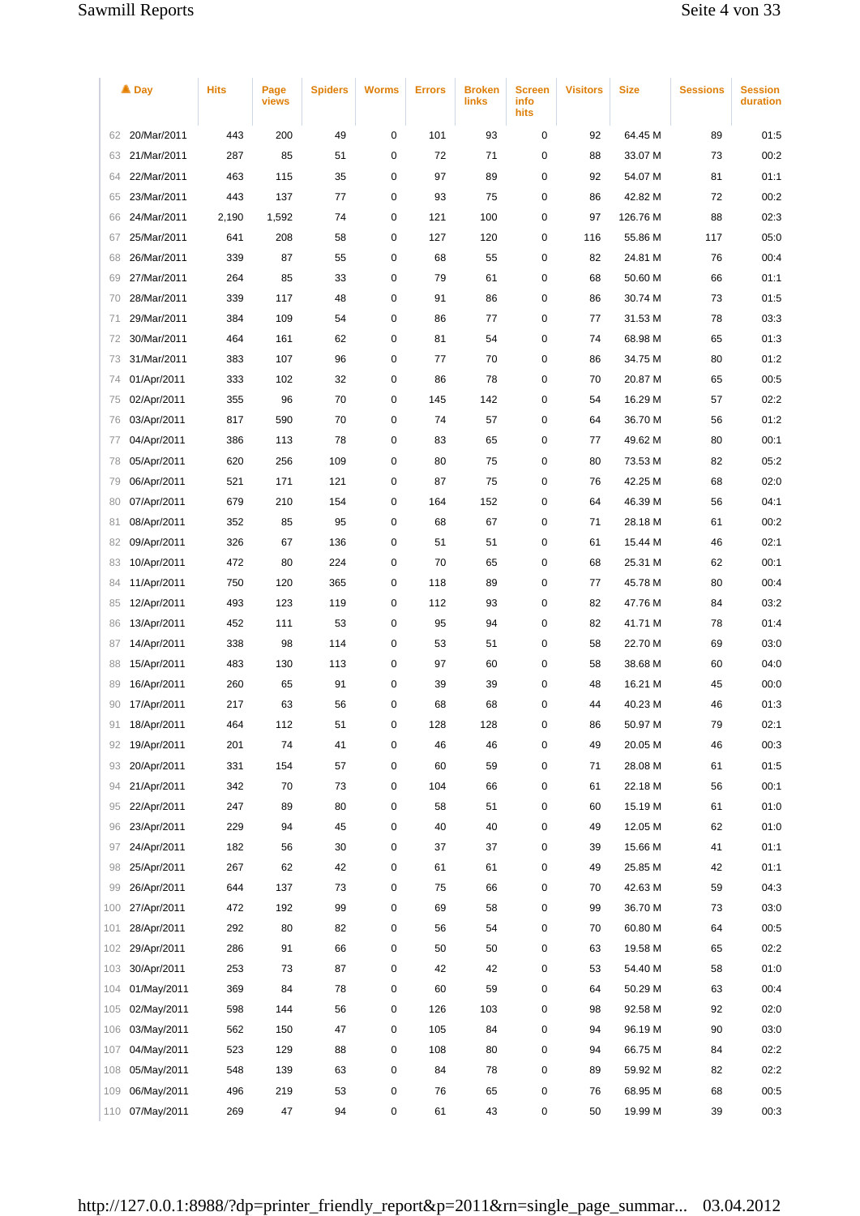|     | $\triangle$ Day | <b>Hits</b> | Page<br>views | <b>Spiders</b> | <b>Worms</b> | <b>Errors</b> | <b>Broken</b><br>links | <b>Screen</b><br>info<br>hits | <b>Visitors</b> | <b>Size</b> | <b>Sessions</b> | <b>Session</b><br>duration |
|-----|-----------------|-------------|---------------|----------------|--------------|---------------|------------------------|-------------------------------|-----------------|-------------|-----------------|----------------------------|
| 62  | 20/Mar/2011     | 443         | 200           | 49             | 0            | 101           | 93                     | 0                             | 92              | 64.45 M     | 89              | 01:5                       |
| 63  | 21/Mar/2011     | 287         | 85            | 51             | 0            | 72            | 71                     | 0                             | 88              | 33.07 M     | 73              | 00:2                       |
| 64  | 22/Mar/2011     | 463         | 115           | 35             | 0            | 97            | 89                     | 0                             | 92              | 54.07 M     | 81              | 01:1                       |
| 65  | 23/Mar/2011     | 443         | 137           | 77             | 0            | 93            | 75                     | 0                             | 86              | 42.82 M     | 72              | 00:2                       |
| 66  | 24/Mar/2011     | 2,190       | 1,592         | 74             | 0            | 121           | 100                    | 0                             | 97              | 126.76 M    | 88              | 02:3                       |
| 67  | 25/Mar/2011     | 641         | 208           | 58             | 0            | 127           | 120                    | 0                             | 116             | 55.86 M     | 117             | 05:0                       |
| 68  | 26/Mar/2011     | 339         | 87            | 55             | 0            | 68            | 55                     | 0                             | 82              | 24.81 M     | 76              | 00:4                       |
| 69  | 27/Mar/2011     | 264         | 85            | 33             | 0            | 79            | 61                     | 0                             | 68              | 50.60 M     | 66              | 01:1                       |
| 70  | 28/Mar/2011     | 339         | 117           | 48             | 0            | 91            | 86                     | 0                             | 86              | 30.74 M     | 73              | 01:5                       |
| 71  | 29/Mar/2011     | 384         | 109           | 54             | 0            | 86            | 77                     | 0                             | 77              | 31.53 M     | 78              | 03:3                       |
| 72  | 30/Mar/2011     | 464         | 161           | 62             | 0            | 81            | 54                     | 0                             | 74              | 68.98 M     | 65              | 01:3                       |
| 73  | 31/Mar/2011     | 383         | 107           | 96             | 0            | 77            | 70                     | 0                             | 86              | 34.75 M     | 80              | 01:2                       |
| 74  | 01/Apr/2011     | 333         | 102           | 32             | 0            | 86            | 78                     | 0                             | 70              | 20.87 M     | 65              | 00:5                       |
| 75  | 02/Apr/2011     | 355         | 96            | 70             | 0            | 145           | 142                    | 0                             | 54              | 16.29 M     | 57              | 02:2                       |
| 76  | 03/Apr/2011     | 817         | 590           | 70             | 0            | 74            | 57                     | 0                             | 64              | 36.70 M     | 56              | 01:2                       |
| 77  | 04/Apr/2011     | 386         | 113           | 78             | 0            | 83            | 65                     | 0                             | 77              | 49.62 M     | 80              | 00:1                       |
| 78  | 05/Apr/2011     | 620         | 256           | 109            | 0            | 80            | 75                     | 0                             | 80              | 73.53 M     | 82              | 05:2                       |
| 79  | 06/Apr/2011     | 521         | 171           | 121            | 0            | 87            | 75                     | 0                             | 76              | 42.25 M     | 68              | 02:0                       |
| 80  | 07/Apr/2011     | 679         | 210           | 154            | 0            | 164           | 152                    | 0                             | 64              | 46.39 M     | 56              | 04:1                       |
| 81  | 08/Apr/2011     | 352         | 85            | 95             | 0            | 68            | 67                     | 0                             | 71              | 28.18 M     | 61              | 00:2                       |
| 82  | 09/Apr/2011     | 326         | 67            | 136            | 0            | 51            | 51                     | 0                             | 61              | 15.44 M     | 46              | 02:1                       |
| 83  | 10/Apr/2011     | 472         | 80            | 224            | 0            | 70            | 65                     | 0                             | 68              | 25.31 M     | 62              | 00:1                       |
| 84  | 11/Apr/2011     | 750         | 120           | 365            | 0            | 118           | 89                     | 0                             | 77              | 45.78 M     | 80              | 00:4                       |
| 85  | 12/Apr/2011     | 493         | 123           | 119            | 0            | 112           | 93                     | 0                             | 82              | 47.76 M     | 84              | 03:2                       |
| 86  | 13/Apr/2011     | 452         | 111           | 53             | 0            | 95            | 94                     | 0                             | 82              | 41.71 M     | 78              | 01:4                       |
| 87  | 14/Apr/2011     | 338         | 98            | 114            | 0            | 53            | 51                     | 0                             | 58              | 22.70 M     | 69              | 03:0                       |
| 88  | 15/Apr/2011     | 483         | 130           | 113            | 0            | 97            | 60                     | 0                             | 58              | 38.68 M     | 60              | 04:0                       |
| 89  | 16/Apr/2011     | 260         | 65            | 91             | 0            | 39            | 39                     | 0                             | 48              | 16.21 M     | 45              | 00:0                       |
| 90  | 17/Apr/2011     | 217         | 63            | 56             | 0            | 68            | 68                     | $\mathbf 0$                   | 44              | 40.23 M     | 46              | 01:3                       |
| 91  | 18/Apr/2011     | 464         | 112           | 51             | 0            | 128           | 128                    | 0                             | 86              | 50.97 M     | 79              | 02:1                       |
| 92  | 19/Apr/2011     | 201         | 74            | 41             | 0            | 46            | 46                     | 0                             | 49              | 20.05 M     | 46              | 00:3                       |
| 93  | 20/Apr/2011     | 331         | 154           | 57             | 0            | 60            | 59                     | 0                             | 71              | 28.08 M     | 61              | 01:5                       |
| 94  | 21/Apr/2011     | 342         | 70            | 73             | 0            | 104           | 66                     | 0                             | 61              | 22.18 M     | 56              | 00:1                       |
| 95  | 22/Apr/2011     | 247         | 89            | 80             | 0            | 58            | 51                     | 0                             | 60              | 15.19 M     | 61              | 01:0                       |
| 96  | 23/Apr/2011     | 229         | 94            | 45             | 0            | 40            | 40                     | 0                             | 49              | 12.05 M     | 62              | 01:0                       |
| 97  | 24/Apr/2011     | 182         | 56            | 30             | 0            | 37            | 37                     | 0                             | 39              | 15.66 M     | 41              | 01:1                       |
| 98  | 25/Apr/2011     | 267         | 62            | 42             | 0            | 61            | 61                     | 0                             | 49              | 25.85 M     | 42              | 01:1                       |
| 99  | 26/Apr/2011     | 644         | 137           | 73             | 0            | 75            | 66                     | 0                             | 70              | 42.63 M     | 59              | 04:3                       |
| 100 | 27/Apr/2011     | 472         | 192           | 99             | 0            | 69            | 58                     | 0                             | 99              | 36.70 M     | 73              | 03:0                       |
| 101 | 28/Apr/2011     | 292         | 80            | 82             | 0            | 56            | 54                     | 0                             | 70              | 60.80 M     | 64              | 00:5                       |
| 102 | 29/Apr/2011     | 286         | 91            | 66             | 0            | 50            | 50                     | 0                             | 63              | 19.58 M     | 65              | 02:2                       |
| 103 | 30/Apr/2011     | 253         | 73            | 87             | 0            | 42            | 42                     | 0                             | 53              | 54.40 M     | 58              | 01:0                       |
| 104 | 01/May/2011     | 369         | 84            | 78             | 0            | 60            | 59                     | 0                             | 64              | 50.29 M     | 63              | 00:4                       |
| 105 | 02/May/2011     | 598         | 144           | 56             | 0            | 126           | 103                    | 0                             | 98              | 92.58 M     | 92              | 02:0                       |
| 106 | 03/May/2011     | 562         | 150           | 47             | 0            | 105           | 84                     | 0                             | 94              | 96.19 M     | 90              | 03:0                       |
| 107 | 04/May/2011     | 523         | 129           | 88             | 0            | 108           | 80                     | 0                             | 94              | 66.75 M     | 84              | 02:2                       |
| 108 | 05/May/2011     | 548         | 139           | 63             | 0            | 84            | 78                     | 0                             | 89              | 59.92 M     | 82              | 02:2                       |
| 109 | 06/May/2011     | 496         | 219           | 53             | 0            | 76            | 65                     | 0                             | 76              | 68.95 M     | 68              | 00:5                       |
| 110 | 07/May/2011     | 269         | 47            | 94             | 0            | 61            | 43                     | 0                             | 50              | 19.99 M     | 39              | 00:3                       |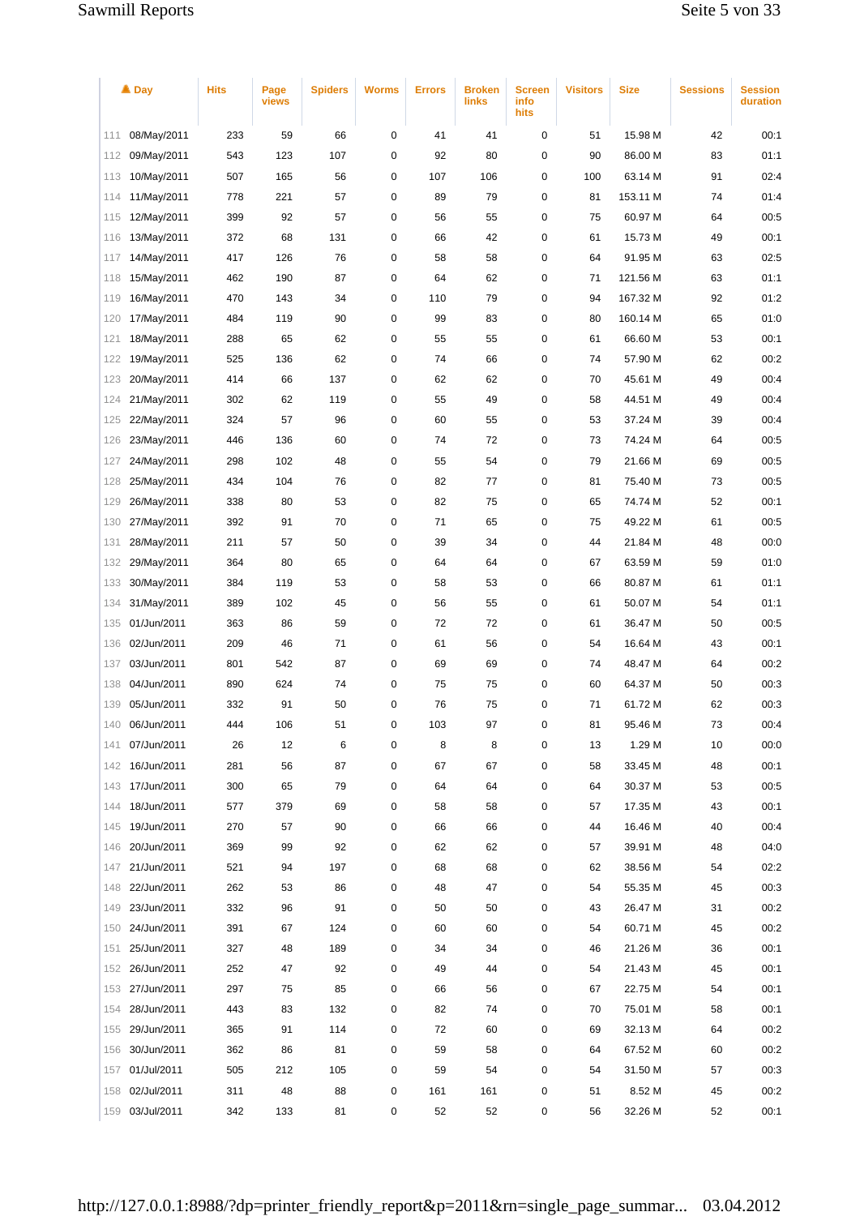|     | $\triangle$ Day | <b>Hits</b> | Page<br>views | <b>Spiders</b> | <b>Worms</b> | <b>Errors</b> | <b>Broken</b><br>links | <b>Screen</b><br>info<br>hits | <b>Visitors</b> | <b>Size</b> | <b>Sessions</b> | <b>Session</b><br>duration |
|-----|-----------------|-------------|---------------|----------------|--------------|---------------|------------------------|-------------------------------|-----------------|-------------|-----------------|----------------------------|
| 111 | 08/May/2011     | 233         | 59            | 66             | 0            | 41            | 41                     | 0                             | 51              | 15.98 M     | 42              | 00:1                       |
| 112 | 09/May/2011     | 543         | 123           | 107            | 0            | 92            | 80                     | 0                             | 90              | 86.00 M     | 83              | 01:1                       |
| 113 | 10/May/2011     | 507         | 165           | 56             | 0            | 107           | 106                    | 0                             | 100             | 63.14 M     | 91              | 02:4                       |
| 114 | 11/May/2011     | 778         | 221           | 57             | 0            | 89            | 79                     | 0                             | 81              | 153.11 M    | 74              | 01:4                       |
| 115 | 12/May/2011     | 399         | 92            | 57             | 0            | 56            | 55                     | 0                             | 75              | 60.97 M     | 64              | 00:5                       |
| 116 | 13/May/2011     | 372         | 68            | 131            | 0            | 66            | 42                     | 0                             | 61              | 15.73 M     | 49              | 00:1                       |
| 117 | 14/May/2011     | 417         | 126           | 76             | 0            | 58            | 58                     | 0                             | 64              | 91.95 M     | 63              | 02:5                       |
| 118 | 15/May/2011     | 462         | 190           | 87             | 0            | 64            | 62                     | 0                             | 71              | 121.56 M    | 63              | 01:1                       |
| 119 | 16/May/2011     | 470         | 143           | 34             | 0            | 110           | 79                     | 0                             | 94              | 167.32 M    | 92              | 01:2                       |
| 120 | 17/May/2011     | 484         | 119           | 90             | 0            | 99            | 83                     | 0                             | 80              | 160.14 M    | 65              | 01:0                       |
| 121 | 18/May/2011     | 288         | 65            | 62             | 0            | 55            | 55                     | 0                             | 61              | 66.60 M     | 53              | 00:1                       |
| 122 | 19/May/2011     | 525         | 136           | 62             | 0            | 74            | 66                     | 0                             | 74              | 57.90 M     | 62              | 00:2                       |
| 123 | 20/May/2011     | 414         | 66            | 137            | 0            | 62            | 62                     | 0                             | 70              | 45.61 M     | 49              | 00:4                       |
| 124 | 21/May/2011     | 302         | 62            | 119            | 0            | 55            | 49                     | 0                             | 58              | 44.51 M     | 49              | 00:4                       |
| 125 | 22/May/2011     | 324         | 57            | 96             | 0            | 60            | 55                     | 0                             | 53              | 37.24 M     | 39              | 00:4                       |
| 126 | 23/May/2011     | 446         | 136           | 60             | 0            | 74            | 72                     | 0                             | 73              | 74.24 M     | 64              | 00:5                       |
| 127 | 24/May/2011     | 298         | 102           | 48             | 0            | 55            | 54                     | 0                             | 79              | 21.66 M     | 69              | 00:5                       |
| 128 | 25/May/2011     | 434         | 104           | 76             | 0            | 82            | 77                     | 0                             | 81              | 75.40 M     | 73              | 00:5                       |
| 129 | 26/May/2011     | 338         | 80            | 53             | 0            | 82            | 75                     | 0                             | 65              | 74.74 M     | 52              | 00:1                       |
| 130 | 27/May/2011     | 392         | 91            | 70             | 0            | 71            | 65                     | 0                             | 75              | 49.22 M     | 61              | 00:5                       |
| 131 | 28/May/2011     | 211         | 57            | 50             | 0            | 39            | 34                     | 0                             | 44              | 21.84 M     | 48              | 00:0                       |
| 132 | 29/May/2011     | 364         | 80            | 65             | 0            | 64            | 64                     | 0                             | 67              | 63.59 M     | 59              | 01:0                       |
| 133 | 30/May/2011     | 384         | 119           | 53             | 0            | 58            | 53                     | 0                             | 66              | 80.87 M     | 61              | 01:1                       |
| 134 | 31/May/2011     | 389         | 102           | 45             | 0            | 56            | 55                     | 0                             | 61              | 50.07 M     | 54              | 01:1                       |
| 135 | 01/Jun/2011     | 363         | 86            | 59             | 0            | 72            | 72                     | 0                             | 61              | 36.47 M     | 50              | 00:5                       |
| 136 | 02/Jun/2011     | 209         | 46            | 71             | 0            | 61            | 56                     | 0                             | 54              | 16.64 M     | 43              | 00:1                       |
| 137 | 03/Jun/2011     | 801         | 542           | 87             | 0            | 69            | 69                     | 0                             | 74              | 48.47 M     | 64              | 00:2                       |
| 138 | 04/Jun/2011     | 890         | 624           | 74             | 0            | 75            | 75                     | 0                             | 60              | 64.37 M     | 50              | 00:3                       |
| 139 | 05/Jun/2011     | 332         | 91            | 50             | 0            | 76            | 75                     | 0                             | 71              | 61.72 M     | 62              | 00:3                       |
| 140 | 06/Jun/2011     | 444         | 106           | 51             | 0            | 103           | 97                     | 0                             | 81              | 95.46 M     | 73              | 00:4                       |
| 141 | 07/Jun/2011     | 26          | 12            | 6              | 0            | 8             | 8                      | 0                             | 13              | 1.29 M      | 10              | 00:0                       |
| 142 | 16/Jun/2011     | 281         | 56            | 87             | 0            | 67            | 67                     | 0                             | 58              | 33.45 M     | 48              | 00:1                       |
| 143 | 17/Jun/2011     | 300         | 65            | 79             | 0            | 64            | 64                     | 0                             | 64              | 30.37 M     | 53              | 00:5                       |
| 144 | 18/Jun/2011     | 577         | 379           | 69             | 0            | 58            | 58                     | 0                             | 57              | 17.35 M     | 43              | 00:1                       |
| 145 | 19/Jun/2011     | 270         | 57            | 90             | 0            | 66            | 66                     | 0                             | 44              | 16.46 M     | 40              | 00:4                       |
| 146 | 20/Jun/2011     | 369         | 99            | 92             | 0            | 62            | 62                     | 0                             | 57              | 39.91 M     | 48              | 04:0                       |
| 147 | 21/Jun/2011     | 521         | 94            | 197            | 0            | 68            | 68                     | 0                             | 62              | 38.56 M     | 54              | 02:2                       |
| 148 | 22/Jun/2011     | 262         | 53            | 86             | 0            | 48            | 47                     | 0                             | 54              | 55.35 M     | 45              | 00:3                       |
| 149 | 23/Jun/2011     | 332         | 96            | 91             | 0            | 50            | 50                     | 0                             | 43              | 26.47 M     | 31              | 00:2                       |
| 150 | 24/Jun/2011     | 391         | 67            | 124            | 0            | 60            | 60                     | 0                             | 54              | 60.71 M     | 45              | 00:2                       |
| 151 | 25/Jun/2011     | 327         | 48            | 189            | 0            | 34            | 34                     | 0                             | 46              | 21.26 M     | 36              | 00:1                       |
| 152 | 26/Jun/2011     | 252         | 47            | 92             | 0            | 49            | 44                     | 0                             | 54              | 21.43 M     | 45              | 00:1                       |
| 153 | 27/Jun/2011     | 297         | 75            | 85             | 0            | 66            | 56                     | 0                             | 67              | 22.75 M     | 54              | 00:1                       |
| 154 | 28/Jun/2011     | 443         | 83            | 132            | 0            | 82            | 74                     | 0                             | 70              | 75.01 M     | 58              | 00:1                       |
| 155 | 29/Jun/2011     | 365         | 91            | 114            | 0            | 72            | 60                     | 0                             | 69              | 32.13 M     | 64              | 00:2                       |
| 156 | 30/Jun/2011     | 362         | 86            | 81             | 0            | 59            | 58                     | 0                             | 64              | 67.52 M     | 60              | 00:2                       |
| 157 | 01/Jul/2011     | 505         | 212           | 105            | 0            | 59            | 54                     | 0                             | 54              | 31.50 M     | 57              | 00:3                       |
| 158 | 02/Jul/2011     | 311         | 48            | 88             | 0            | 161           | 161                    | 0                             | 51              | 8.52 M      | 45              | 00:2                       |
| 159 | 03/Jul/2011     | 342         | 133           | 81             | 0            | 52            | 52                     | 0                             | 56              | 32.26 M     | 52              | 00:1                       |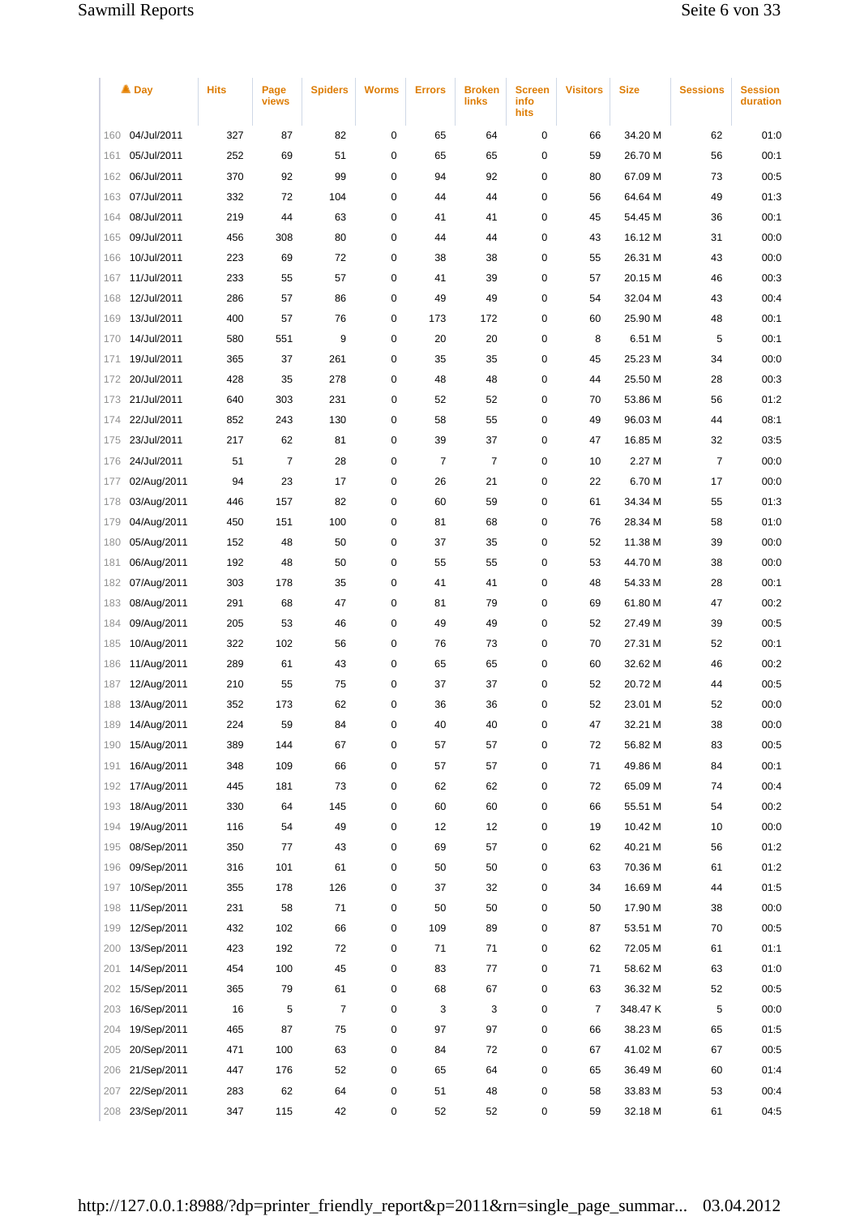|     | $\triangle$ Day | <b>Hits</b> | Page<br>views | <b>Spiders</b> | Worms | <b>Errors</b> | <b>Broken</b><br>links | <b>Screen</b><br>info<br>hits | <b>Visitors</b> | <b>Size</b> | <b>Sessions</b> | <b>Session</b><br>duration |
|-----|-----------------|-------------|---------------|----------------|-------|---------------|------------------------|-------------------------------|-----------------|-------------|-----------------|----------------------------|
| 160 | 04/Jul/2011     | 327         | 87            | 82             | 0     | 65            | 64                     | 0                             | 66              | 34.20 M     | 62              | 01:0                       |
| 161 | 05/Jul/2011     | 252         | 69            | 51             | 0     | 65            | 65                     | 0                             | 59              | 26.70 M     | 56              | 00:1                       |
| 162 | 06/Jul/2011     | 370         | 92            | 99             | 0     | 94            | 92                     | 0                             | 80              | 67.09 M     | 73              | 00:5                       |
| 163 | 07/Jul/2011     | 332         | 72            | 104            | 0     | 44            | 44                     | 0                             | 56              | 64.64 M     | 49              | 01:3                       |
| 164 | 08/Jul/2011     | 219         | 44            | 63             | 0     | 41            | 41                     | 0                             | 45              | 54.45 M     | 36              | 00:1                       |
| 165 | 09/Jul/2011     | 456         | 308           | 80             | 0     | 44            | 44                     | 0                             | 43              | 16.12 M     | 31              | 00:0                       |
| 166 | 10/Jul/2011     | 223         | 69            | 72             | 0     | 38            | 38                     | 0                             | 55              | 26.31 M     | 43              | 00:0                       |
| 167 | 11/Jul/2011     | 233         | 55            | 57             | 0     | 41            | 39                     | 0                             | 57              | 20.15 M     | 46              | 00:3                       |
| 168 | 12/Jul/2011     | 286         | 57            | 86             | 0     | 49            | 49                     | 0                             | 54              | 32.04 M     | 43              | 00:4                       |
| 169 | 13/Jul/2011     | 400         | 57            | 76             | 0     | 173           | 172                    | 0                             | 60              | 25.90 M     | 48              | 00:1                       |
| 170 | 14/Jul/2011     | 580         | 551           | 9              | 0     | 20            | 20                     | 0                             | 8               | 6.51 M      | 5               | 00:1                       |
| 171 | 19/Jul/2011     | 365         | 37            | 261            | 0     | 35            | 35                     | 0                             | 45              | 25.23 M     | 34              | 00:0                       |
| 172 | 20/Jul/2011     | 428         | 35            | 278            | 0     | 48            | 48                     | 0                             | 44              | 25.50 M     | 28              | 00:3                       |
| 173 | 21/Jul/2011     | 640         | 303           | 231            | 0     | 52            | 52                     | 0                             | 70              | 53.86 M     | 56              | 01:2                       |
| 174 | 22/Jul/2011     | 852         | 243           | 130            | 0     | 58            | 55                     | 0                             | 49              | 96.03 M     | 44              | 08:1                       |
| 175 | 23/Jul/2011     | 217         | 62            | 81             | 0     | 39            | 37                     | 0                             | 47              | 16.85 M     | 32              | 03:5                       |
| 176 | 24/Jul/2011     | 51          | 7             | 28             | 0     | 7             | 7                      | 0                             | 10              | 2.27 M      | 7               | 00:0                       |
| 177 | 02/Aug/2011     | 94          | 23            | 17             | 0     | 26            | 21                     | 0                             | 22              | 6.70 M      | 17              | 00:0                       |
| 178 | 03/Aug/2011     | 446         | 157           | 82             | 0     | 60            | 59                     | 0                             | 61              | 34.34 M     | 55              | 01:3                       |
| 179 | 04/Aug/2011     | 450         | 151           | 100            | 0     | 81            | 68                     | 0                             | 76              | 28.34 M     | 58              | 01:0                       |
| 180 | 05/Aug/2011     | 152         | 48            | 50             | 0     | 37            | 35                     | 0                             | 52              | 11.38 M     | 39              | 00:0                       |
| 181 | 06/Aug/2011     | 192         | 48            | 50             | 0     | 55            | 55                     | 0                             | 53              | 44.70 M     | 38              | 00:0                       |
| 182 | 07/Aug/2011     | 303         | 178           | 35             | 0     | 41            | 41                     | 0                             | 48              | 54.33 M     | 28              | 00:1                       |
| 183 | 08/Aug/2011     | 291         | 68            | 47             | 0     | 81            | 79                     | 0                             | 69              | 61.80 M     | 47              | 00:2                       |
| 184 | 09/Aug/2011     | 205         | 53            | 46             | 0     | 49            | 49                     | 0                             | 52              | 27.49 M     | 39              | 00:5                       |
| 185 | 10/Aug/2011     | 322         | 102           | 56             | 0     | 76            | 73                     | 0                             | 70              | 27.31 M     | 52              | 00:1                       |
| 186 | 11/Aug/2011     | 289         | 61            | 43             | 0     | 65            | 65                     | 0                             | 60              | 32.62 M     | 46              | 00:2                       |
| 187 | 12/Aug/2011     | 210         | 55            | 75             | 0     | 37            | 37                     | 0                             | 52              | 20.72 M     | 44              | 00:5                       |
| 188 | 13/Aug/2011     | 352         | 173           | 62             | 0     | 36            | 36                     | 0                             | 52              | 23.01 M     | 52              | 00:0                       |
| 189 | 14/Aug/2011     | 224         | 59            | 84             | 0     | 40            | 40                     | 0                             | 47              | 32.21 M     | 38              | 00:0                       |
| 190 | 15/Aug/2011     | 389         | 144           | 67             | 0     | 57            | 57                     | 0                             | 72              | 56.82 M     | 83              | 00:5                       |
| 191 | 16/Aug/2011     | 348         | 109           | 66             | 0     | 57            | 57                     | 0                             | 71              | 49.86 M     | 84              | 00:1                       |
| 192 | 17/Aug/2011     | 445         | 181           | 73             | 0     | 62            | 62                     | 0                             | 72              | 65.09 M     | 74              | 00:4                       |
| 193 | 18/Aug/2011     | 330         | 64            | 145            | 0     | 60            | 60                     | 0                             | 66              | 55.51 M     | 54              | 00:2                       |
| 194 | 19/Aug/2011     | 116         | 54            | 49             | 0     | 12            | 12                     | 0                             | 19              | 10.42 M     | 10              | 00:0                       |
| 195 | 08/Sep/2011     | 350         | 77            | 43             | 0     | 69            | 57                     | 0                             | 62              | 40.21 M     | 56              | 01:2                       |
| 196 | 09/Sep/2011     | 316         | 101           | 61             | 0     | 50            | 50                     | 0                             | 63              | 70.36 M     | 61              | 01:2                       |
| 197 | 10/Sep/2011     | 355         | 178           | 126            | 0     | 37            | 32                     | 0                             | 34              | 16.69 M     | 44              | 01:5                       |
| 198 | 11/Sep/2011     | 231         | 58            | 71             | 0     | 50            | 50                     | 0                             | 50              | 17.90 M     | 38              | 00:0                       |
| 199 | 12/Sep/2011     | 432         | 102           | 66             | 0     | 109           | 89                     | 0                             | 87              | 53.51 M     | 70              | 00:5                       |
| 200 | 13/Sep/2011     | 423         | 192           | 72             | 0     | 71            | 71                     | 0                             | 62              | 72.05 M     | 61              | 01:1                       |
| 201 | 14/Sep/2011     | 454         | 100           | 45             | 0     | 83            | 77                     | 0                             | 71              | 58.62 M     | 63              | 01:0                       |
| 202 | 15/Sep/2011     | 365         | 79            | 61             | 0     | 68            | 67                     | 0                             | 63              | 36.32 M     | 52              | 00:5                       |
| 203 | 16/Sep/2011     | 16          | 5             | 7              | 0     | 3             | 3                      | 0                             | 7               | 348.47 K    | 5               | 00:0                       |
| 204 | 19/Sep/2011     | 465         | 87            | 75             | 0     | 97            | 97                     | 0                             | 66              | 38.23 M     | 65              | 01:5                       |
| 205 | 20/Sep/2011     | 471         | 100           | 63             | 0     | 84            | 72                     | 0                             | 67              | 41.02 M     | 67              | 00:5                       |
| 206 | 21/Sep/2011     | 447         | 176           | 52             | 0     | 65            | 64                     | 0                             | 65              | 36.49 M     | 60              | 01:4                       |
| 207 | 22/Sep/2011     | 283         | 62            | 64             | 0     | 51            | 48                     | 0                             | 58              | 33.83 M     | 53              | 00:4                       |
| 208 | 23/Sep/2011     | 347         | 115           | 42             | 0     | 52            | 52                     | 0                             | 59              | 32.18 M     | 61              | 04:5                       |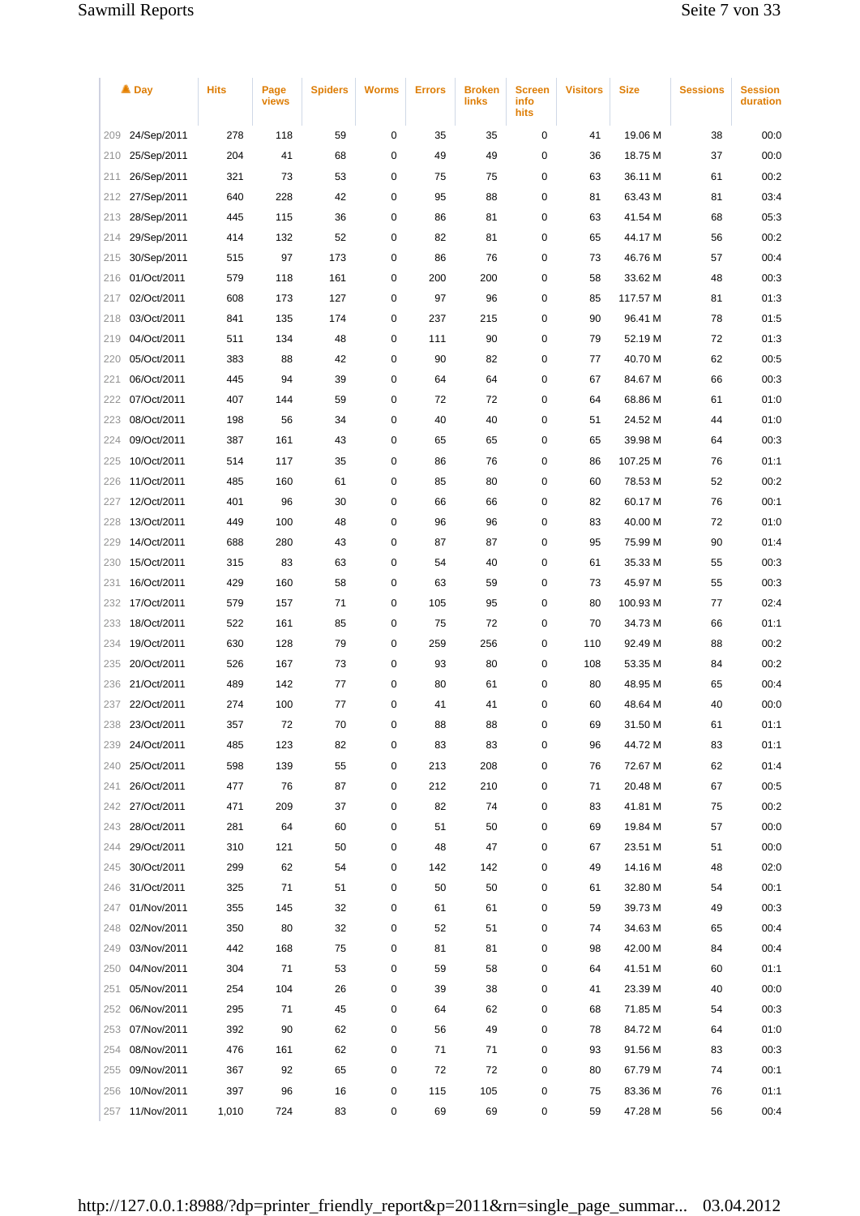|     | ▲ Day           | <b>Hits</b> | Page<br>views | <b>Spiders</b> | <b>Worms</b> | <b>Errors</b> | <b>Broken</b><br>links | Screen<br>info<br>hits | <b>Visitors</b> | <b>Size</b> | <b>Sessions</b> | <b>Session</b><br>duration |
|-----|-----------------|-------------|---------------|----------------|--------------|---------------|------------------------|------------------------|-----------------|-------------|-----------------|----------------------------|
| 209 | 24/Sep/2011     | 278         | 118           | 59             | 0            | 35            | 35                     | 0                      | 41              | 19.06 M     | 38              | 00:0                       |
| 210 | 25/Sep/2011     | 204         | 41            | 68             | 0            | 49            | 49                     | 0                      | 36              | 18.75 M     | 37              | 00:0                       |
| 211 | 26/Sep/2011     | 321         | 73            | 53             | 0            | 75            | 75                     | 0                      | 63              | 36.11 M     | 61              | 00:2                       |
| 212 | 27/Sep/2011     | 640         | 228           | 42             | 0            | 95            | 88                     | 0                      | 81              | 63.43 M     | 81              | 03:4                       |
| 213 | 28/Sep/2011     | 445         | 115           | 36             | 0            | 86            | 81                     | 0                      | 63              | 41.54 M     | 68              | 05:3                       |
| 214 | 29/Sep/2011     | 414         | 132           | 52             | 0            | 82            | 81                     | 0                      | 65              | 44.17 M     | 56              | 00:2                       |
| 215 | 30/Sep/2011     | 515         | 97            | 173            | 0            | 86            | 76                     | 0                      | 73              | 46.76 M     | 57              | 00:4                       |
| 216 | 01/Oct/2011     | 579         | 118           | 161            | 0            | 200           | 200                    | 0                      | 58              | 33.62 M     | 48              | 00:3                       |
| 217 | 02/Oct/2011     | 608         | 173           | 127            | 0            | 97            | 96                     | 0                      | 85              | 117.57 M    | 81              | 01:3                       |
| 218 | 03/Oct/2011     | 841         | 135           | 174            | 0            | 237           | 215                    | 0                      | 90              | 96.41 M     | 78              | 01:5                       |
| 219 | 04/Oct/2011     | 511         | 134           | 48             | 0            | 111           | 90                     | 0                      | 79              | 52.19 M     | 72              | 01:3                       |
| 220 | 05/Oct/2011     | 383         | 88            | 42             | 0            | 90            | 82                     | 0                      | 77              | 40.70 M     | 62              | 00:5                       |
| 221 | 06/Oct/2011     | 445         | 94            | 39             | 0            | 64            | 64                     | 0                      | 67              | 84.67 M     | 66              | 00:3                       |
| 222 | 07/Oct/2011     | 407         | 144           | 59             | 0            | 72            | 72                     | 0                      | 64              | 68.86 M     | 61              | 01:0                       |
| 223 | 08/Oct/2011     | 198         | 56            | 34             | 0            | 40            | 40                     | 0                      | 51              | 24.52 M     | 44              | 01:0                       |
| 224 | 09/Oct/2011     | 387         | 161           | 43             | 0            | 65            | 65                     | 0                      | 65              | 39.98 M     | 64              | 00:3                       |
| 225 | 10/Oct/2011     | 514         | 117           | 35             | 0            | 86            | 76                     | 0                      | 86              | 107.25 M    | 76              | 01:1                       |
| 226 | 11/Oct/2011     | 485         | 160           | 61             | 0            | 85            | 80                     | 0                      | 60              | 78.53 M     | 52              | 00:2                       |
| 227 | 12/Oct/2011     | 401         | 96            | 30             | 0            | 66            | 66                     | 0                      | 82              | 60.17 M     | 76              | 00:1                       |
| 228 | 13/Oct/2011     | 449         | 100           | 48             | 0            | 96            | 96                     | 0                      | 83              | 40.00 M     | 72              | 01:0                       |
| 229 | 14/Oct/2011     | 688         | 280           | 43             | 0            | 87            | 87                     | 0                      | 95              | 75.99 M     | 90              | 01:4                       |
| 230 | 15/Oct/2011     | 315         | 83            | 63             | 0            | 54            | 40                     | 0                      | 61              | 35.33 M     | 55              | 00:3                       |
| 231 | 16/Oct/2011     | 429         | 160           | 58             | 0            | 63            | 59                     | 0                      | 73              | 45.97 M     | 55              | 00:3                       |
| 232 | 17/Oct/2011     | 579         | 157           | 71             | 0            | 105           | 95                     | 0                      | 80              | 100.93 M    | 77              | 02:4                       |
| 233 | 18/Oct/2011     | 522         | 161           | 85             | 0            | 75            | 72                     | 0                      | 70              | 34.73 M     | 66              | 01:1                       |
| 234 | 19/Oct/2011     | 630         | 128           | 79             | 0            | 259           | 256                    | 0                      | 110             | 92.49 M     | 88              | 00:2                       |
| 235 | 20/Oct/2011     | 526         | 167           | 73             | 0            | 93            | 80                     | 0                      | 108             | 53.35 M     | 84              | 00:2                       |
| 236 | 21/Oct/2011     | 489         | 142           | 77             | 0            | 80            | 61                     | 0                      | 80              | 48.95 M     | 65              | 00:4                       |
| 237 | 22/Oct/2011     | 274         | 100           | 77             | 0            | 41            | 41                     | 0                      | 60              | 48.64 M     | 40              | 00:0                       |
| 238 | 23/Oct/2011     | 357         | 72            | 70             | 0            | 88            | 88                     | 0                      | 69              | 31.50 M     | 61              | 01:1                       |
| 239 | 24/Oct/2011     | 485         | 123           | 82             | 0            | 83            | 83                     | 0                      | 96              | 44.72 M     | 83              | 01:1                       |
| 240 | 25/Oct/2011     | 598         | 139           | 55             | 0            | 213           | 208                    | 0                      | 76              | 72.67 M     | 62              | 01:4                       |
| 241 | 26/Oct/2011     | 477         | 76            | 87             | 0            | 212           | 210                    | 0                      | 71              | 20.48 M     | 67              | 00:5                       |
| 242 | 27/Oct/2011     | 471         | 209           | 37             | 0            | 82            | 74                     | 0                      | 83              | 41.81 M     | 75              | 00:2                       |
| 243 | 28/Oct/2011     | 281         | 64            | 60             | 0            | 51            | 50                     | 0                      | 69              | 19.84 M     | 57              | 00:0                       |
| 244 | 29/Oct/2011     | 310         | 121           | 50             | 0            | 48            | 47                     | 0                      | 67              | 23.51 M     | 51              | 00:0                       |
| 245 | 30/Oct/2011     | 299         | 62            | 54             | 0            | 142           | 142                    | 0                      | 49              | 14.16 M     | 48              | 02:0                       |
| 246 | 31/Oct/2011     | 325         | 71            | 51             | 0            | 50            | 50                     | 0                      | 61              | 32.80 M     | 54              | 00:1                       |
| 247 | 01/Nov/2011     | 355         | 145           | 32             | 0            | 61            | 61                     | 0                      | 59              | 39.73 M     | 49              | 00:3                       |
| 248 | 02/Nov/2011     | 350         | 80            | 32             | 0            | 52            | 51                     | 0                      | 74              | 34.63 M     | 65              | 00:4                       |
| 249 | 03/Nov/2011     | 442         | 168           | 75             | 0            | 81            | 81                     | 0                      | 98              | 42.00 M     | 84              | 00:4                       |
| 250 | 04/Nov/2011     | 304         | 71            | 53             | 0            | 59            | 58                     | 0                      | 64              | 41.51 M     | 60              | 01:1                       |
| 251 | 05/Nov/2011     | 254         | 104           | 26             | 0            | 39            | 38                     | 0                      | 41              | 23.39 M     | 40              | 00:0                       |
| 252 | 06/Nov/2011     | 295         | 71            | 45             | 0            | 64            | 62                     | 0                      | 68              | 71.85 M     | 54              | 00:3                       |
| 253 | 07/Nov/2011     | 392         | 90            | 62             | 0            | 56            | 49                     | 0                      | 78              | 84.72 M     | 64              | 01:0                       |
| 254 | 08/Nov/2011     | 476         | 161           | 62             | 0            | 71            | 71                     | 0                      | 93              | 91.56 M     | 83              | 00:3                       |
| 255 | 09/Nov/2011     | 367         | 92            | 65             | 0            | 72            | 72                     | 0                      | 80              | 67.79 M     | 74              | 00:1                       |
| 256 | 10/Nov/2011     | 397         | 96            | 16             | 0            | 115           | 105                    | 0                      | 75              | 83.36 M     | 76              | 01:1                       |
|     | 257 11/Nov/2011 | 1,010       | 724           | 83             | 0            | 69            | 69                     | 0                      | 59              | 47.28 M     | 56              | 00:4                       |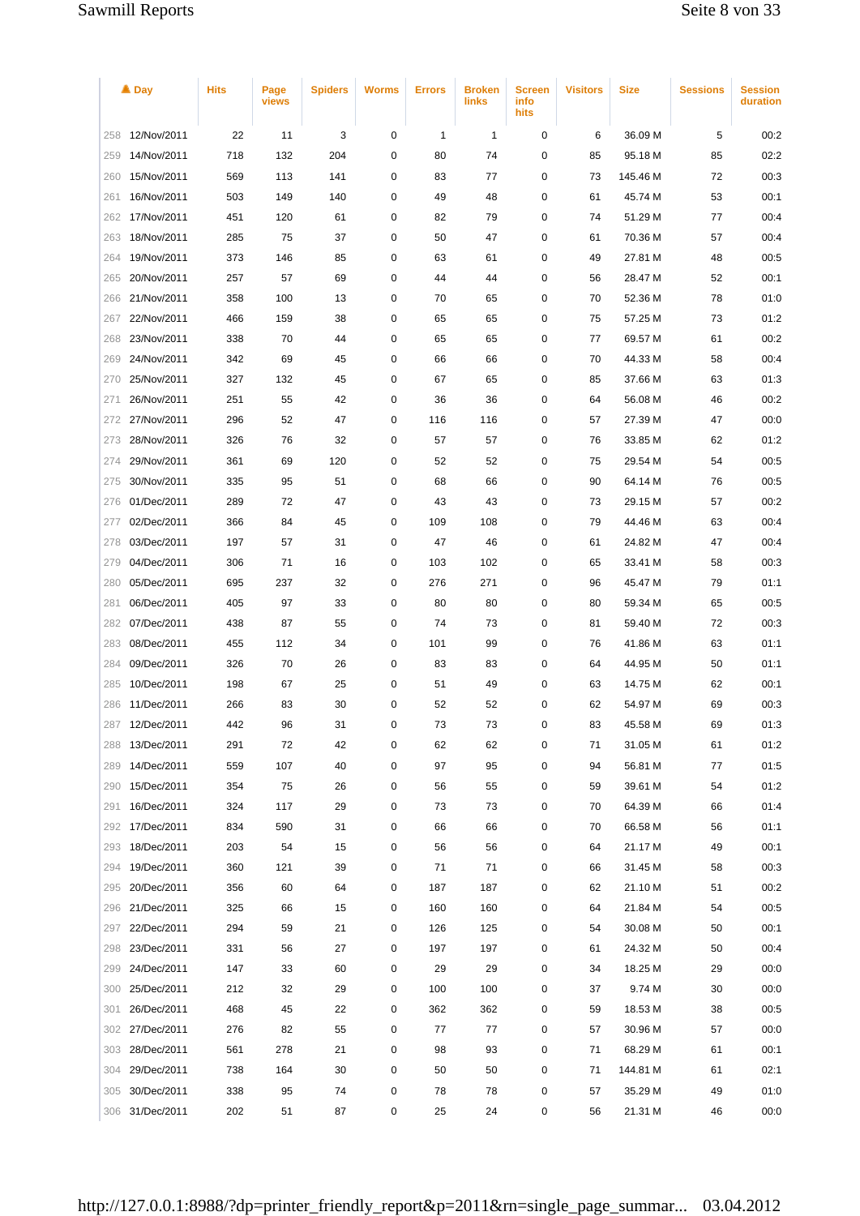|     | $\triangle$ Day | <b>Hits</b> | Page<br>views | <b>Spiders</b> | <b>Worms</b> | <b>Errors</b> | <b>Broken</b><br>links | <b>Screen</b><br>info<br>hits | <b>Visitors</b> | Size     | <b>Sessions</b> | <b>Session</b><br>duration |
|-----|-----------------|-------------|---------------|----------------|--------------|---------------|------------------------|-------------------------------|-----------------|----------|-----------------|----------------------------|
| 258 | 12/Nov/2011     | 22          | 11            | 3              | 0            | 1             | 1                      | 0                             | 6               | 36.09 M  | 5               | 00:2                       |
| 259 | 14/Nov/2011     | 718         | 132           | 204            | 0            | 80            | 74                     | 0                             | 85              | 95.18 M  | 85              | 02:2                       |
| 260 | 15/Nov/2011     | 569         | 113           | 141            | 0            | 83            | 77                     | 0                             | 73              | 145.46 M | 72              | 00:3                       |
| 261 | 16/Nov/2011     | 503         | 149           | 140            | 0            | 49            | 48                     | 0                             | 61              | 45.74 M  | 53              | 00:1                       |
| 262 | 17/Nov/2011     | 451         | 120           | 61             | 0            | 82            | 79                     | 0                             | 74              | 51.29 M  | 77              | 00:4                       |
| 263 | 18/Nov/2011     | 285         | 75            | 37             | 0            | 50            | 47                     | 0                             | 61              | 70.36 M  | 57              | 00:4                       |
| 264 | 19/Nov/2011     | 373         | 146           | 85             | 0            | 63            | 61                     | 0                             | 49              | 27.81 M  | 48              | 00:5                       |
| 265 | 20/Nov/2011     | 257         | 57            | 69             | 0            | 44            | 44                     | 0                             | 56              | 28.47 M  | 52              | 00:1                       |
| 266 | 21/Nov/2011     | 358         | 100           | 13             | 0            | 70            | 65                     | 0                             | 70              | 52.36 M  | 78              | 01:0                       |
| 267 | 22/Nov/2011     | 466         | 159           | 38             | 0            | 65            | 65                     | 0                             | 75              | 57.25 M  | 73              | 01:2                       |
| 268 | 23/Nov/2011     | 338         | 70            | 44             | 0            | 65            | 65                     | 0                             | 77              | 69.57 M  | 61              | 00:2                       |
| 269 | 24/Nov/2011     | 342         | 69            | 45             | 0            | 66            | 66                     | 0                             | 70              | 44.33 M  | 58              | 00:4                       |
| 270 | 25/Nov/2011     | 327         | 132           | 45             | 0            | 67            | 65                     | 0                             | 85              | 37.66 M  | 63              | 01:3                       |
| 271 | 26/Nov/2011     | 251         | 55            | 42             | 0            | 36            | 36                     | 0                             | 64              | 56.08 M  | 46              | 00:2                       |
| 272 | 27/Nov/2011     | 296         | 52            | 47             | 0            | 116           | 116                    | 0                             | 57              | 27.39 M  | 47              | 00:0                       |
| 273 | 28/Nov/2011     | 326         | 76            | 32             | 0            | 57            | 57                     | 0                             | 76              | 33.85 M  | 62              | 01:2                       |
| 274 | 29/Nov/2011     | 361         | 69            | 120            | 0            | 52            | 52                     | 0                             | 75              | 29.54 M  | 54              | 00:5                       |
| 275 | 30/Nov/2011     | 335         | 95            | 51             | 0            | 68            | 66                     | 0                             | 90              | 64.14 M  | 76              | 00:5                       |
| 276 | 01/Dec/2011     | 289         | 72            | 47             | 0            | 43            | 43                     | 0                             | 73              | 29.15 M  | 57              | 00:2                       |
| 277 | 02/Dec/2011     | 366         | 84            | 45             | 0            | 109           | 108                    | 0                             | 79              | 44.46 M  | 63              | 00:4                       |
| 278 | 03/Dec/2011     | 197         | 57            | 31             | 0            | 47            | 46                     | 0                             | 61              | 24.82 M  | 47              | 00:4                       |
| 279 | 04/Dec/2011     | 306         | 71            | 16             | 0            | 103           | 102                    | 0                             | 65              | 33.41 M  | 58              | 00:3                       |
| 280 | 05/Dec/2011     | 695         | 237           | 32             | 0            | 276           | 271                    | 0                             | 96              | 45.47 M  | 79              | 01:1                       |
| 281 | 06/Dec/2011     | 405         | 97            | 33             | 0            | 80            | 80                     | 0                             | 80              | 59.34 M  | 65              | 00:5                       |
| 282 | 07/Dec/2011     | 438         | 87            | 55             | 0            | 74            | 73                     | 0                             | 81              | 59.40 M  | 72              | 00:3                       |
| 283 | 08/Dec/2011     | 455         | 112           | 34             | 0            | 101           | 99                     | 0                             | 76              | 41.86 M  | 63              | 01:1                       |
| 284 | 09/Dec/2011     | 326         | 70            | 26             | 0            | 83            | 83                     | 0                             | 64              | 44.95 M  | 50              | 01:1                       |
| 285 | 10/Dec/2011     | 198         | 67            | 25             | 0            | 51            | 49                     | 0                             | 63              | 14.75 M  | 62              | 00:1                       |
| 286 | 11/Dec/2011     | 266         | 83            | 30             | 0            | 52            | 52                     | 0                             | 62              | 54.97 M  | 69              | 00:3                       |
| 287 | 12/Dec/2011     | 442         | 96            | 31             | 0            | 73            | 73                     | 0                             | 83              | 45.58 M  | 69              | 01:3                       |
| 288 | 13/Dec/2011     | 291         | 72            | 42             | 0            | 62            | 62                     | 0                             | 71              | 31.05 M  | 61              | 01:2                       |
| 289 | 14/Dec/2011     | 559         | 107           | 40             | 0            | 97            | 95                     | 0                             | 94              | 56.81 M  | 77              | 01:5                       |
| 290 | 15/Dec/2011     | 354         | 75            | 26             | 0            | 56            | 55                     | 0                             | 59              | 39.61 M  | 54              | 01:2                       |
| 291 | 16/Dec/2011     | 324         | 117           | 29             | 0            | 73            | 73                     | 0                             | 70              | 64.39 M  | 66              | 01:4                       |
| 292 | 17/Dec/2011     | 834         | 590           | 31             | 0            | 66            | 66                     | 0                             | 70              | 66.58 M  | 56              | 01:1                       |
| 293 | 18/Dec/2011     | 203         | 54            | 15             | 0            | 56            | 56                     | 0                             | 64              | 21.17 M  | 49              | 00:1                       |
| 294 | 19/Dec/2011     | 360         | 121           | 39             | 0            | 71            | 71                     | 0                             | 66              | 31.45 M  | 58              | 00:3                       |
| 295 | 20/Dec/2011     | 356         | 60            | 64             | 0            | 187           | 187                    | 0                             | 62              | 21.10 M  | 51              | 00:2                       |
| 296 | 21/Dec/2011     | 325         | 66            | 15             | 0            | 160           | 160                    | 0                             | 64              | 21.84 M  | 54              | 00:5                       |
| 297 | 22/Dec/2011     | 294         | 59            | 21             | 0            | 126           | 125                    | 0                             | 54              | 30.08 M  | 50              | 00:1                       |
| 298 | 23/Dec/2011     | 331         | 56            | 27             | 0            | 197           | 197                    | 0                             | 61              | 24.32 M  | 50              | 00:4                       |
| 299 | 24/Dec/2011     | 147         | 33            | 60             | 0            | 29            | 29                     | 0                             | 34              | 18.25 M  | 29              | 00:0                       |
| 300 | 25/Dec/2011     | 212         | 32            | 29             | 0            | 100           | 100                    | 0                             | 37              | 9.74 M   | 30              | 00:0                       |
| 301 | 26/Dec/2011     | 468         | 45            | 22             | 0            | 362           | 362                    | 0                             | 59              | 18.53 M  | 38              | 00:5                       |
| 302 | 27/Dec/2011     | 276         | 82            | 55             | 0            | 77            | 77                     | 0                             | 57              | 30.96 M  | 57              | 00:0                       |
| 303 | 28/Dec/2011     | 561         | 278           | 21             | 0            | 98            | 93                     | 0                             | 71              | 68.29 M  | 61              | 00:1                       |
| 304 | 29/Dec/2011     | 738         | 164           | 30             | 0            | 50            | 50                     | 0                             | 71              | 144.81 M | 61              | 02:1                       |
| 305 | 30/Dec/2011     | 338         | 95            | 74             | 0            | 78            | 78                     | 0                             | 57              | 35.29 M  | 49              | 01:0                       |
| 306 | 31/Dec/2011     | 202         | 51            | 87             | 0            | 25            | 24                     | 0                             | 56              | 21.31 M  | 46              | 00:0                       |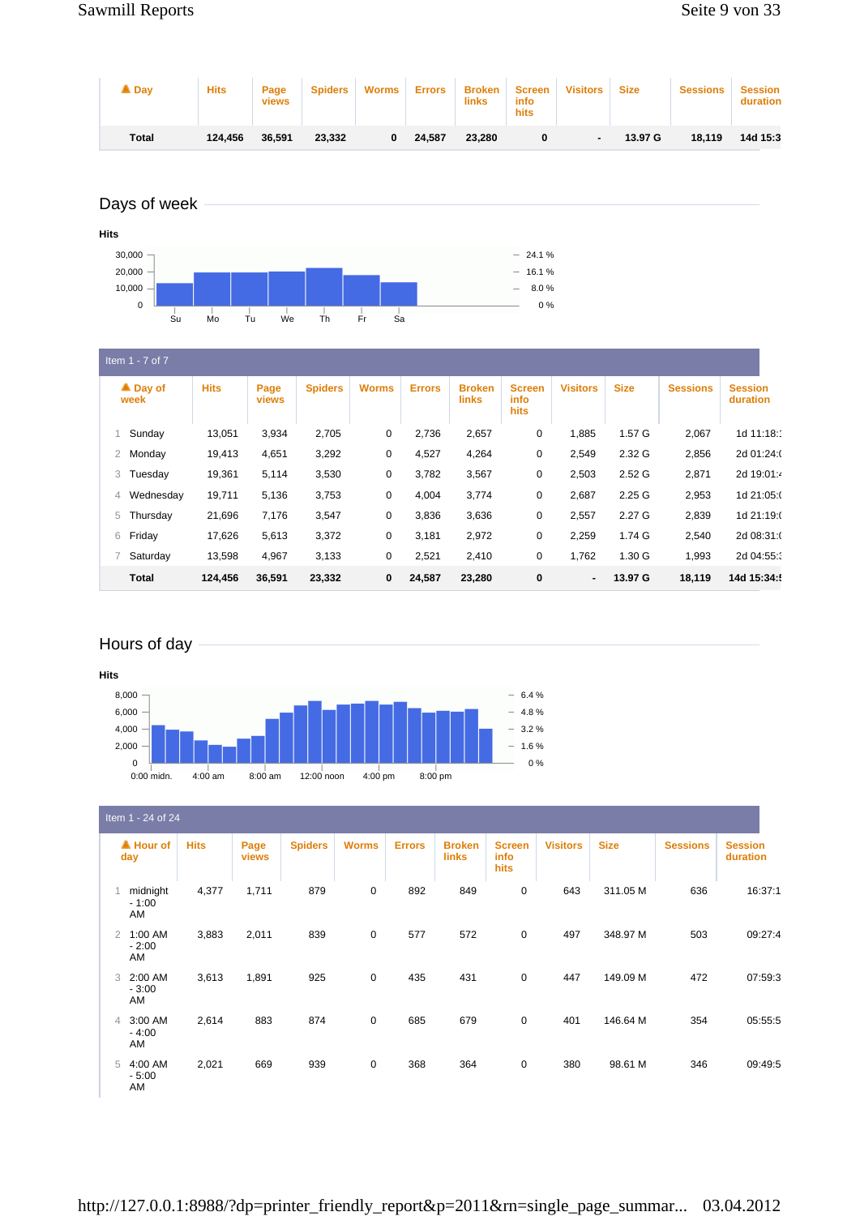| $\blacksquare$ Day | <b>Hits</b> | Page<br><b>views</b> | <b>Spiders</b> | Worms | <b>Errors</b> | <b>Broken</b><br>links | Screen  <br>info<br>hits | <b>Visitors</b> | <b>Size</b> | <b>Sessions</b> | <b>Session</b><br>duration |
|--------------------|-------------|----------------------|----------------|-------|---------------|------------------------|--------------------------|-----------------|-------------|-----------------|----------------------------|
| <b>Total</b>       | 124.456     | 36.591               | 23.332         | 0     | 24.587        | 23.280                 |                          |                 | 13.97 G     | 18.119          | 14d 15:3                   |

# Days of week



| Item $1 - 7$ of $7$ |             |                      |                |              |               |                               |                                      |                 |                   |                 |                            |  |
|---------------------|-------------|----------------------|----------------|--------------|---------------|-------------------------------|--------------------------------------|-----------------|-------------------|-----------------|----------------------------|--|
| ▲ Day of<br>week    | <b>Hits</b> | Page<br><b>views</b> | <b>Spiders</b> | <b>Worms</b> | <b>Errors</b> | <b>Broken</b><br><b>links</b> | <b>Screen</b><br>info<br><b>hits</b> | <b>Visitors</b> | <b>Size</b>       | <b>Sessions</b> | <b>Session</b><br>duration |  |
| Sunday              | 13,051      | 3,934                | 2,705          | 0            | 2,736         | 2,657                         | 0                                    | 1,885           | 1.57 G            | 2,067           | 1d 11:18:                  |  |
| Monday<br>2         | 19,413      | 4,651                | 3,292          | 0            | 4,527         | 4,264                         | 0                                    | 2,549           | 2.32 G            | 2,856           | 2d 01:24:0                 |  |
| Tuesday<br>3        | 19,361      | 5,114                | 3,530          | 0            | 3,782         | 3,567                         | 0                                    | 2,503           | 2.52 <sub>G</sub> | 2,871           | 2d 19:01:4                 |  |
| Wednesday<br>4      | 19,711      | 5,136                | 3,753          | 0            | 4,004         | 3,774                         | 0                                    | 2,687           | 2.25G             | 2,953           | 1d 21:05:0                 |  |
| Thursday<br>5       | 21,696      | 7,176                | 3,547          | 0            | 3,836         | 3,636                         | 0                                    | 2,557           | 2.27 G            | 2,839           | 1d 21:19:0                 |  |
| Friday<br>6         | 17,626      | 5,613                | 3,372          | 0            | 3,181         | 2,972                         | 0                                    | 2,259           | 1.74 G            | 2,540           | 2d 08:31:0                 |  |
| Saturday            | 13,598      | 4,967                | 3,133          | 0            | 2,521         | 2,410                         | 0                                    | 1,762           | 1.30 G            | 1,993           | 2d 04:55:                  |  |
| <b>Total</b>        | 124.456     | 36.591               | 23,332         | $\mathbf 0$  | 24.587        | 23,280                        | 0                                    | $\blacksquare$  | 13.97 G           | 18,119          | 14d 15:34:                 |  |

# Hours of day



|                | Item 1 - 24 of 24          |             |               |                |              |               |                               |                               |                 |             |                 |                            |
|----------------|----------------------------|-------------|---------------|----------------|--------------|---------------|-------------------------------|-------------------------------|-----------------|-------------|-----------------|----------------------------|
|                | $\triangle$ Hour of<br>day | <b>Hits</b> | Page<br>views | <b>Spiders</b> | <b>Worms</b> | <b>Errors</b> | <b>Broken</b><br><b>links</b> | <b>Screen</b><br>info<br>hits | <b>Visitors</b> | <b>Size</b> | <b>Sessions</b> | <b>Session</b><br>duration |
|                | midnight<br>$-1:00$<br>AM  | 4,377       | 1,711         | 879            | $\mathbf 0$  | 892           | 849                           | 0                             | 643             | 311.05 M    | 636             | 16:37:1                    |
| $\overline{2}$ | 1:00 AM<br>$-2:00$<br>AM   | 3,883       | 2,011         | 839            | $\mathbf 0$  | 577           | 572                           | $\mathbf 0$                   | 497             | 348.97 M    | 503             | 09:27:4                    |
| 3              | 2:00 AM<br>$-3:00$<br>AM   | 3,613       | 1,891         | 925            | $\mathbf 0$  | 435           | 431                           | $\mathbf 0$                   | 447             | 149.09 M    | 472             | 07:59:3                    |
| 4              | 3:00 AM<br>$-4:00$<br>AM   | 2,614       | 883           | 874            | $\mathbf 0$  | 685           | 679                           | $\mathbf 0$                   | 401             | 146.64 M    | 354             | 05:55:5                    |
| 5              | 4:00 AM<br>$-5:00$<br>AM   | 2,021       | 669           | 939            | 0            | 368           | 364                           | $\mathbf 0$                   | 380             | 98.61 M     | 346             | 09:49:5                    |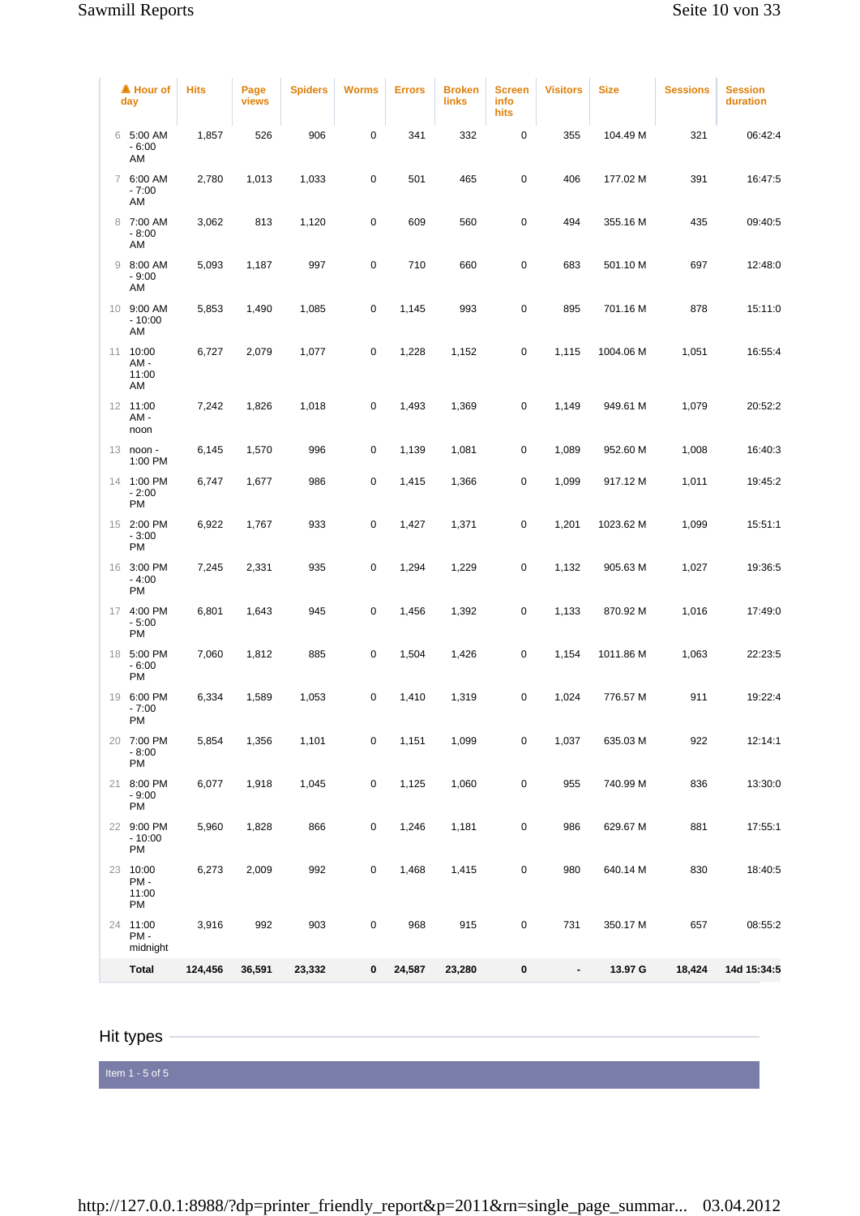|   | ▲ Hour of<br>day               | <b>Hits</b> | Page<br>views | <b>Spiders</b> | <b>Worms</b> | <b>Errors</b> | <b>Broken</b><br>links | <b>Screen</b><br>info<br>hits | <b>Visitors</b> | <b>Size</b> | <b>Sessions</b> | <b>Session</b><br>duration |
|---|--------------------------------|-------------|---------------|----------------|--------------|---------------|------------------------|-------------------------------|-----------------|-------------|-----------------|----------------------------|
|   | 6 5:00 AM<br>$-6:00$<br>AM     | 1,857       | 526           | 906            | $\pmb{0}$    | 341           | 332                    | 0                             | 355             | 104.49 M    | 321             | 06:42:4                    |
|   | 7 6:00 AM<br>$-7:00$<br>AM     | 2,780       | 1,013         | 1,033          | $\pmb{0}$    | 501           | 465                    | 0                             | 406             | 177.02 M    | 391             | 16:47:5                    |
| 8 | 7:00 AM<br>$-8:00$<br>AM       | 3,062       | 813           | 1,120          | $\pmb{0}$    | 609           | 560                    | 0                             | 494             | 355.16 M    | 435             | 09:40:5                    |
| 9 | 8:00 AM<br>$-9:00$<br>AM       | 5,093       | 1,187         | 997            | $\pmb{0}$    | 710           | 660                    | 0                             | 683             | 501.10 M    | 697             | 12:48:0                    |
|   | 10 9:00 AM<br>$-10:00$<br>AM   | 5,853       | 1,490         | 1,085          | 0            | 1,145         | 993                    | 0                             | 895             | 701.16 M    | 878             | 15:11:0                    |
|   | 11 10:00<br>AM-<br>11:00<br>AM | 6,727       | 2,079         | 1,077          | $\pmb{0}$    | 1,228         | 1,152                  | 0                             | 1,115           | 1004.06 M   | 1,051           | 16:55:4                    |
|   | 12 11:00<br>AM -<br>noon       | 7,242       | 1,826         | 1,018          | $\pmb{0}$    | 1,493         | 1,369                  | 0                             | 1,149           | 949.61 M    | 1,079           | 20:52:2                    |
|   | 13 noon -<br>1:00 PM           | 6,145       | 1,570         | 996            | $\pmb{0}$    | 1,139         | 1,081                  | 0                             | 1,089           | 952.60 M    | 1,008           | 16:40:3                    |
|   | 14 1:00 PM<br>$-2:00$<br>PM    | 6,747       | 1,677         | 986            | $\pmb{0}$    | 1,415         | 1,366                  | 0                             | 1,099           | 917.12 M    | 1,011           | 19:45:2                    |
|   | 15 2:00 PM<br>$-3:00$<br>PM    | 6,922       | 1,767         | 933            | $\pmb{0}$    | 1,427         | 1,371                  | 0                             | 1,201           | 1023.62 M   | 1,099           | 15:51:1                    |
|   | 16 3:00 PM<br>$-4:00$<br>PM    | 7,245       | 2,331         | 935            | $\pmb{0}$    | 1,294         | 1,229                  | 0                             | 1,132           | 905.63 M    | 1,027           | 19:36:5                    |
|   | 17 4:00 PM<br>$-5:00$<br>PM    | 6,801       | 1,643         | 945            | $\pmb{0}$    | 1,456         | 1,392                  | 0                             | 1,133           | 870.92 M    | 1,016           | 17:49:0                    |
|   | 18 5:00 PM<br>$-6:00$<br>PM    | 7,060       | 1,812         | 885            | $\pmb{0}$    | 1,504         | 1,426                  | 0                             | 1,154           | 1011.86 M   | 1,063           | 22:23:5                    |
|   | 19 6:00 PM<br>$-7:00$<br>PM    | 6,334       | 1,589         | 1,053          | $\pmb{0}$    | 1,410         | 1,319                  | 0                             | 1,024           | 776.57 M    | 911             | 19:22:4                    |
|   | 20 7:00 PM<br>$-8:00$<br>PM    | 5,854       | 1,356         | 1,101          | $\pmb{0}$    | 1,151         | 1,099                  | 0                             | 1,037           | 635.03 M    | 922             | 12:14:1                    |
|   | 21 8:00 PM<br>$-9:00$<br>PM    | 6,077       | 1,918         | 1,045          | $\pmb{0}$    | 1,125         | 1,060                  | 0                             | 955             | 740.99 M    | 836             | 13:30:0                    |
|   | 22 9:00 PM<br>$-10:00$<br>PM   | 5,960       | 1,828         | 866            | $\pmb{0}$    | 1,246         | 1,181                  | 0                             | 986             | 629.67 M    | 881             | 17:55:1                    |
|   | 23 10:00<br>PM-<br>11:00<br>PM | 6,273       | 2,009         | 992            | $\pmb{0}$    | 1,468         | 1,415                  | 0                             | 980             | 640.14 M    | 830             | 18:40:5                    |
|   | 24 11:00<br>PM-<br>midnight    | 3,916       | 992           | 903            | $\pmb{0}$    | 968           | 915                    | 0                             | 731             | 350.17 M    | 657             | 08:55:2                    |
|   | <b>Total</b>                   | 124,456     | 36,591        | 23,332         | 0            | 24,587        | 23,280                 | 0                             | $\blacksquare$  | 13.97 G     | 18,424          | 14d 15:34:5                |

## Hit types

Item  $1 - 5$  of  $5$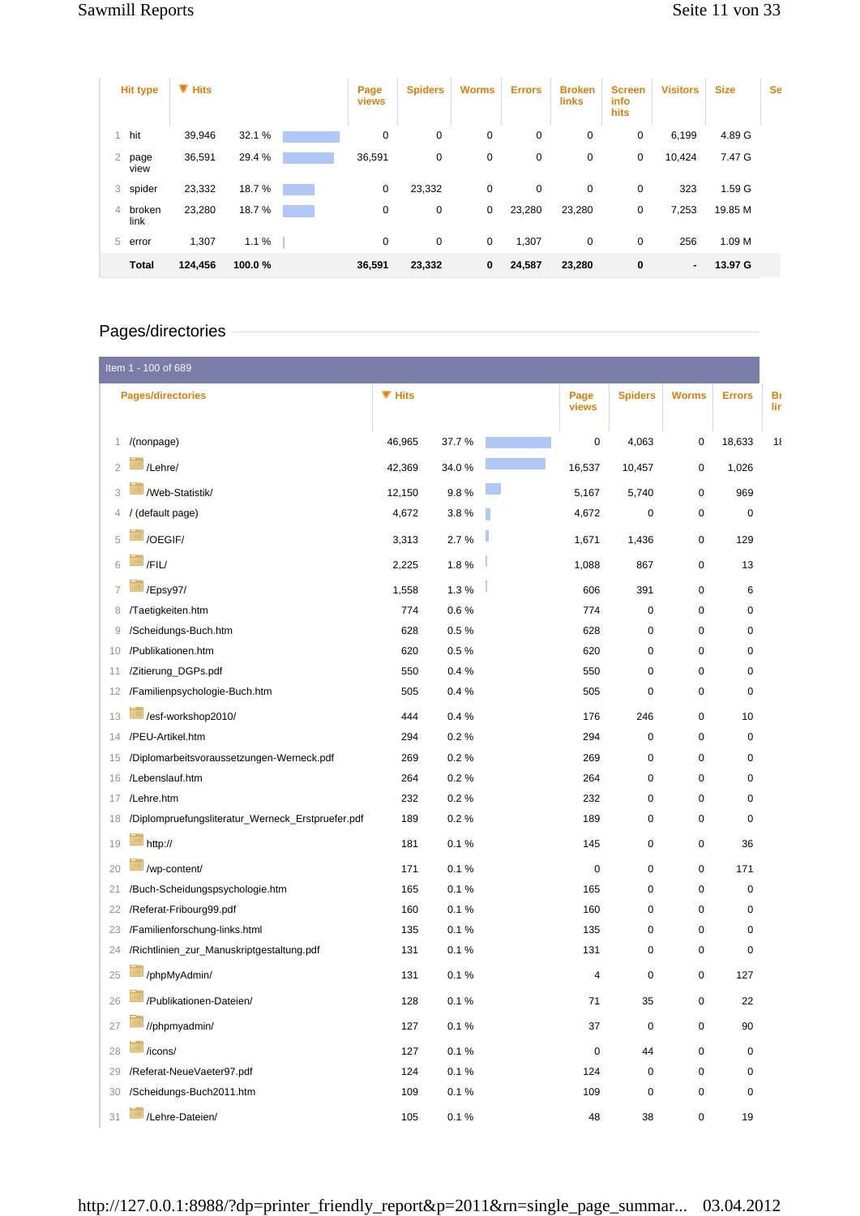| <b>Hit type</b>     | $\P$ Hits |        | Page<br>views | <b>Spiders</b> | <b>Worms</b> | <b>Errors</b> | <b>Broken</b><br><b>links</b> | <b>Screen</b><br>info<br>hits | <b>Visitors</b> | <b>Size</b> | <b>Se</b> |
|---------------------|-----------|--------|---------------|----------------|--------------|---------------|-------------------------------|-------------------------------|-----------------|-------------|-----------|
| hit                 | 39,946    | 32.1 % | 0             | 0              | 0            | 0             | 0                             | 0                             | 6,199           | 4.89 G      |           |
| 2<br>page<br>view   | 36,591    | 29.4 % | 36,591        | 0              | 0            | 0             | 0                             | 0                             | 10,424          | 7.47 G      |           |
| spider<br>3         | 23,332    | 18.7%  | $\mathbf 0$   | 23,332         | 0            | $\mathbf 0$   | $\mathbf 0$                   | 0                             | 323             | 1.59 G      |           |
| broken<br>4<br>link | 23,280    | 18.7%  | 0             | 0              | 0            | 23,280        | 23,280                        | 0                             | 7,253           | 19.85 M     |           |
| 5<br>error          | 1,307     | 1.1%   | $\mathbf 0$   | 0              | 0            | 1,307         | 0                             | 0                             | 256             | 1.09 M      |           |
| <b>Total</b>        | 124,456   | 100.0% | 36,591        | 23,332         | 0            | 24,587        | 23,280                        | 0                             | ۰.              | 13.97 G     |           |

# Pages/directories

|                | Item 1 - 100 of 689                               |               |       |               |                |              |               |           |
|----------------|---------------------------------------------------|---------------|-------|---------------|----------------|--------------|---------------|-----------|
|                | <b>Pages/directories</b>                          | <b>W</b> Hits |       | Page<br>views | <b>Spiders</b> | <b>Worms</b> | <b>Errors</b> | Bı<br>lir |
| 1              | /(nonpage)                                        | 46,965        | 37.7% | 0             | 4,063          | 0            | 18,633        | 11        |
| $\overline{2}$ | /Lehre/                                           | 42,369        | 34.0% | 16,537        | 10,457         | 0            | 1,026         |           |
| 3              | /Web-Statistik                                    | 12,150        | 9.8%  | 5,167         | 5,740          | 0            | 969           |           |
| 4              | (default page)                                    | 4,672         | 3.8%  | 4,672         | 0              | 0            | 0             |           |
| 5              | /OEGIF/                                           | 3,313         | 2.7%  | 1,671         | 1,436          | 0            | 129           |           |
| 6              | /FIL/                                             | 2,225         | 1.8%  | 1,088         | 867            | 0            | 13            |           |
| 7              | /Epsy97/                                          | 1,558         | 1.3%  | 606           | 391            | 0            | 6             |           |
| 8              | /Taetigkeiten.htm                                 | 774           | 0.6%  | 774           | 0              | 0            | 0             |           |
| 9              | /Scheidungs-Buch.htm                              | 628           | 0.5%  | 628           | 0              | 0            | 0             |           |
| 10             | /Publikationen.htm                                | 620           | 0.5%  | 620           | 0              | 0            | 0             |           |
| 11             | /Zitierung_DGPs.pdf                               | 550           | 0.4%  | 550           | 0              | 0            | 0             |           |
| 12             | /Familienpsychologie-Buch.htm                     | 505           | 0.4%  | 505           | 0              | 0            | 0             |           |
| 13             | /esf-workshop2010/                                | 444           | 0.4%  | 176           | 246            | 0            | 10            |           |
| 14             | /PEU-Artikel.htm                                  | 294           | 0.2%  | 294           | 0              | 0            | 0             |           |
| 15             | /Diplomarbeitsvoraussetzungen-Werneck.pdf         | 269           | 0.2%  | 269           | 0              | 0            | 0             |           |
| 16             | /Lebenslauf.htm                                   | 264           | 0.2%  | 264           | 0              | 0            | 0             |           |
| 17             | /Lehre.htm                                        | 232           | 0.2%  | 232           | 0              | 0            | 0             |           |
| 18             | /Diplompruefungsliteratur_Werneck_Erstpruefer.pdf | 189           | 0.2%  | 189           | 0              | 0            | 0             |           |
| 19             | http://                                           | 181           | 0.1%  | 145           | 0              | 0            | 36            |           |
| 20             | /wp-content/                                      | 171           | 0.1%  | $\mathbf 0$   | 0              | 0            | 171           |           |
| 21             | /Buch-Scheidungspsychologie.htm                   | 165           | 0.1%  | 165           | 0              | 0            | 0             |           |
| 22             | /Referat-Fribourg99.pdf                           | 160           | 0.1%  | 160           | 0              | 0            | 0             |           |
| 23             | /Familienforschung-links.html                     | 135           | 0.1%  | 135           | 0              | 0            | 0             |           |
| 24             | /Richtlinien_zur_Manuskriptgestaltung.pdf         | 131           | 0.1%  | 131           | 0              | 0            | 0             |           |
| 25             | /phpMyAdmin/                                      | 131           | 0.1%  | 4             | 0              | 0            | 127           |           |
| 26             | /Publikationen-Dateien/                           | 128           | 0.1%  | 71            | 35             | 0            | 22            |           |
| 27             | //phpmyadmin/                                     | 127           | 0.1 % | 37            | 0              | $\pmb{0}$    | $90\,$        |           |
| 28             | /icons/                                           | 127           | 0.1%  | $\pmb{0}$     | 44             | $\pmb{0}$    | $\pmb{0}$     |           |
| 29             | /Referat-NeueVaeter97.pdf                         | 124           | 0.1%  | 124           | 0              | 0            | 0             |           |
| 30             | /Scheidungs-Buch2011.htm                          | 109           | 0.1 % | 109           | 0              | 0            | 0             |           |
| 31             | /Lehre-Dateien/                                   | 105           | 0.1 % | 48            | 38             | 0            | 19            |           |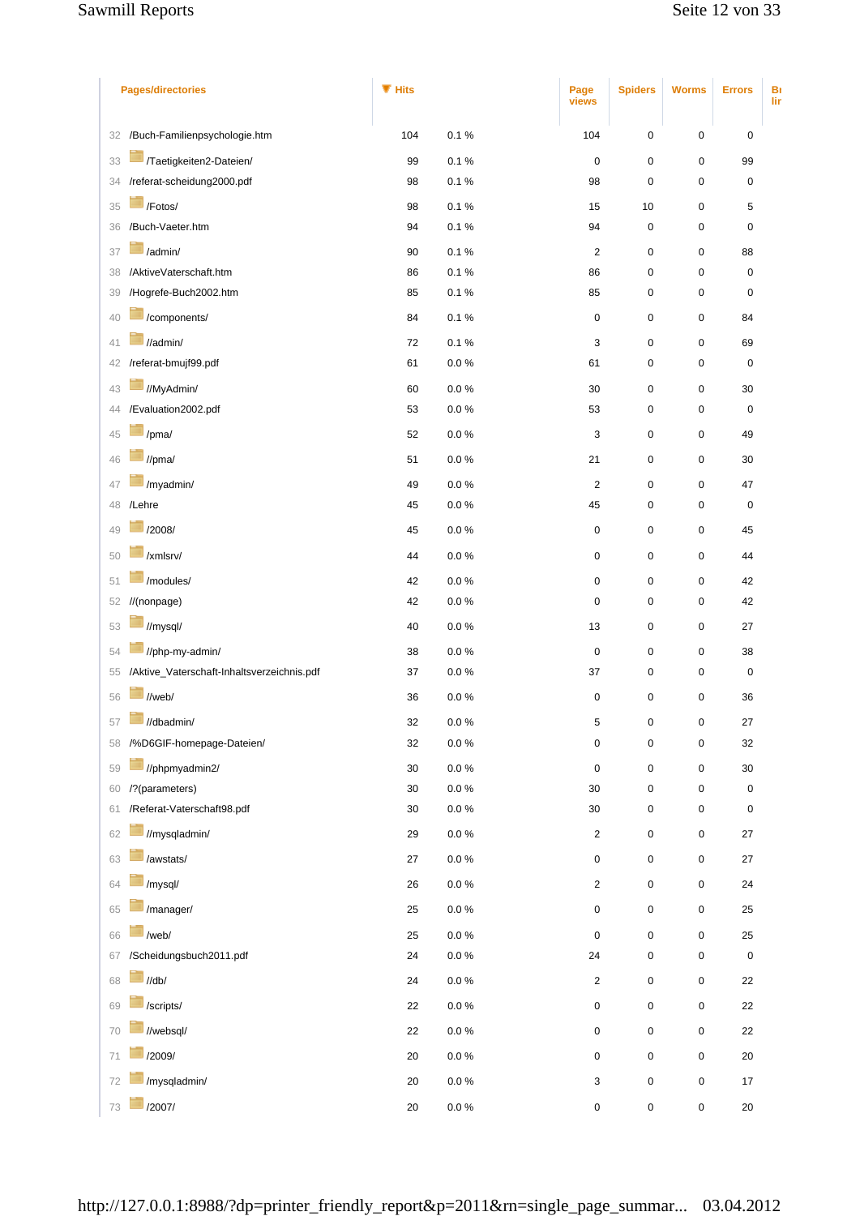## Sawmill Reports Sawmill Reports Seite 12 von 33

| <b>Pages/directories</b> |                                            | $\P$ Hits    |                        | Page<br>views                 | <b>Spiders</b>         | <b>Worms</b>   | <b>Errors</b> | Bı<br>lir |
|--------------------------|--------------------------------------------|--------------|------------------------|-------------------------------|------------------------|----------------|---------------|-----------|
| 32                       | /Buch-Familienpsychologie.htm              | 104          | 0.1%                   | 104                           | 0                      | 0              | 0             |           |
| 33                       | /Taetigkeiten2-Dateien                     | 99           | 0.1%                   | $\mathbf 0$                   | 0                      | 0              | 99            |           |
| 34                       | /referat-scheidung2000.pdf                 | 98           | 0.1%                   | 98                            | 0                      | 0              | 0             |           |
| 35                       | /Fotos/                                    | 98           | 0.1%                   | 15                            | 10                     | 0              | 5             |           |
| 36                       | /Buch-Vaeter.htm                           | 94           | 0.1%                   | 94                            | 0                      | 0              | $\mathbf 0$   |           |
| 37                       | /admin/                                    | 90           | 0.1%                   | $\overline{c}$                | 0                      | 0              | 88            |           |
| 38                       | /AktiveVaterschaft.htm                     | 86           | 0.1%                   | 86                            | 0                      | 0              | $\pmb{0}$     |           |
| 39                       | /Hogrefe-Buch2002.htm                      | 85           | 0.1%                   | 85                            | 0                      | 0              | $\pmb{0}$     |           |
| 40                       | /components/                               | 84           | 0.1%                   | $\pmb{0}$                     | 0                      | 0              | 84            |           |
| 41                       | //admin/                                   | 72           | 0.1%                   | 3                             | 0                      | 0              | 69            |           |
| 42                       | /referat-bmujf99.pdf                       | 61           | 0.0 %                  | 61                            | 0                      | 0              | $\pmb{0}$     |           |
| 43                       | //MyAdmin/                                 | 60           | $0.0\ \%$              | 30                            | 0                      | 0              | 30            |           |
| 44                       | /Evaluation2002.pdf                        | 53           | 0.0 %                  | 53                            | 0                      | 0              | $\pmb{0}$     |           |
| 45                       | /pma/                                      | 52           | 0.0 %                  | 3                             | 0                      | 0              | 49            |           |
| 46                       | //pma/                                     | 51           | $0.0\ \%$              | 21                            | 0                      | 0              | 30            |           |
| 47                       | /myadmin/                                  | 49           | $0.0\ \%$              | $\sqrt{2}$                    | $\pmb{0}$              | 0              | 47            |           |
| 48                       | /Lehre                                     | 45           | 0.0 %                  | 45                            | 0                      | 0              | 0             |           |
| 49                       | /2008/                                     | 45           | $0.0\ \%$              | $\mathbf 0$                   | $\pmb{0}$              | 0              | 45            |           |
| 50                       | /xmlsrv/                                   | 44           | 0.0 %                  | $\pmb{0}$                     | $\pmb{0}$              | 0              | 44            |           |
| 51                       | /modules/                                  | 42           | $0.0\ \%$              | $\pmb{0}$                     | 0                      | 0              | 42            |           |
| 52                       | //(nonpage)                                | 42           | 0.0 %                  | $\pmb{0}$                     | 0                      | 0              | 42            |           |
| 53                       | //mysql/                                   | 40           | $0.0\ \%$              | 13                            | 0                      | 0              | 27            |           |
|                          | //php-my-admin/                            | 38           |                        |                               |                        |                | 38            |           |
| 54<br>55                 | /Aktive_Vaterschaft-Inhaltsverzeichnis.pdf | 37           | $0.0\ \%$<br>0.0 %     | $\pmb{0}$<br>37               | $\pmb{0}$<br>$\pmb{0}$ | $\pmb{0}$<br>0 | $\pmb{0}$     |           |
| 56                       | //web/                                     | 36           |                        | $\pmb{0}$                     |                        | 0              |               |           |
|                          |                                            |              | $0.0\ \%$              |                               | $\pmb{0}$              |                | 36            |           |
|                          | //dbadmin/<br>58 /%D6GIF-homepage-Dateien/ | 32<br>32     | $0.0\ \%$<br>0.0 %     | 5<br>$\pmb{0}$                | $\Omega$               | $\Omega$       | 27<br>32      |           |
|                          |                                            |              |                        |                               | $\pmb{0}$              | $\pmb{0}$      |               |           |
| 59                       | //phpmyadmin2/<br>/?(parameters)           | $30\,$<br>30 | $0.0\ \%$<br>$0.0\ \%$ | $\mathsf{O}\xspace$<br>$30\,$ | $\pmb{0}$<br>$\pmb{0}$ | 0              | $30\,$        |           |
| 60<br>61                 | /Referat-Vaterschaft98.pdf                 | 30           | $0.0\ \%$              | 30                            | 0                      | 0<br>0         | 0<br>0        |           |
| 62                       | //mysqladmin/                              | 29           | $0.0\ \%$              | $\sqrt{2}$                    | 0                      | $\pmb{0}$      | $27\,$        |           |
|                          | /awstats/                                  |              |                        |                               |                        |                |               |           |
| 63                       |                                            | $27\,$       | $0.0\ \%$              | $\pmb{0}$                     | 0                      | 0              | 27            |           |
| 64                       | /mysql/                                    | 26           | $0.0\ \%$              | $\overline{2}$                | 0                      | 0              | 24            |           |
| 65                       | /manager/                                  | 25           | $0.0\ \%$              | $\pmb{0}$                     | 0                      | 0              | 25            |           |
| 66                       | /web/                                      | 25           | $0.0\ \%$              | $\mathsf{O}\xspace$           | 0                      | 0              | 25            |           |
| 67                       | /Scheidungsbuch2011.pdf                    | 24           | $0.0\ \%$              | 24                            | 0                      | 0              | 0             |           |
| 68                       | $\mathcal{U}$ db $\mathcal{U}$             | 24           | $0.0\ \%$              | $\overline{\mathbf{c}}$       | 0                      | 0              | 22            |           |
| 69                       | /scripts/                                  | 22           | $0.0\ \%$              | $\pmb{0}$                     | 0                      | 0              | 22            |           |
| 70                       | //websql/                                  | 22           | $0.0\ \%$              | $\pmb{0}$                     | $\pmb{0}$              | 0              | 22            |           |
| 71                       | /2009/                                     | $20\,$       | $0.0\ \%$              | $\pmb{0}$                     | 0                      | 0              | $20\,$        |           |
| 72                       | /mysqladmin/                               | 20           | $0.0\ \%$              | 3                             | 0                      | 0              | 17            |           |
| 73                       | /2007/                                     | $20\,$       | $0.0\ \%$              | $\pmb{0}$                     | $\pmb{0}$              | 0              | 20            |           |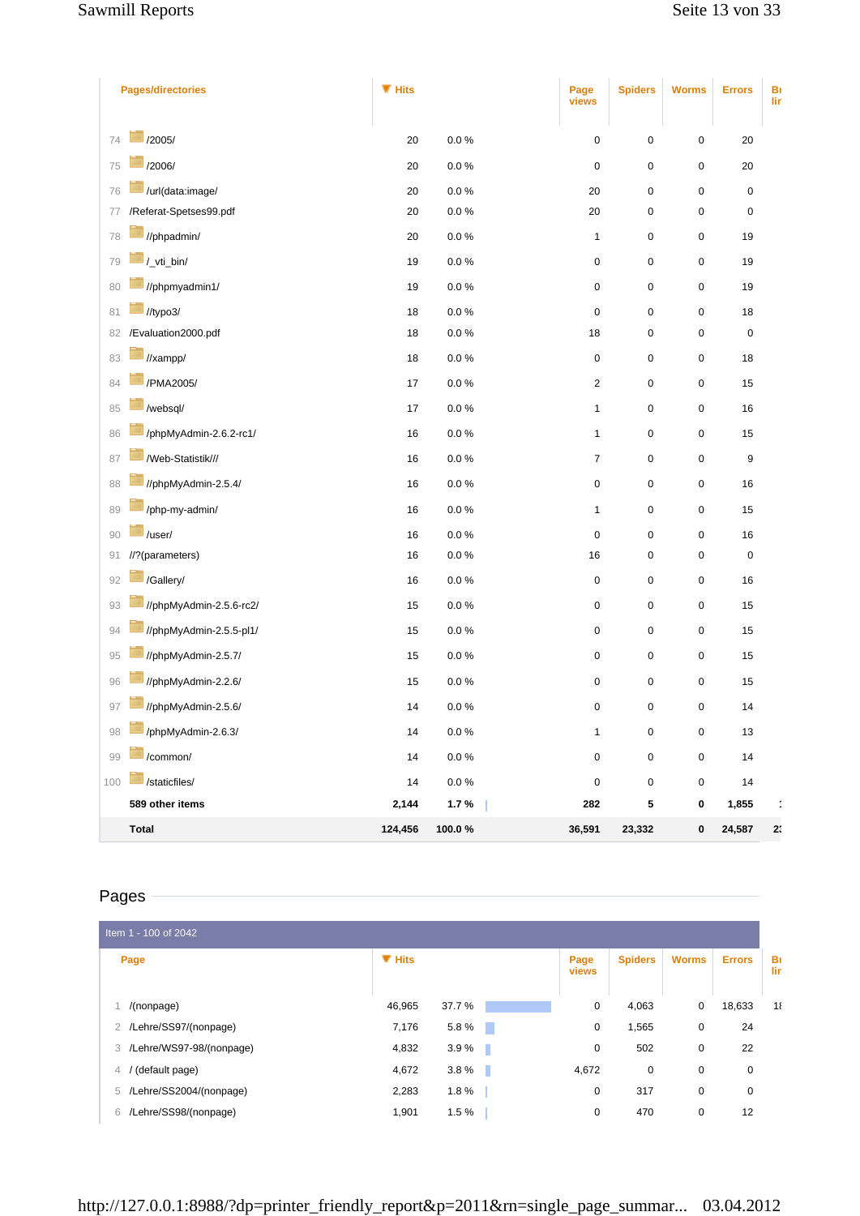| <b>Pages/directories</b>                               | $\P$ Hits |                    | Page<br>views  | <b>Spiders</b> | <b>Worms</b>                    | <b>Errors</b>  | Bı<br>lir |
|--------------------------------------------------------|-----------|--------------------|----------------|----------------|---------------------------------|----------------|-----------|
| /2005/                                                 |           |                    |                |                |                                 |                |           |
| 74                                                     | 20        | $0.0\ \%$          | $\pmb{0}$      | $\pmb{0}$      | $\mathbf 0$                     | 20             |           |
| /2006/<br>75                                           | 20        | $0.0\ \%$          | $\pmb{0}$      | $\pmb{0}$      | $\pmb{0}$                       | 20             |           |
| /url(data:image/<br>76<br>/Referat-Spetses99.pdf<br>77 | 20<br>20  | $0.0\ \%$<br>0.0 % | 20<br>20       | $\pmb{0}$<br>0 | $\boldsymbol{0}$<br>$\mathbf 0$ | $\pmb{0}$<br>0 |           |
| //phpadmin/                                            |           |                    |                |                |                                 |                |           |
| 78                                                     | 20        | $0.0\ \%$          | $\mathbf{1}$   | $\pmb{0}$      | $\mathbf 0$                     | 19             |           |
| /_vti_bin/<br>79                                       | 19        | $0.0\ \%$          | 0              | $\pmb{0}$      | $\pmb{0}$                       | 19             |           |
| //phpmyadmin1/<br>80                                   | 19        | $0.0\,\%$          | 0              | $\pmb{0}$      | $\pmb{0}$                       | 19             |           |
| //typo3/<br>81                                         | 18        | $0.0\ \%$          | $\pmb{0}$      | $\pmb{0}$      | $\mathbf 0$                     | 18             |           |
| /Evaluation2000.pdf<br>82                              | 18        | 0.0 %              | 18             | 0              | $\mathbf 0$                     | $\pmb{0}$      |           |
| //xampp/<br>83                                         | 18        | 0.0 %              | 0              | $\pmb{0}$      | $\mathbf 0$                     | 18             |           |
| /PMA2005/<br>84                                        | 17        | $0.0\ \%$          | $\overline{c}$ | $\pmb{0}$      | $\pmb{0}$                       | 15             |           |
| /websql/<br>85                                         | 17        | 0.0 %              | $\mathbf{1}$   | $\pmb{0}$      | $\pmb{0}$                       | 16             |           |
| /phpMyAdmin-2.6.2-rc1/<br>86                           | $16\,$    | $0.0\ \%$          | $\mathbf{1}$   | $\pmb{0}$      | $\pmb{0}$                       | 15             |           |
| /Web-Statistik///<br>87                                | 16        | $0.0\ \%$          | $\overline{7}$ | $\pmb{0}$      | $\pmb{0}$                       | 9              |           |
| //phpMyAdmin-2.5.4/<br>88                              | 16        | $0.0\ \%$          | 0              | $\pmb{0}$      | $\mathbf 0$                     | 16             |           |
| /php-my-admin/<br>89                                   | 16        | $0.0\ \%$          | $\mathbf{1}$   | $\pmb{0}$      | $\pmb{0}$                       | 15             |           |
| /user/<br>90                                           | 16        | 0.0 %              | $\pmb{0}$      | $\pmb{0}$      | $\pmb{0}$                       | 16             |           |
| //?(parameters)<br>91                                  | 16        | $0.0\ \%$          | 16             | $\pmb{0}$      | $\mathbf 0$                     | $\pmb{0}$      |           |
| /Gallery/<br>92                                        | 16        | $0.0\,\%$          | $\pmb{0}$      | $\pmb{0}$      | $\mathbf 0$                     | 16             |           |
| //phpMyAdmin-2.5.6-rc2/<br>93                          | 15        | $0.0\,\%$          | 0              | $\pmb{0}$      | $\mathbf 0$                     | 15             |           |
| //phpMyAdmin-2.5.5-pl1/<br>94                          | 15        | $0.0\,\%$          | 0              | $\pmb{0}$      | $\pmb{0}$                       | 15             |           |
| //phpMyAdmin-2.5.7/<br>95                              | 15        | $0.0\ \%$          | 0              | $\pmb{0}$      | $\pmb{0}$                       | 15             |           |
| //phpMyAdmin-2.2.6/<br>96                              | 15        | 0.0 %              | 0              | $\pmb{0}$      | $\pmb{0}$                       | 15             |           |
| //phpMyAdmin-2.5.6/<br>97                              | 14        | $0.0\ \%$          | $\pmb{0}$      | $\pmb{0}$      | $\mathbf 0$                     | 14             |           |
| ÷<br>/phpMyAdmin-2.6.3/<br>$98\,$                      | 14        | $0.0\ \%$          | $\mathbf{1}$   | 0              | $\pmb{0}$                       | 13             |           |
| /common/<br>99                                         | 14        | $0.0\ \%$          | 0              | 0              | $\pmb{0}$                       | 14             |           |
| /staticfiles/<br>100                                   | 14        | $0.0\ \%$          | $\pmb{0}$      | 0              | $\pmb{0}$                       | 14             |           |
| 589 other items                                        | 2,144     | 1.7%               | 282            | 5              | 0                               | 1,855          |           |
| <b>Total</b>                                           | 124,456   | 100.0%             | 36,591         | 23,332         | $\pmb{0}$                       | 24,587         | 2:        |

# Pages

| Item 1 - 100 of 2042             |           |            |               |                |              |               |           |
|----------------------------------|-----------|------------|---------------|----------------|--------------|---------------|-----------|
| Page                             | $\P$ Hits |            | Page<br>views | <b>Spiders</b> | <b>Worms</b> | <b>Errors</b> | Bı<br>lir |
| /(nonpage)                       | 46,965    | 37.7 %     | 0             | 4,063          | 0            | 18,633        | $1\ell$   |
| 2 /Lehre/SS97/(nonpage)          | 7,176     | 5.8%<br>n. | 0             | 1,565          | 0            | 24            |           |
| 3 /Lehre/WS97-98/(nonpage)       | 4,832     | 3.9%<br>ш  | 0             | 502            | 0            | 22            |           |
| (default page)<br>$\overline{4}$ | 4,672     | 3.8%<br>ш  | 4,672         | 0              | 0            | 0             |           |
| 5 /Lehre/SS2004/(nonpage)        | 2,283     | 1.8%       | 0             | 317            | 0            | 0             |           |
| /Lehre/SS98/(nonpage)<br>6       | 1,901     | 1.5%       | 0             | 470            | 0            | 12            |           |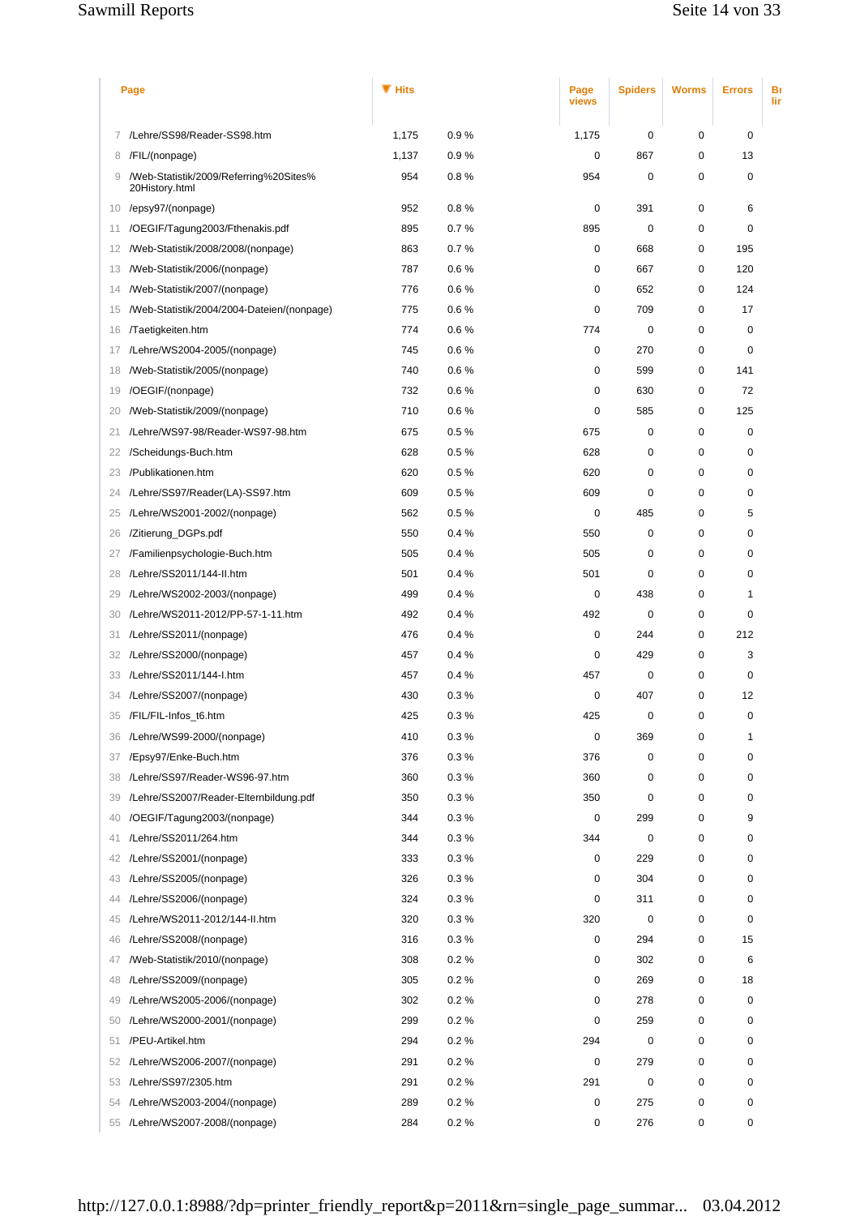## Sawmill Reports Sawmill Reports Seite 14 von 33

| Page |                                                          | $\P$ Hits |      | Page<br>views    | <b>Spiders</b> | <b>Worms</b> | <b>Errors</b> | Bı<br>lir |
|------|----------------------------------------------------------|-----------|------|------------------|----------------|--------------|---------------|-----------|
| 7.   | /Lehre/SS98/Reader-SS98.htm                              | 1,175     | 0.9% | 1,175            | 0              | 0            | 0             |           |
| 8    | /FIL/(nonpage)                                           | 1,137     | 0.9% | $\mathbf 0$      | 867            | 0            | 13            |           |
| 9    | /Web-Statistik/2009/Referring%20Sites%<br>20History.html | 954       | 0.8% | 954              | 0              | 0            | $\mathbf 0$   |           |
| 10   | /epsy97/(nonpage)                                        | 952       | 0.8% | 0                | 391            | 0            | 6             |           |
| 11   | /OEGIF/Tagung2003/Fthenakis.pdf                          | 895       | 0.7% | 895              | 0              | 0            | $\mathbf 0$   |           |
| 12   | /Web-Statistik/2008/2008/(nonpage)                       | 863       | 0.7% | 0                | 668            | 0            | 195           |           |
| 13   | /Web-Statistik/2006/(nonpage)                            | 787       | 0.6% | 0                | 667            | 0            | 120           |           |
| 14   | /Web-Statistik/2007/(nonpage)                            | 776       | 0.6% | 0                | 652            | $\mathbf 0$  | 124           |           |
| 15   | /Web-Statistik/2004/2004-Dateien/(nonpage)               | 775       | 0.6% | 0                | 709            | 0            | 17            |           |
| 16   | /Taetigkeiten.htm                                        | 774       | 0.6% | 774              | $\mathbf 0$    | $\mathbf 0$  | $\mathbf 0$   |           |
| 17   | /Lehre/WS2004-2005/(nonpage)                             | 745       | 0.6% | 0                | 270            | 0            | 0             |           |
| 18   | /Web-Statistik/2005/(nonpage)                            | 740       | 0.6% | 0                | 599            | 0            | 141           |           |
| 19   | /OEGIF/(nonpage)                                         | 732       | 0.6% | 0                | 630            | 0            | 72            |           |
| 20   | /Web-Statistik/2009/(nonpage)                            | 710       | 0.6% | 0                | 585            | 0            | 125           |           |
| 21   | /Lehre/WS97-98/Reader-WS97-98.htm                        | 675       | 0.5% | 675              | 0              | 0            | 0             |           |
| 22   | /Scheidungs-Buch.htm                                     | 628       | 0.5% | 628              | 0              | $\mathbf 0$  | 0             |           |
| 23   | /Publikationen.htm                                       | 620       | 0.5% | 620              | 0              | 0            | 0             |           |
| 24   | /Lehre/SS97/Reader(LA)-SS97.htm                          | 609       | 0.5% | 609              | 0              | 0            | 0             |           |
| 25   | /Lehre/WS2001-2002/(nonpage)                             | 562       | 0.5% | 0                | 485            | 0            | 5             |           |
| 26   | /Zitierung_DGPs.pdf                                      | 550       | 0.4% | 550              | 0              | 0            | $\mathbf 0$   |           |
| 27   | /Familienpsychologie-Buch.htm                            | 505       | 0.4% | 505              | 0              | 0            | $\mathbf 0$   |           |
| 28   | /Lehre/SS2011/144-II.htm                                 | 501       | 0.4% | 501              | 0              | 0            | 0             |           |
| 29   | /Lehre/WS2002-2003/(nonpage)                             | 499       | 0.4% | 0                | 438            | 0            | $\mathbf{1}$  |           |
| 30   | /Lehre/WS2011-2012/PP-57-1-11.htm                        | 492       | 0.4% | 492              | 0              | 0            | $\mathbf 0$   |           |
| 31   | /Lehre/SS2011/(nonpage)                                  | 476       | 0.4% | 0                | 244            | 0            | 212           |           |
| 32   | /Lehre/SS2000/(nonpage)                                  | 457       | 0.4% | 0                | 429            | 0            | 3             |           |
| 33   | /Lehre/SS2011/144-I.htm                                  | 457       | 0.4% | 457              | 0              | 0            | 0             |           |
| 34   | /Lehre/SS2007/(nonpage)                                  | 430       | 0.3% | $\mathbf 0$      | 407            | 0            | 12            |           |
|      | 35 /FIL/FIL-Infos_t6.htm                                 | 425       | 0.3% | 425              | 0              | 0            | 0             |           |
| 36   | /Lehre/WS99-2000/(nonpage)                               | 410       | 0.3% | $\mathbf 0$      | 369            | 0            | 1             |           |
| 37   | /Epsy97/Enke-Buch.htm                                    | 376       | 0.3% | 376              | 0              | 0            | 0             |           |
| 38   | /Lehre/SS97/Reader-WS96-97.htm                           | 360       | 0.3% | 360              | 0              | 0            | 0             |           |
| 39   | /Lehre/SS2007/Reader-Elternbildung.pdf                   | 350       | 0.3% | 350              | 0              | 0            | 0             |           |
| 40   | /OEGIF/Tagung2003/(nonpage)                              | 344       | 0.3% | $\mathbf 0$      | 299            | 0            | 9             |           |
| 41   | /Lehre/SS2011/264.htm                                    | 344       | 0.3% | 344              | $\mathbf 0$    | 0            | 0             |           |
| 42   | /Lehre/SS2001/(nonpage)                                  | 333       | 0.3% | $\mathbf 0$      | 229            | 0            | 0             |           |
|      | /Lehre/SS2005/(nonpage)                                  | 326       | 0.3% | 0                | 304            | 0            | 0             |           |
| 43   |                                                          | 324       | 0.3% | 0                | 311            | 0            | 0             |           |
| 44   | /Lehre/SS2006/(nonpage)<br>/Lehre/WS2011-2012/144-II.htm |           |      |                  | 0              | 0            | $\mathbf 0$   |           |
| 45   |                                                          | 320       | 0.3% | 320<br>$\pmb{0}$ |                |              |               |           |
| 46   | /Lehre/SS2008/(nonpage)                                  | 316       | 0.3% |                  | 294            | 0            | 15            |           |
| 47   | /Web-Statistik/2010/(nonpage)                            | 308       | 0.2% | 0                | 302            | 0            | 6             |           |
| 48   | /Lehre/SS2009/(nonpage)                                  | 305       | 0.2% | 0                | 269            | 0            | 18            |           |
| 49   | /Lehre/WS2005-2006/(nonpage)                             | 302       | 0.2% | 0                | 278            | 0            | 0             |           |
| 50   | /Lehre/WS2000-2001/(nonpage)                             | 299       | 0.2% | 0                | 259            | 0            | 0             |           |
| 51   | /PEU-Artikel.htm                                         | 294       | 0.2% | 294              | 0              | 0            | 0             |           |
| 52   | /Lehre/WS2006-2007/(nonpage)                             | 291       | 0.2% | $\mathbf 0$      | 279            | 0            | 0             |           |
| 53   | /Lehre/SS97/2305.htm                                     | 291       | 0.2% | 291              | $\mathbf 0$    | 0            | 0             |           |
| 54   | /Lehre/WS2003-2004/(nonpage)                             | 289       | 0.2% | $\pmb{0}$        | 275            | 0            | 0             |           |
| 55   | /Lehre/WS2007-2008/(nonpage)                             | 284       | 0.2% | $\pmb{0}$        | 276            | 0            | 0             |           |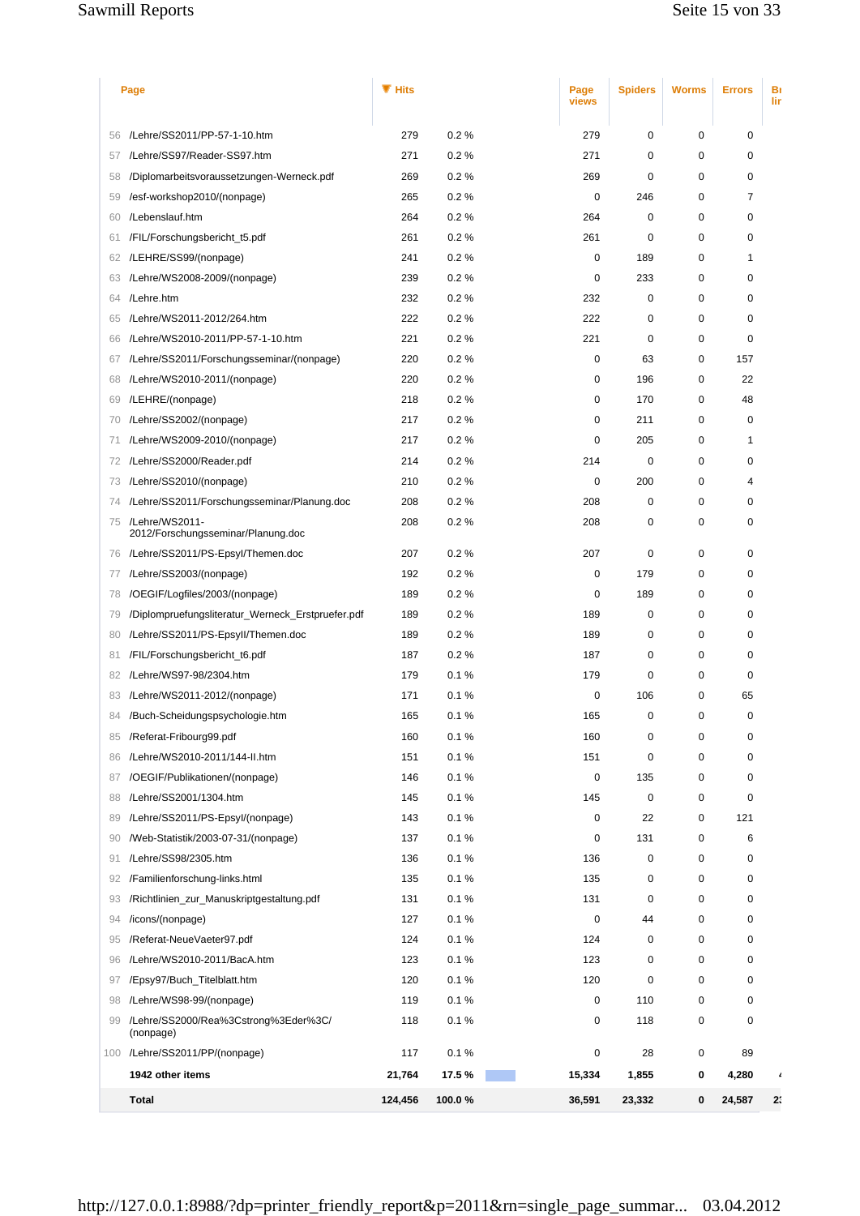## Sawmill Reports Sawmill Reports Seite 15 von 33

|    | Page                                                    |         |        | Page<br>views | <b>Spiders</b> | <b>Worms</b> | <b>Errors</b> | Bı<br>lir |
|----|---------------------------------------------------------|---------|--------|---------------|----------------|--------------|---------------|-----------|
| 56 | /Lehre/SS2011/PP-57-1-10.htm                            | 279     | 0.2%   | 279           | 0              | 0            | 0             |           |
| 57 | /Lehre/SS97/Reader-SS97.htm                             | 271     | 0.2%   | 271           | 0              | 0            | 0             |           |
| 58 | /Diplomarbeitsvoraussetzungen-Werneck.pdf               | 269     | 0.2%   | 269           | $\mathbf 0$    | 0            | 0             |           |
| 59 | /esf-workshop2010/(nonpage)                             | 265     | 0.2%   | 0             | 246            | 0            | 7             |           |
| 60 | /Lebenslauf.htm                                         | 264     | 0.2%   | 264           | 0              | 0            | 0             |           |
| 61 | /FIL/Forschungsbericht_t5.pdf                           | 261     | 0.2%   | 261           | 0              | 0            | 0             |           |
| 62 | /LEHRE/SS99/(nonpage)                                   | 241     | 0.2%   | 0             | 189            | 0            | 1             |           |
| 63 | /Lehre/WS2008-2009/(nonpage)                            | 239     | 0.2%   | $\mathbf 0$   | 233            | 0            | 0             |           |
| 64 | /Lehre.htm                                              | 232     | 0.2%   | 232           | 0              | 0            | 0             |           |
| 65 | /Lehre/WS2011-2012/264.htm                              | 222     | 0.2%   | 222           | 0              | 0            | 0             |           |
| 66 | /Lehre/WS2010-2011/PP-57-1-10.htm                       | 221     | 0.2%   | 221           | 0              | 0            | 0             |           |
| 67 | /Lehre/SS2011/Forschungsseminar/(nonpage)               | 220     | 0.2%   | 0             | 63             | 0            | 157           |           |
| 68 | /Lehre/WS2010-2011/(nonpage)                            | 220     | 0.2%   | 0             | 196            | 0            | 22            |           |
| 69 | /LEHRE/(nonpage)                                        | 218     | 0.2%   | 0             | 170            | $\mathbf 0$  | 48            |           |
| 70 | /Lehre/SS2002/(nonpage)                                 | 217     | 0.2%   | 0             | 211            | 0            | 0             |           |
| 71 | /Lehre/WS2009-2010/(nonpage)                            | 217     | 0.2%   | 0             | 205            | 0            | 1             |           |
| 72 | /Lehre/SS2000/Reader.pdf                                | 214     | 0.2%   | 214           | 0              | 0            | 0             |           |
| 73 | /Lehre/SS2010/(nonpage)                                 | 210     | 0.2%   | 0             | 200            | 0            | 4             |           |
| 74 | /Lehre/SS2011/Forschungsseminar/Planung.doc             | 208     | 0.2%   | 208           | $\mathbf 0$    | 0            | 0             |           |
|    | 75 /Lehre/WS2011-<br>2012/Forschungsseminar/Planung.doc | 208     | 0.2%   | 208           | 0              | 0            | 0             |           |
| 76 | /Lehre/SS2011/PS-Epsyl/Themen.doc                       | 207     | 0.2%   | 207           | $\mathbf 0$    | $\mathbf 0$  | 0             |           |
| 77 | /Lehre/SS2003/(nonpage)                                 | 192     | 0.2%   | 0             | 179            | 0            | 0             |           |
| 78 | /OEGIF/Logfiles/2003/(nonpage)                          | 189     | 0.2%   | 0             | 189            | 0            | 0             |           |
| 79 | /Diplompruefungsliteratur_Werneck_Erstpruefer.pdf       | 189     | 0.2%   | 189           | 0              | 0            | 0             |           |
| 80 | /Lehre/SS2011/PS-Epsyll/Themen.doc                      | 189     | 0.2%   | 189           | 0              | 0            | 0             |           |
| 81 | /FIL/Forschungsbericht_t6.pdf                           | 187     | 0.2%   | 187           | 0              | 0            | 0             |           |
| 82 | /Lehre/WS97-98/2304.htm                                 | 179     | 0.1%   | 179           | 0              | 0            | 0             |           |
| 83 | /Lehre/WS2011-2012/(nonpage)                            | 171     | 0.1%   | $\mathbf 0$   | 106            | 0            | 65            |           |
| 84 | /Buch-Scheidungspsychologie.htm                         | 165     | 0.1%   | 165           | 0              | $\Omega$     | $\Omega$      |           |
| 85 | /Referat-Fribourg99.pdf                                 | 160     | 0.1%   | 160           | 0              | $\mathbf 0$  | 0             |           |
| 86 | /Lehre/WS2010-2011/144-II.htm                           | 151     | 0.1%   | 151           | 0              | 0            | 0             |           |
| 87 | /OEGIF/Publikationen/(nonpage)                          | 146     | 0.1%   | $\pmb{0}$     | 135            | 0            | 0             |           |
| 88 | /Lehre/SS2001/1304.htm                                  | 145     | 0.1%   | 145           | 0              | $\mathbf 0$  | 0             |           |
| 89 | /Lehre/SS2011/PS-Epsyl/(nonpage)                        | 143     | 0.1%   | $\mathbf 0$   | 22             | 0            | 121           |           |
| 90 | /Web-Statistik/2003-07-31/(nonpage)                     | 137     | 0.1%   | $\mathbf 0$   | 131            | 0            | 6             |           |
| 91 | /Lehre/SS98/2305.htm                                    | 136     | 0.1%   | 136           | 0              | $\mathbf 0$  | 0             |           |
| 92 | /Familienforschung-links.html                           | 135     | 0.1%   | 135           | 0              | 0            | 0             |           |
| 93 | /Richtlinien_zur_Manuskriptgestaltung.pdf               | 131     | 0.1%   | 131           | 0              | 0            | 0             |           |
| 94 | /icons/(nonpage)                                        | 127     | 0.1%   | $\mathbf 0$   | 44             | $\mathbf 0$  | 0             |           |
| 95 | /Referat-NeueVaeter97.pdf                               | 124     | 0.1%   | 124           | 0              | 0            | 0             |           |
| 96 | /Lehre/WS2010-2011/BacA.htm                             | 123     | 0.1%   | 123           | 0              | $\mathbf 0$  | 0             |           |
| 97 | /Epsy97/Buch_Titelblatt.htm                             | 120     | 0.1%   | 120           | 0              | $\mathbf 0$  | 0             |           |
| 98 | /Lehre/WS98-99/(nonpage)                                | 119     | 0.1%   | $\pmb{0}$     | 110            | 0            | 0             |           |
| 99 | /Lehre/SS2000/Rea%3Cstrong%3Eder%3C/<br>(nonpage)       | 118     | 0.1%   | 0             | 118            | 0            | 0             |           |
|    | 100 /Lehre/SS2011/PP/(nonpage)                          | 117     | 0.1%   | 0             | 28             | 0            | 89            |           |
|    | 1942 other items                                        | 21,764  | 17.5%  | 15,334        | 1,855          | 0            | 4,280         |           |
|    | <b>Total</b>                                            | 124,456 | 100.0% | 36,591        | 23,332         | 0            | 24,587        | 2:        |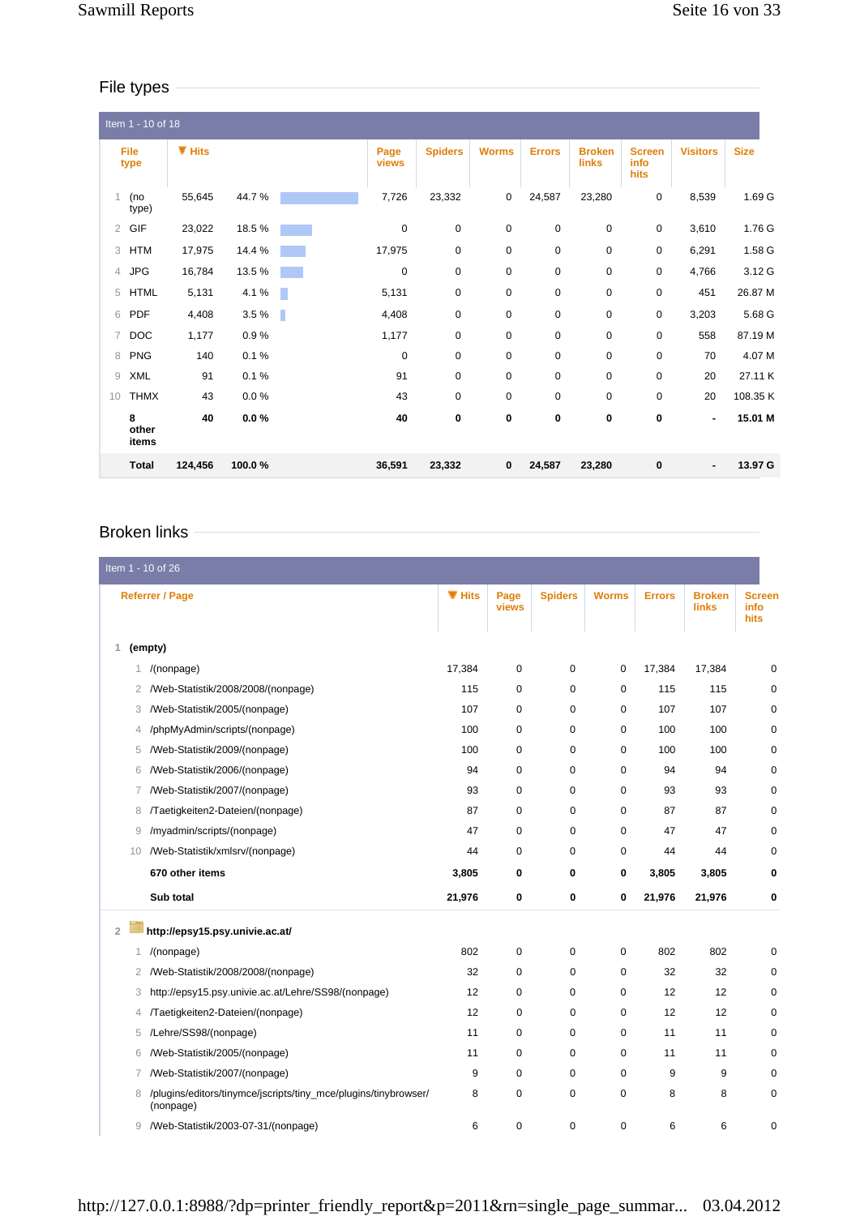## File types

|                | Item 1 - 10 of 18   |           |          |   |               |                |              |               |                        |                               |                 |             |
|----------------|---------------------|-----------|----------|---|---------------|----------------|--------------|---------------|------------------------|-------------------------------|-----------------|-------------|
|                | <b>File</b><br>type | $\P$ Hits |          |   | Page<br>views | <b>Spiders</b> | <b>Worms</b> | <b>Errors</b> | <b>Broken</b><br>links | <b>Screen</b><br>info<br>hits | <b>Visitors</b> | <b>Size</b> |
| 1              | (no<br>type)        | 55,645    | 44.7%    |   | 7,726         | 23,332         | $\mathbf 0$  | 24,587        | 23,280                 | $\mathbf 0$                   | 8,539           | 1.69 G      |
| $\overline{2}$ | GIF                 | 23,022    | 18.5%    |   | $\mathbf 0$   | $\mathbf 0$    | $\mathbf 0$  | $\mathbf 0$   | 0                      | 0                             | 3,610           | 1.76 G      |
| 3              | <b>HTM</b>          | 17,975    | 14.4 %   |   | 17,975        | $\mathbf 0$    | $\mathbf 0$  | 0             | 0                      | 0                             | 6,291           | 1.58 G      |
| $\overline{4}$ | <b>JPG</b>          | 16,784    | 13.5%    |   | $\mathbf 0$   | $\mathbf 0$    | $\mathbf 0$  | $\mathbf 0$   | 0                      | 0                             | 4,766           | 3.12 G      |
| 5              | <b>HTML</b>         | 5,131     | 4.1%     |   | 5,131         | 0              | $\mathbf 0$  | $\mathbf 0$   | 0                      | 0                             | 451             | 26.87 M     |
| 6              | <b>PDF</b>          | 4,408     | 3.5%     | ٠ | 4,408         | $\pmb{0}$      | 0            | $\pmb{0}$     | 0                      | 0                             | 3,203           | 5.68 G      |
|                | 7 DOC               | 1,177     | 0.9%     |   | 1,177         | $\mathbf 0$    | 0            | $\mathbf 0$   | 0                      | 0                             | 558             | 87.19 M     |
| 8              | <b>PNG</b>          | 140       | 0.1%     |   | $\mathbf 0$   | 0              | 0            | $\mathbf 0$   | 0                      | 0                             | 70              | 4.07 M      |
| 9              | <b>XML</b>          | 91        | 0.1%     |   | 91            | $\mathbf 0$    | $\mathbf 0$  | $\mathbf 0$   | 0                      | $\mathbf 0$                   | 20              | 27.11 K     |
| 10             | <b>THMX</b>         | 43        | $0.0 \%$ |   | 43            | $\mathbf 0$    | $\mathbf 0$  | $\mathbf 0$   | 0                      | $\mathbf 0$                   | 20              | 108.35 K    |
|                | 8<br>other<br>items | 40        | $0.0 \%$ |   | 40            | 0              | 0            | 0             | 0                      | 0                             | ٠               | 15.01 M     |
|                | <b>Total</b>        | 124,456   | 100.0%   |   | 36,591        | 23,332         | $\bf{0}$     | 24,587        | 23,280                 | 0                             | $\blacksquare$  | 13.97 G     |

# Broken links

| Item 1 - 10 of 26                                                                 |           |               |                |              |               |                               |                               |
|-----------------------------------------------------------------------------------|-----------|---------------|----------------|--------------|---------------|-------------------------------|-------------------------------|
| <b>Referrer / Page</b>                                                            | $\P$ Hits | Page<br>views | <b>Spiders</b> | <b>Worms</b> | <b>Errors</b> | <b>Broken</b><br><b>links</b> | <b>Screen</b><br>info<br>hits |
| (empty)<br>1                                                                      |           |               |                |              |               |                               |                               |
| /(nonpage)<br>1.                                                                  | 17,384    | $\mathbf 0$   | 0              | $\mathbf 0$  | 17,384        | 17,384                        | 0                             |
| /Web-Statistik/2008/2008/(nonpage)<br>2                                           | 115       | $\mathbf 0$   | $\mathbf 0$    | $\mathbf 0$  | 115           | 115                           | $\mathbf 0$                   |
| /Web-Statistik/2005/(nonpage)<br>3                                                | 107       | $\mathbf 0$   | $\mathbf 0$    | $\mathbf 0$  | 107           | 107                           | 0                             |
| /phpMyAdmin/scripts/(nonpage)<br>4                                                | 100       | 0             | 0              | $\mathbf 0$  | 100           | 100                           | 0                             |
| /Web-Statistik/2009/(nonpage)<br>5                                                | 100       | $\mathbf 0$   | $\mathbf 0$    | $\mathbf 0$  | 100           | 100                           | 0                             |
| /Web-Statistik/2006/(nonpage)<br>6                                                | 94        | $\mathbf 0$   | $\mathbf 0$    | $\mathbf 0$  | 94            | 94                            | 0                             |
| /Web-Statistik/2007/(nonpage)<br>7                                                | 93        | $\mathbf 0$   | $\mathbf 0$    | $\mathbf 0$  | 93            | 93                            | $\mathbf 0$                   |
| /Taetigkeiten2-Dateien/(nonpage)<br>8                                             | 87        | 0             | 0              | 0            | 87            | 87                            | 0                             |
| /myadmin/scripts/(nonpage)<br>9                                                   | 47        | 0             | 0              | $\mathbf 0$  | 47            | 47                            | 0                             |
| /Web-Statistik/xmlsrv/(nonpage)<br>10                                             | 44        | $\mathbf 0$   | $\mathbf 0$    | $\mathbf 0$  | 44            | 44                            | $\mathbf 0$                   |
| 670 other items                                                                   | 3,805     | 0             | 0              | 0            | 3,805         | 3,805                         | 0                             |
| Sub total                                                                         | 21,976    | $\pmb{0}$     | 0              | $\mathbf{0}$ | 21,976        | 21,976                        | 0                             |
| http://epsy15.psy.univie.ac.at/<br>$\overline{2}$                                 |           |               |                |              |               |                               |                               |
| /(nonpage)<br>1                                                                   | 802       | $\mathbf 0$   | 0              | $\mathbf 0$  | 802           | 802                           | 0                             |
| /Web-Statistik/2008/2008/(nonpage)<br>2                                           | 32        | $\mathbf 0$   | 0              | $\mathbf 0$  | 32            | 32                            | 0                             |
| http://epsy15.psy.univie.ac.at/Lehre/SS98/(nonpage)<br>3                          | 12        | 0             | $\mathbf 0$    | $\mathbf 0$  | 12            | 12                            | $\mathbf 0$                   |
| /Taetigkeiten2-Dateien/(nonpage)<br>4                                             | 12        | $\mathbf 0$   | $\mathbf 0$    | $\mathbf 0$  | 12            | 12                            | $\mathbf 0$                   |
| /Lehre/SS98/(nonpage)<br>5                                                        | 11        | $\mathbf 0$   | 0              | $\mathbf 0$  | 11            | 11                            | 0                             |
| /Web-Statistik/2005/(nonpage)<br>6                                                | 11        | 0             | 0              | $\mathbf 0$  | 11            | 11                            | 0                             |
| /Web-Statistik/2007/(nonpage)<br>7                                                | 9         | $\mathbf 0$   | 0              | $\mathbf 0$  | 9             | 9                             | $\mathbf 0$                   |
| /plugins/editors/tinymce/jscripts/tiny_mce/plugins/tinybrowser/<br>8<br>(nonpage) | 8         | $\mathbf 0$   | $\mathbf 0$    | $\mathbf 0$  | 8             | 8                             | 0                             |
| /Web-Statistik/2003-07-31/(nonpage)<br>9                                          | 6         | $\mathbf 0$   | 0              | $\mathbf 0$  | 6             | 6                             | 0                             |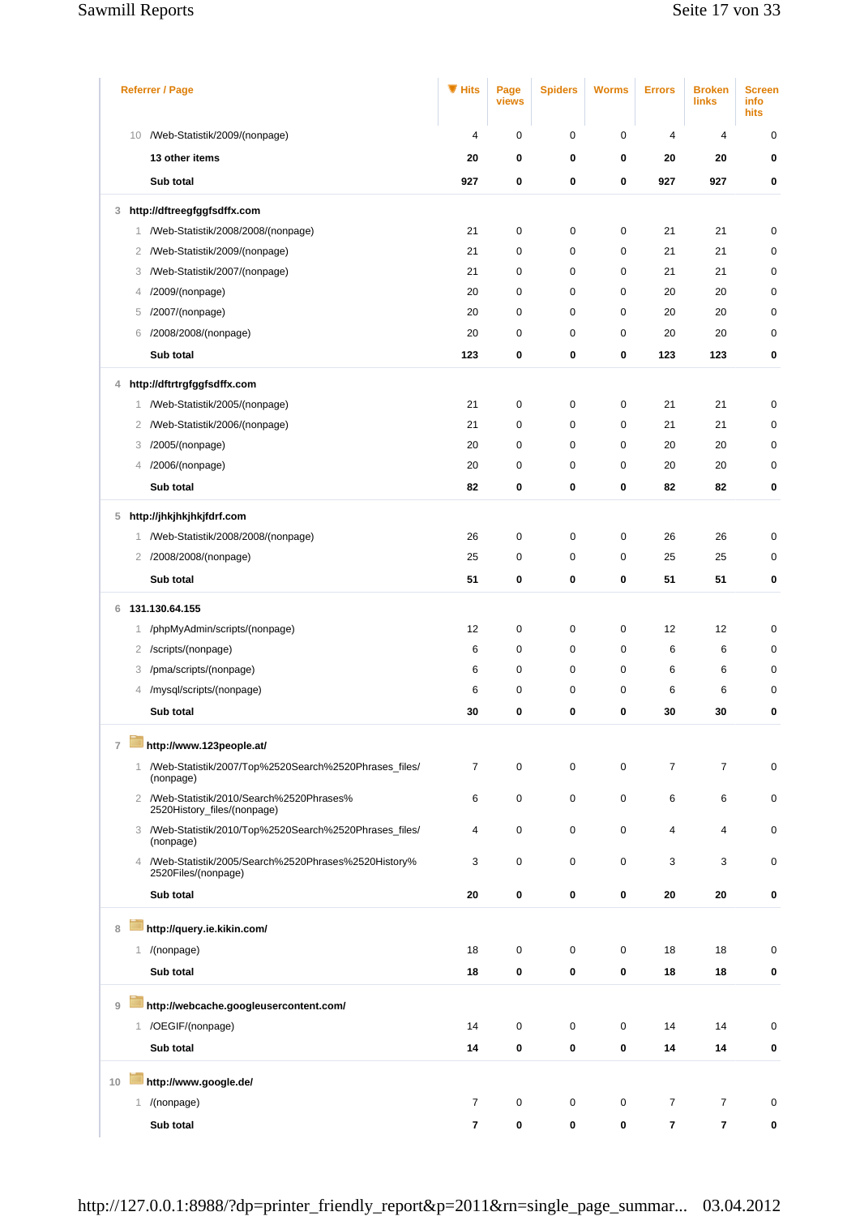## Sawmill Reports Sawmill Reports Seite 17 von 33

|                | <b>Referrer / Page</b>                                                       | ▼ Hits                   | Page<br>views | <b>Spiders</b> | <b>Worms</b> | <b>Errors</b>  | <b>Broken</b><br>links | <b>Screen</b><br>info<br>hits |
|----------------|------------------------------------------------------------------------------|--------------------------|---------------|----------------|--------------|----------------|------------------------|-------------------------------|
|                | 10 /Web-Statistik/2009/(nonpage)                                             | 4                        | 0             | $\mathbf 0$    | $\mathbf 0$  | 4              | 4                      | $\mathbf 0$                   |
|                | 13 other items                                                               | 20                       | 0             | 0              | 0            | 20             | 20                     | 0                             |
|                | Sub total                                                                    | 927                      | 0             | 0              | 0            | 927            | 927                    | 0                             |
| 3              | http://dftreegfggfsdffx.com                                                  |                          |               |                |              |                |                        |                               |
|                | /Web-Statistik/2008/2008/(nonpage)<br>1                                      | 21                       | 0             | $\pmb{0}$      | $\mathbf 0$  | 21             | 21                     | $\pmb{0}$                     |
|                | /Web-Statistik/2009/(nonpage)<br>2                                           | 21                       | 0             | $\mathbf 0$    | $\mathbf 0$  | 21             | 21                     | $\mathbf 0$                   |
|                | /Web-Statistik/2007/(nonpage)<br>3                                           | 21                       | 0             | 0              | $\mathbf 0$  | 21             | 21                     | 0                             |
|                | /2009/(nonpage)<br>4                                                         | 20                       | 0             | $\mathbf 0$    | $\mathbf 0$  | 20             | 20                     | $\mathbf 0$                   |
|                | /2007/(nonpage)<br>5                                                         | 20                       | 0             | 0              | $\mathbf 0$  | 20             | 20                     | 0                             |
|                | /2008/2008/(nonpage)<br>6                                                    | 20                       | 0             | 0              | $\mathbf 0$  | 20             | 20                     | 0                             |
|                | Sub total                                                                    | 123                      | 0             | 0              | 0            | 123            | 123                    | 0                             |
| 4              | http://dftrtrgfggfsdffx.com                                                  |                          |               |                |              |                |                        |                               |
|                | /Web-Statistik/2005/(nonpage)<br>1                                           | 21                       | 0             | $\pmb{0}$      | $\mathbf 0$  | 21             | 21                     | $\pmb{0}$                     |
|                | /Web-Statistik/2006/(nonpage)<br>2                                           | 21                       | 0             | $\pmb{0}$      | $\mathbf 0$  | 21             | 21                     | $\mathbf 0$                   |
|                | /2005/(nonpage)<br>3                                                         | 20                       | 0             | 0              | $\mathbf 0$  | 20             | 20                     | 0                             |
|                | /2006/(nonpage)<br>4                                                         | 20                       | 0             | $\pmb{0}$      | $\mathbf 0$  | 20             | 20                     | $\pmb{0}$                     |
|                | Sub total                                                                    | 82                       | 0             | 0              | 0            | 82             | 82                     | 0                             |
| 5              | http://jhkjhkjhkjfdrf.com                                                    |                          |               |                |              |                |                        |                               |
|                | 1 /Web-Statistik/2008/2008/(nonpage)                                         | 26                       | 0             | $\mathbf 0$    | $\mathbf 0$  | 26             | 26                     | $\pmb{0}$                     |
|                | 2 /2008/2008/(nonpage)                                                       | 25                       | 0             | 0              | 0            | 25             | 25                     | 0                             |
|                | Sub total                                                                    | 51                       | 0             | 0              | 0            | 51             | 51                     | 0                             |
|                |                                                                              |                          |               |                |              |                |                        |                               |
| 6              | 131.130.64.155                                                               |                          |               |                |              |                |                        |                               |
|                | /phpMyAdmin/scripts/(nonpage)<br>1                                           | 12                       | 0             | 0              | 0            | 12             | 12                     | 0                             |
|                | /scripts/(nonpage)<br>2                                                      | 6                        | 0             | 0              | $\mathbf 0$  | 6              | 6                      | $\mathbf 0$                   |
|                | /pma/scripts/(nonpage)<br>3                                                  | 6                        | 0             | 0              | $\mathbf 0$  | 6              | 6                      | 0                             |
|                | /mysql/scripts/(nonpage)<br>4                                                | 6                        | 0             | 0              | 0            | 6              | 6                      | 0                             |
|                | Sub total                                                                    | 30                       | 0             | 0              | 0            | 30             | 30                     | 0                             |
| $\overline{7}$ | http://www.123people.at/                                                     |                          |               |                |              |                |                        |                               |
|                | 1 /Web-Statistik/2007/Top%2520Search%2520Phrases_files/<br>(nonpage)         | $\overline{7}$           | 0             | $\mathbf 0$    | $\mathbf 0$  | $\overline{7}$ | $\overline{7}$         | $\pmb{0}$                     |
|                | 2 /Web-Statistik/2010/Search%2520Phrases%<br>2520History_files/(nonpage)     | 6                        | 0             | 0              | $\mathbf 0$  | 6              | 6                      | 0                             |
|                | 3 /Web-Statistik/2010/Top%2520Search%2520Phrases_files/<br>(nonpage)         | 4                        | 0             | 0              | $\mathbf 0$  | 4              | 4                      | $\pmb{0}$                     |
|                | 4 /Web-Statistik/2005/Search%2520Phrases%2520History%<br>2520Files/(nonpage) | 3                        | 0             | $\mathbf 0$    | $\mathbf 0$  | 3              | 3                      | $\mathbf 0$                   |
|                | Sub total                                                                    | 20                       | 0             | 0              | 0            | 20             | 20                     | 0                             |
| 8              | http://query.ie.kikin.com/                                                   |                          |               |                |              |                |                        |                               |
|                | 1 /(nonpage)                                                                 | 18                       | 0             | $\mathbf 0$    | $\mathbf 0$  | 18             | 18                     | $\mathbf 0$                   |
|                | Sub total                                                                    | 18                       | 0             | 0              | 0            | 18             | 18                     | 0                             |
|                |                                                                              |                          |               |                |              |                |                        |                               |
| $\overline{9}$ | http://webcache.googleusercontent.com/                                       |                          |               |                |              |                |                        |                               |
|                | 1 /OEGIF/(nonpage)                                                           | 14                       | 0             | $\mathbf 0$    | $\mathbf 0$  | 14             | 14                     | $\mathbf 0$                   |
|                | Sub total                                                                    | 14                       | 0             | 0              | $\pmb{0}$    | 14             | 14                     | 0                             |
| 10             | http://www.google.de/                                                        |                          |               |                |              |                |                        |                               |
|                | 1 /(nonpage)                                                                 | $\overline{7}$           | 0             | $\mathbf 0$    | $\mathbf 0$  | 7              | $\overline{7}$         | $\mathbf 0$                   |
|                | Sub total                                                                    | $\overline{\phantom{a}}$ | 0             | 0              | 0            | 7              | 7                      | 0                             |
|                |                                                                              |                          |               |                |              |                |                        |                               |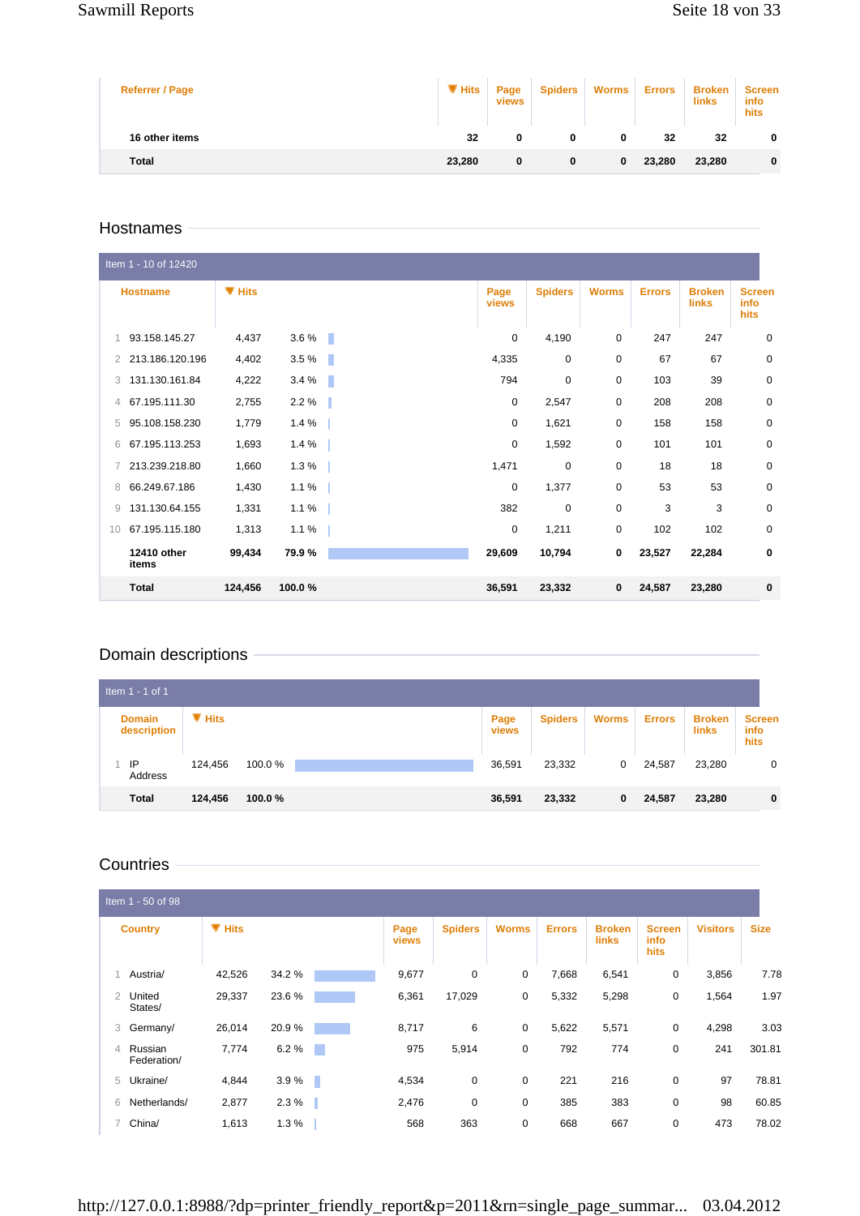#### Sawmill Reports Sawmill Reports Seite 18 von 33

| <b>Referrer / Page</b> | $\P$ Hits | Page<br>views | <b>Spiders</b> | <b>Worms</b> | <b>Errors</b> | <b>Broken</b><br>links | <b>Screen</b><br>info<br>hits |
|------------------------|-----------|---------------|----------------|--------------|---------------|------------------------|-------------------------------|
| 16 other items         | 32        | 0             | 0              | 0            | 32            | 32                     | 0                             |
| <b>Total</b>           | 23,280    | 0             | 0              | 0            | 23,280        | 23,280                 | 0                             |

#### Hostnames

|    | Item 1 - 10 of 12420 |           |         |    |               |                |              |               |                               |                               |
|----|----------------------|-----------|---------|----|---------------|----------------|--------------|---------------|-------------------------------|-------------------------------|
|    | <b>Hostname</b>      | $\P$ Hits |         |    | Page<br>views | <b>Spiders</b> | <b>Worms</b> | <b>Errors</b> | <b>Broken</b><br><b>links</b> | <b>Screen</b><br>info<br>hits |
| 1  | 93.158.145.27        | 4,437     | $3.6\%$ | п. | 0             | 4,190          | 0            | 247           | 247                           | $\mathbf 0$                   |
| 2  | 213.186.120.196      | 4,402     | 3.5%    | ÷  | 4,335         | $\mathbf 0$    | $\mathbf 0$  | 67            | 67                            | $\mathbf 0$                   |
| 3  | 131.130.161.84       | 4,222     | 3.4%    | H. | 794           | $\mathbf 0$    | $\mathbf 0$  | 103           | 39                            | 0                             |
| 4  | 67.195.111.30        | 2,755     | 2.2%    | H. | $\mathbf 0$   | 2,547          | $\mathbf 0$  | 208           | 208                           | 0                             |
| 5  | 95.108.158.230       | 1,779     | 1.4%    |    | 0             | 1,621          | $\mathbf 0$  | 158           | 158                           | 0                             |
| 6  | 67.195.113.253       | 1,693     | 1.4%    |    | 0             | 1,592          | $\mathbf 0$  | 101           | 101                           | 0                             |
| 7  | 213.239.218.80       | 1,660     | 1.3%    |    | 1,471         | 0              | 0            | 18            | 18                            | 0                             |
| 8  | 66.249.67.186        | 1,430     | 1.1%    |    | $\mathbf 0$   | 1,377          | $\mathbf 0$  | 53            | 53                            | $\mathbf 0$                   |
| 9  | 131.130.64.155       | 1,331     | 1.1%    |    | 382           | $\mathbf 0$    | $\mathbf 0$  | 3             | 3                             | 0                             |
| 10 | 67.195.115.180       | 1,313     | 1.1%    |    | $\mathbf 0$   | 1,211          | $\mathbf 0$  | 102           | 102                           | $\mathbf 0$                   |
|    | 12410 other<br>items | 99,434    | 79.9%   |    | 29,609        | 10,794         | 0            | 23,527        | 22,284                        | 0                             |
|    | <b>Total</b>         | 124,456   | 100.0%  |    | 36,591        | 23,332         | 0            | 24,587        | 23,280                        | $\mathbf 0$                   |

## Domain descriptions

| Item $1 - 1$ of 1            |         |        |  |               |                |              |               |                        |                               |
|------------------------------|---------|--------|--|---------------|----------------|--------------|---------------|------------------------|-------------------------------|
| <b>Domain</b><br>description | ▼ Hits  |        |  | Page<br>views | <b>Spiders</b> | <b>Worms</b> | <b>Errors</b> | <b>Broken</b><br>links | <b>Screen</b><br>info<br>hits |
| IP<br>Address                | 124.456 | 100.0% |  | 36,591        | 23,332         | 0            | 24,587        | 23,280                 | $\mathbf 0$                   |
| <b>Total</b>                 | 124,456 | 100.0% |  | 36,591        | 23,332         | 0            | 24,587        | 23,280                 | $\mathbf 0$                   |

# **Countries**

|   | Item 1 - 50 of 98      |           |                |                      |                |              |               |                               |                               |                 |             |
|---|------------------------|-----------|----------------|----------------------|----------------|--------------|---------------|-------------------------------|-------------------------------|-----------------|-------------|
|   | <b>Country</b>         | $\P$ Hits |                | Page<br><b>views</b> | <b>Spiders</b> | <b>Worms</b> | <b>Errors</b> | <b>Broken</b><br><b>links</b> | <b>Screen</b><br>info<br>hits | <b>Visitors</b> | <b>Size</b> |
|   | Austria/               | 42,526    | 34.2%          | 9,677                | 0              | 0            | 7,668         | 6,541                         | 0                             | 3,856           | 7.78        |
| 2 | United<br>States/      | 29,337    | 23.6%          | 6,361                | 17,029         | 0            | 5,332         | 5,298                         | 0                             | 1,564           | 1.97        |
| 3 | Germany/               | 26,014    | 20.9%          | 8,717                | 6              | 0            | 5,622         | 5,571                         | 0                             | 4,298           | 3.03        |
| 4 | Russian<br>Federation/ | 7,774     | 6.2%<br>n.     | 975                  | 5,914          | $\mathbf 0$  | 792           | 774                           | $\mathbf 0$                   | 241             | 301.81      |
| 5 | Ukraine/               | 4,844     | 3.9%<br>$\sim$ | 4,534                | $\mathbf 0$    | $\mathbf 0$  | 221           | 216                           | $\mathbf 0$                   | 97              | 78.81       |
| 6 | Netherlands/           | 2,877     | 2.3%<br>H.     | 2,476                | $\mathbf 0$    | $\mathbf 0$  | 385           | 383                           | $\mathbf 0$                   | 98              | 60.85       |
|   | 7 China/               | 1,613     | 1.3%           | 568                  | 363            | 0            | 668           | 667                           | 0                             | 473             | 78.02       |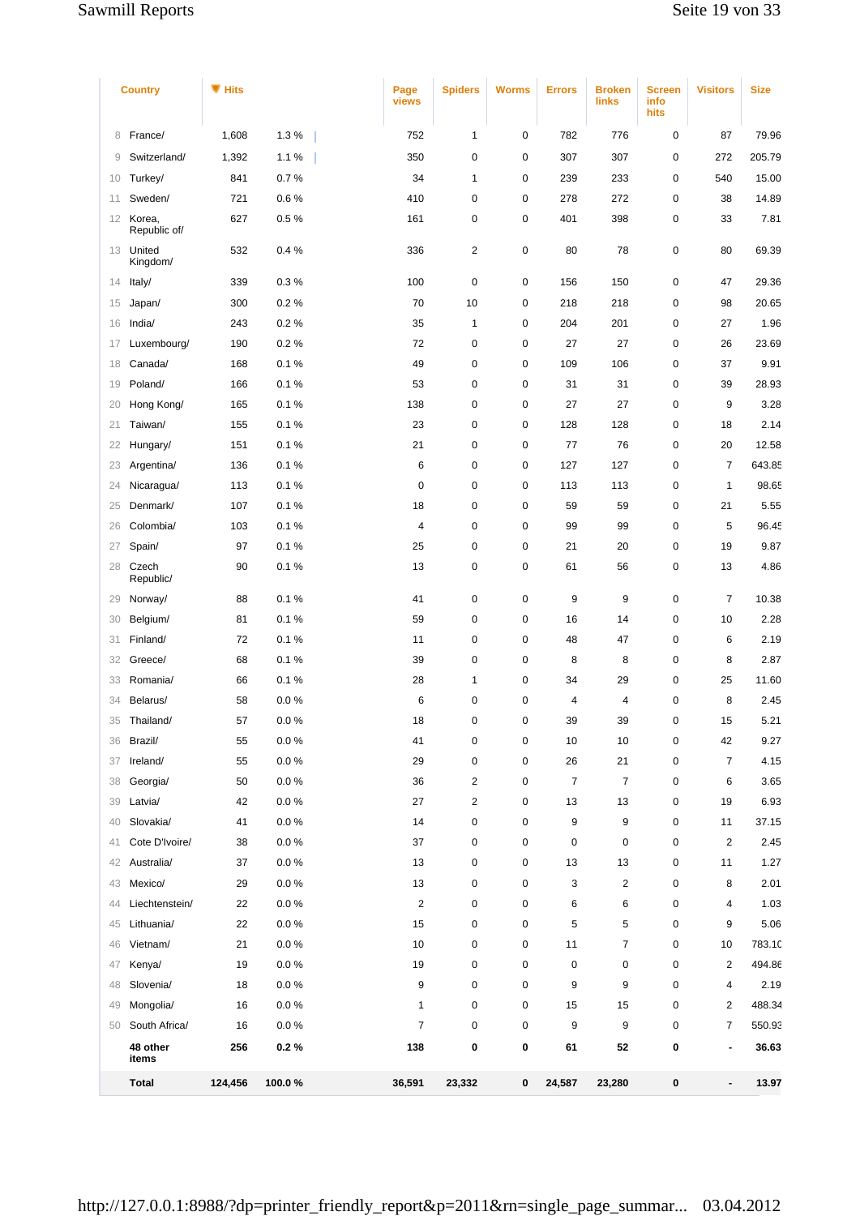|                 | <b>Country</b>         | <b>W</b> Hits |        | Page<br>views           | <b>Spiders</b>          | <b>Worms</b> | <b>Errors</b>  | <b>Broken</b><br>links | <b>Screen</b><br>info<br>hits | <b>Visitors</b>              | <b>Size</b> |
|-----------------|------------------------|---------------|--------|-------------------------|-------------------------|--------------|----------------|------------------------|-------------------------------|------------------------------|-------------|
| 8               | France/                | 1,608         | 1.3%   | 752                     | $\mathbf{1}$            | 0            | 782            | 776                    | $\pmb{0}$                     | 87                           | 79.96       |
| 9               | Switzerland/           | 1,392         | 1.1%   | 350                     | $\pmb{0}$               | 0            | 307            | 307                    | $\pmb{0}$                     | 272                          | 205.79      |
| 10              | Turkey/                | 841           | 0.7%   | 34                      | $\mathbf{1}$            | $\pmb{0}$    | 239            | 233                    | 0                             | 540                          | 15.00       |
| 11              | Sweden/                | 721           | 0.6%   | 410                     | 0                       | 0            | 278            | 272                    | $\mathbf 0$                   | 38                           | 14.89       |
| 12 <sup>2</sup> | Korea,<br>Republic of/ | 627           | 0.5%   | 161                     | 0                       | 0            | 401            | 398                    | $\pmb{0}$                     | 33                           | 7.81        |
|                 | 13 United<br>Kingdom/  | 532           | 0.4%   | 336                     | $\overline{c}$          | 0            | 80             | 78                     | 0                             | 80                           | 69.39       |
| 14              | ltaly/                 | 339           | 0.3%   | 100                     | $\mathbf 0$             | $\pmb{0}$    | 156            | 150                    | $\mathbf 0$                   | 47                           | 29.36       |
| 15              | Japan/                 | 300           | 0.2%   | 70                      | 10                      | $\pmb{0}$    | 218            | 218                    | $\mathbf 0$                   | 98                           | 20.65       |
| 16              | India/                 | 243           | 0.2%   | 35                      | 1                       | $\pmb{0}$    | 204            | 201                    | $\pmb{0}$                     | 27                           | 1.96        |
| 17              | Luxembourg/            | 190           | 0.2%   | 72                      | $\pmb{0}$               | 0            | 27             | 27                     | 0                             | 26                           | 23.69       |
| 18              | Canada/                | 168           | 0.1%   | 49                      | $\mathbf 0$             | 0            | 109            | 106                    | $\mathbf 0$                   | 37                           | 9.91        |
| 19              | Poland/                | 166           | 0.1%   | 53                      | 0                       | $\pmb{0}$    | 31             | 31                     | 0                             | 39                           | 28.93       |
| 20              | Hong Kong/             | 165           | 0.1%   | 138                     | 0                       | 0            | 27             | 27                     | $\mathbf 0$                   | 9                            | 3.28        |
| 21              | Taiwan/                | 155           | 0.1%   | 23                      | 0                       | 0            | 128            | 128                    | $\pmb{0}$                     | 18                           | 2.14        |
| 22              | Hungary/               | 151           | 0.1%   | 21                      | 0                       | 0            | 77             | 76                     | 0                             | 20                           | 12.58       |
| 23              | Argentina/             | 136           | 0.1%   | 6                       | $\mathbf 0$             | 0            | 127            | 127                    | $\mathbf 0$                   | 7                            | 643.85      |
| 24              | Nicaragua/             | 113           | 0.1%   | $\mathbf 0$             | $\mathbf 0$             | $\pmb{0}$    | 113            | 113                    | $\mathbf 0$                   | 1                            | 98.65       |
| 25              | Denmark/               | 107           | 0.1%   | 18                      | 0                       | 0            | 59             | 59                     | 0                             | 21                           | 5.55        |
| 26              | Colombia/              | 103           | 0.1%   | 4                       | $\mathbf 0$             | 0            | 99             | 99                     | $\mathbf 0$                   | 5                            | 96.45       |
| 27              | Spain/                 | 97            | 0.1%   | 25                      | $\mathbf 0$             | $\pmb{0}$    | 21             | 20                     | $\pmb{0}$                     | 19                           | 9.87        |
| 28              | Czech<br>Republic/     | 90            | 0.1%   | 13                      | 0                       | $\pmb{0}$    | 61             | 56                     | 0                             | 13                           | 4.86        |
| 29              | Norway/                | 88            | 0.1%   | 41                      | $\pmb{0}$               | 0            | 9              | 9                      | $\pmb{0}$                     | 7                            | 10.38       |
| 30              | Belgium/               | 81            | 0.1%   | 59                      | $\mathbf 0$             | 0            | 16             | 14                     | $\mathbf 0$                   | 10                           | 2.28        |
| 31              | Finland/               | 72            | 0.1%   | 11                      | $\mathbf 0$             | $\pmb{0}$    | 48             | 47                     | $\mathbf 0$                   | 6                            | 2.19        |
| 32              | Greece/                | 68            | 0.1%   | 39                      | 0                       | $\pmb{0}$    | 8              | 8                      | 0                             | 8                            | 2.87        |
| 33              | Romania/               | 66            | 0.1%   | 28                      | 1                       | 0            | 34             | 29                     | $\mathbf 0$                   | 25                           | 11.60       |
| 34              | Belarus/               | 58            | 0.0%   | 6                       | 0                       | 0            | 4              | 4                      | 0                             | 8                            | 2.45        |
| 35              | Thailand/              | 57            | 0.0%   | 18                      | 0                       | $\mathbf 0$  | 39             | 39                     | 0                             | 15                           | 5.21        |
| 36              | Brazil/                | 55            | 0.0%   | 41                      | $\mathbf 0$             | 0            | 10             | 10                     | $\mathbf 0$                   | 42                           | 9.27        |
| 37              | Ireland/               | 55            | 0.0%   | 29                      | $\pmb{0}$               | 0            | 26             | 21                     | $\mathbf 0$                   | 7                            | 4.15        |
| 38              | Georgia/               | 50            | 0.0%   | 36                      | $\overline{c}$          | 0            | $\overline{7}$ | $\overline{7}$         | $\pmb{0}$                     | 6                            | 3.65        |
| 39              | Latvia/                | 42            | 0.0%   | 27                      | $\overline{\mathbf{c}}$ | $\pmb{0}$    | 13             | 13                     | $\mathbf 0$                   | 19                           | 6.93        |
| 40              | Slovakia/              | 41            | 0.0%   | 14                      | $\mathbf 0$             | 0            | 9              | 9                      | $\mathbf 0$                   | 11                           | 37.15       |
| 41              | Cote D'Ivoire/         | 38            | 0.0%   | 37                      | $\pmb{0}$               | 0            | $\mathbf 0$    | $\pmb{0}$              | $\mathbf 0$                   | $\overline{\mathbf{c}}$      | 2.45        |
| 42              | Australia/             | 37            | 0.0%   | 13                      | $\mathbf 0$             | 0            | 13             | 13                     | 0                             | 11                           | 1.27        |
| 43              | Mexico/                | 29            | 0.0%   | 13                      | 0                       | $\pmb{0}$    | 3              | $\overline{c}$         | $\pmb{0}$                     | 8                            | 2.01        |
| 44              | Liechtenstein/         | 22            | 0.0 %  | $\overline{\mathbf{c}}$ | $\pmb{0}$               | $\pmb{0}$    | 6              | 6                      | $\mathbf 0$                   | 4                            | 1.03        |
| 45              | Lithuania/             | 22            | 0.0%   | 15                      | $\mathbf 0$             | 0            | 5              | 5                      | $\mathbf 0$                   | 9                            | 5.06        |
| 46              | Vietnam/               | 21            | 0.0%   | 10                      | $\mathbf 0$             | 0            | 11             | $\overline{7}$         | $\mathbf 0$                   | 10                           | 783.10      |
| 47              | Kenya/                 | 19            | 0.0 %  | 19                      | 0                       | $\pmb{0}$    | $\pmb{0}$      | $\mathbf 0$            | $\mathbf 0$                   | 2                            | 494.86      |
| 48              | Slovenia/              | 18            | 0.0%   | 9                       | 0                       | 0            | 9              | 9                      | 0                             | 4                            | 2.19        |
| 49              | Mongolia/              | 16            | 0.0%   | $\mathbf{1}$            | $\mathbf 0$             | 0            | 15             | 15                     | $\mathbf 0$                   | 2                            | 488.34      |
| 50              | South Africa/          | 16            | 0.0 %  | $\overline{7}$          | $\mathbf 0$             | $\pmb{0}$    | 9              | 9                      | $\mathbf 0$                   | 7                            | 550.93      |
|                 | 48 other<br>items      | 256           | 0.2%   | 138                     | 0                       | 0            | 61             | 52                     | 0                             | $\qquad \qquad \blacksquare$ | 36.63       |
|                 | <b>Total</b>           | 124,456       | 100.0% | 36,591                  | 23,332                  | 0            | 24,587         | 23,280                 | $\bf{0}$                      | $\overline{\phantom{0}}$     | 13.97       |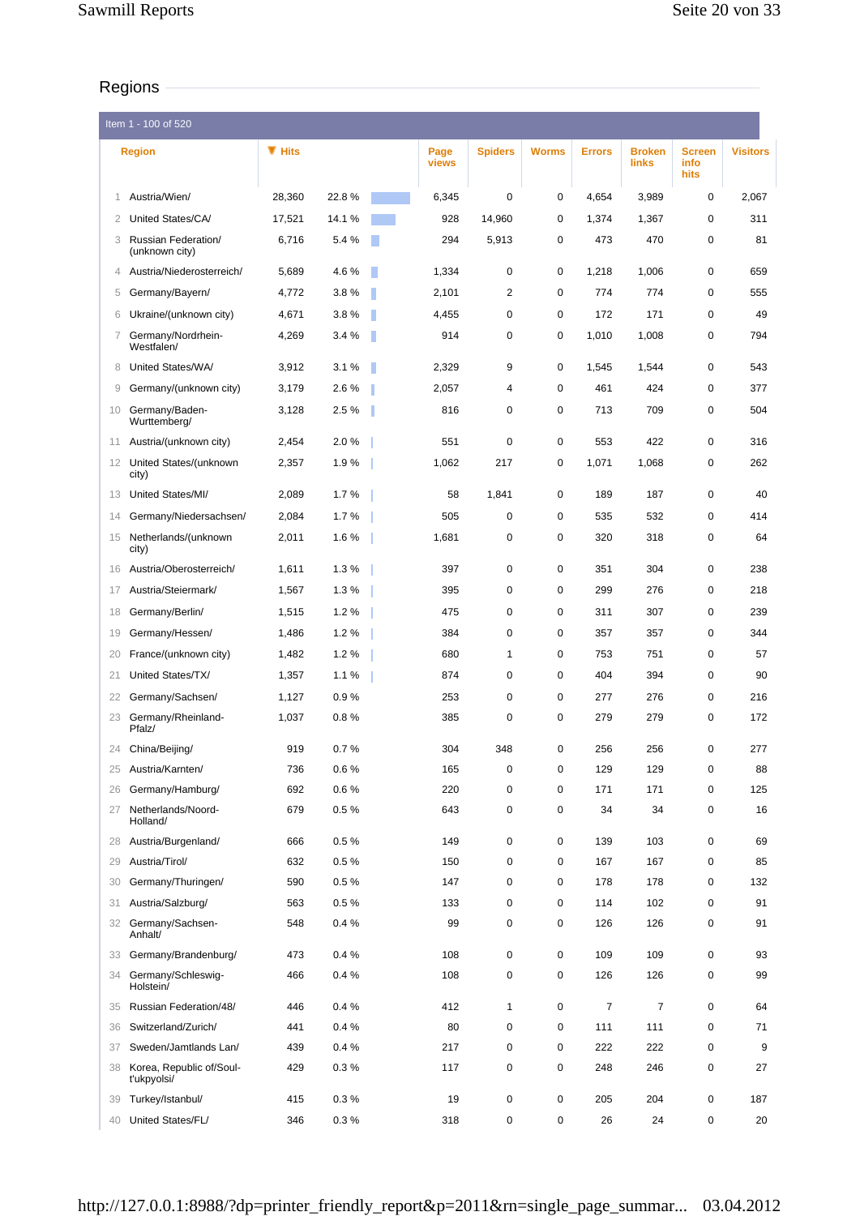# Regions

|    | Item 1 - 100 of 520                     |           |          |               |                |              |               |                        |                               |                 |
|----|-----------------------------------------|-----------|----------|---------------|----------------|--------------|---------------|------------------------|-------------------------------|-----------------|
|    | <b>Region</b>                           | $\P$ Hits |          | Page<br>views | <b>Spiders</b> | <b>Worms</b> | <b>Errors</b> | <b>Broken</b><br>links | <b>Screen</b><br>info<br>hits | <b>Visitors</b> |
| 1  | Austria/Wien/                           | 28,360    | 22.8%    | 6,345         | $\mathbf 0$    | 0            | 4,654         | 3,989                  | 0                             | 2,067           |
| 2  | United States/CA/                       | 17,521    | 14.1%    | 928           | 14,960         | 0            | 1,374         | 1,367                  | 0                             | 311             |
| 3  | Russian Federation/<br>(unknown city)   | 6,716     | 5.4 %    | 294           | 5,913          | 0            | 473           | 470                    | 0                             | 81              |
| 4  | Austria/Niederosterreich/               | 5,689     | 4.6%     | 1,334         | 0              | 0            | 1,218         | 1,006                  | 0                             | 659             |
| 5  | Germany/Bayern/                         | 4,772     | 3.8%     | 2,101         | $\overline{2}$ | 0            | 774           | 774                    | $\mathbf 0$                   | 555             |
| 6  | Ukraine/(unknown city)                  | 4,671     | 3.8%     | 4,455         | 0              | 0            | 172           | 171                    | 0                             | 49              |
| 7  | Germany/Nordrhein-<br>Westfalen/        | 4,269     | 3.4%     | 914           | 0              | 0            | 1,010         | 1,008                  | 0                             | 794             |
| 8  | United States/WA/                       | 3,912     | 3.1%     | 2,329         | 9              | 0            | 1,545         | 1,544                  | 0                             | 543             |
| 9  | Germany/(unknown city)                  | 3,179     | 2.6%     | 2,057         | 4              | 0            | 461           | 424                    | 0                             | 377             |
| 10 | Germany/Baden-<br>Wurttemberg/          | 3,128     | 2.5 %    | 816           | 0              | 0            | 713           | 709                    | 0                             | 504             |
| 11 | Austria/(unknown city)                  | 2,454     | 2.0%     | 551           | $\mathbf 0$    | 0            | 553           | 422                    | 0                             | 316             |
| 12 | United States/(unknown<br>city)         | 2,357     | 1.9%     | 1,062         | 217            | 0            | 1,071         | 1,068                  | 0                             | 262             |
| 13 | United States/MI/                       | 2.089     | 1.7%     | 58            | 1,841          | 0            | 189           | 187                    | $\mathbf 0$                   | 40              |
| 14 | Germany/Niedersachsen/                  | 2,084     | 1.7%     | 505           | $\mathbf 0$    | $\mathbf 0$  | 535           | 532                    | $\mathbf 0$                   | 414             |
| 15 | Netherlands/(unknown<br>city)           | 2,011     | 1.6%     | 1,681         | 0              | 0            | 320           | 318                    | 0                             | 64              |
| 16 | Austria/Oberosterreich/                 | 1,611     | 1.3%     | 397           | $\mathbf 0$    | 0            | 351           | 304                    | 0                             | 238             |
| 17 | Austria/Steiermark/                     | 1,567     | 1.3%     | 395           | $\mathbf 0$    | $\mathbf 0$  | 299           | 276                    | $\mathbf 0$                   | 218             |
| 18 | Germany/Berlin/                         | 1,515     | 1.2%     | 475           | $\mathbf 0$    | 0            | 311           | 307                    | $\mathbf 0$                   | 239             |
| 19 | Germany/Hessen/                         | 1,486     | 1.2%     | 384           | $\mathbf 0$    | 0            | 357           | 357                    | 0                             | 344             |
| 20 | France/(unknown city)                   | 1,482     | 1.2%     | 680           | $\mathbf{1}$   | 0            | 753           | 751                    | $\mathbf 0$                   | 57              |
| 21 | United States/TX/                       | 1,357     | 1.1%     | 874           | 0              | 0            | 404           | 394                    | $\mathbf 0$                   | 90              |
| 22 | Germany/Sachsen/                        | 1,127     | 0.9%     | 253           | 0              | 0            | 277           | 276                    | 0                             | 216             |
| 23 | Germany/Rheinland-<br>Pfalz/            | 1,037     | 0.8%     | 385           | $\mathbf 0$    | 0            | 279           | 279                    | 0                             | 172             |
| 24 | China/Beijing/                          | 919       | 0.7%     | 304           | 348            | 0            | 256           | 256                    | 0                             | 277             |
| 25 | Austria/Karnten/                        | 736       | 0.6%     | 165           | 0              | 0            | 129           | 129                    | 0                             | 88              |
| 26 | Germany/Hamburg/                        | 692       | 0.6%     | 220           | 0              | 0            | 171           | 171                    | 0                             | 125             |
| 27 | Netherlands/Noord-<br>Holland/          | 679       | 0.5%     | 643           | 0              | 0            | 34            | 34                     | 0                             | 16              |
| 28 | Austria/Burgenland/                     | 666       | $0.5 \%$ | 149           | 0              | 0            | 139           | 103                    | $\mathbf 0$                   | 69              |
| 29 | Austria/Tirol/                          | 632       | 0.5%     | 150           | 0              | 0            | 167           | 167                    | $\mathbf 0$                   | 85              |
| 30 | Germany/Thuringen/                      | 590       | 0.5%     | 147           | 0              | 0            | 178           | 178                    | 0                             | 132             |
| 31 | Austria/Salzburg/                       | 563       | 0.5%     | 133           | 0              | 0            | 114           | 102                    | $\pmb{0}$                     | 91              |
| 32 | Germany/Sachsen-<br>Anhalt/             | 548       | 0.4%     | 99            | 0              | 0            | 126           | 126                    | 0                             | 91              |
| 33 | Germany/Brandenburg/                    | 473       | 0.4%     | 108           | 0              | 0            | 109           | 109                    | $\mathbf 0$                   | 93              |
| 34 | Germany/Schleswig-<br>Holstein/         | 466       | 0.4%     | 108           | 0              | 0            | 126           | 126                    | 0                             | 99              |
| 35 | Russian Federation/48/                  | 446       | 0.4%     | 412           | 1              | 0            | 7             | 7                      | $\mathbf 0$                   | 64              |
| 36 | Switzerland/Zurich/                     | 441       | 0.4%     | 80            | 0              | 0            | 111           | 111                    | $\mathbf 0$                   | 71              |
| 37 | Sweden/Jamtlands Lan/                   | 439       | 0.4%     | 217           | 0              | 0            | 222           | 222                    | 0                             | 9               |
| 38 | Korea, Republic of/Soul-<br>t'ukpyolsi/ | 429       | 0.3%     | 117           | 0              | 0            | 248           | 246                    | 0                             | 27              |
| 39 | Turkey/Istanbul/                        | 415       | 0.3%     | 19            | 0              | 0            | 205           | 204                    | 0                             | 187             |
| 40 | United States/FL/                       | 346       | 0.3%     | 318           | 0              | 0            | 26            | 24                     | 0                             | 20              |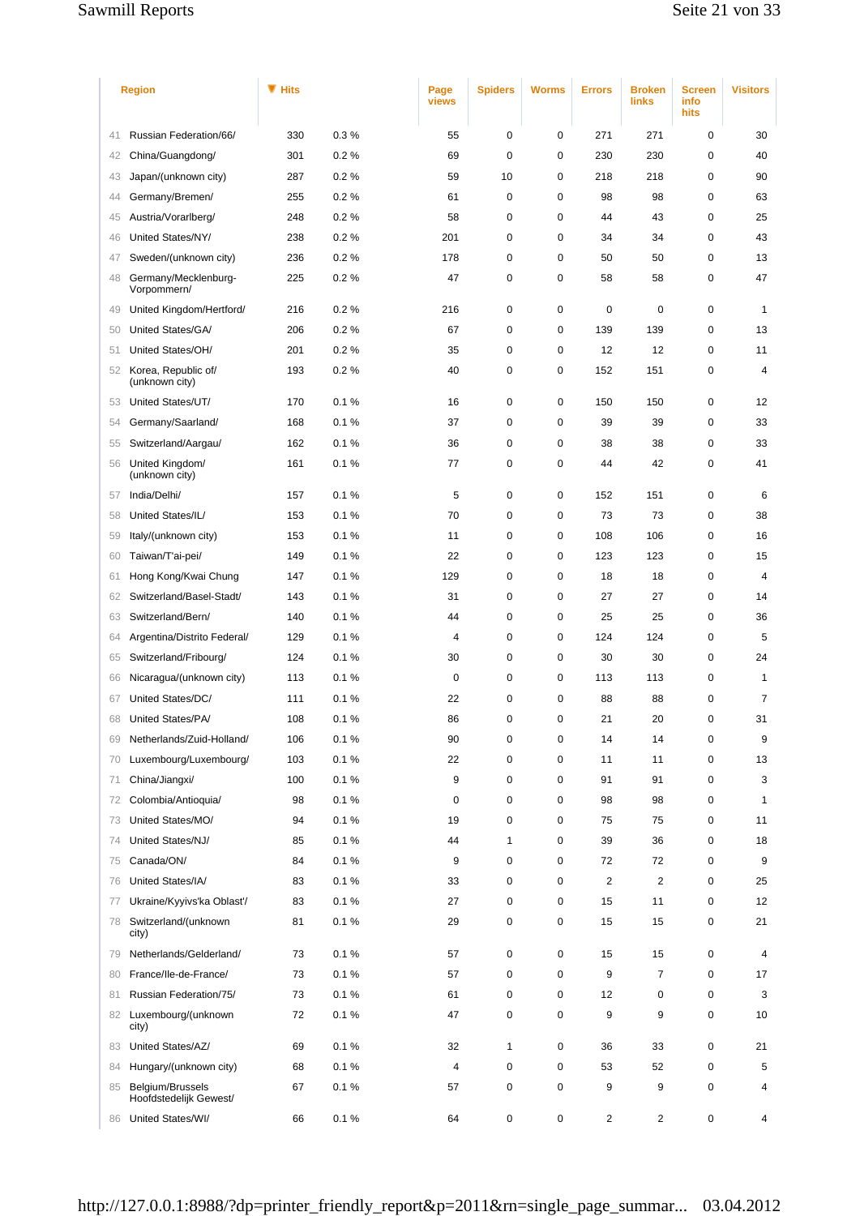|    | <b>Region</b>                              | $\blacksquare$ Hits |      | Page<br>views  | <b>Spiders</b> | <b>Worms</b> | <b>Errors</b>           | <b>Broken</b><br>links  | <b>Screen</b><br>info<br>hits | <b>Visitors</b> |
|----|--------------------------------------------|---------------------|------|----------------|----------------|--------------|-------------------------|-------------------------|-------------------------------|-----------------|
| 41 | Russian Federation/66/                     | 330                 | 0.3% | 55             | $\mathbf 0$    | 0            | 271                     | 271                     | $\mathbf 0$                   | 30              |
| 42 | China/Guangdong/                           | 301                 | 0.2% | 69             | $\mathbf 0$    | 0            | 230                     | 230                     | $\mathbf 0$                   | 40              |
| 43 | Japan/(unknown city)                       | 287                 | 0.2% | 59             | 10             | 0            | 218                     | 218                     | $\mathbf 0$                   | 90              |
| 44 | Germany/Bremen/                            | 255                 | 0.2% | 61             | $\mathbf 0$    | 0            | 98                      | 98                      | $\mathbf 0$                   | 63              |
| 45 | Austria/Vorarlberg/                        | 248                 | 0.2% | 58             | $\mathbf 0$    | 0            | 44                      | 43                      | 0                             | 25              |
| 46 | United States/NY/                          | 238                 | 0.2% | 201            | 0              | 0            | 34                      | 34                      | $\mathbf 0$                   | 43              |
| 47 | Sweden/(unknown city)                      | 236                 | 0.2% | 178            | $\mathbf 0$    | 0            | 50                      | 50                      | $\mathbf 0$                   | 13              |
| 48 | Germany/Mecklenburg-<br>Vorpommern/        | 225                 | 0.2% | 47             | 0              | 0            | 58                      | 58                      | $\mathbf 0$                   | 47              |
| 49 | United Kingdom/Hertford/                   | 216                 | 0.2% | 216            | $\mathbf 0$    | 0            | 0                       | 0                       | 0                             | $\mathbf{1}$    |
| 50 | United States/GA/                          | 206                 | 0.2% | 67             | 0              | 0            | 139                     | 139                     | 0                             | 13              |
| 51 | United States/OH/                          | 201                 | 0.2% | 35             | $\mathbf 0$    | 0            | 12                      | 12                      | $\mathbf 0$                   | 11              |
| 52 | Korea, Republic of/<br>(unknown city)      | 193                 | 0.2% | 40             | $\mathbf 0$    | 0            | 152                     | 151                     | 0                             | 4               |
| 53 | United States/UT/                          | 170                 | 0.1% | 16             | $\mathbf 0$    | 0            | 150                     | 150                     | $\mathbf 0$                   | 12              |
| 54 | Germany/Saarland/                          | 168                 | 0.1% | 37             | $\mathbf 0$    | 0            | 39                      | 39                      | 0                             | 33              |
| 55 | Switzerland/Aargau/                        | 162                 | 0.1% | 36             | $\mathbf 0$    | 0            | 38                      | 38                      | 0                             | 33              |
| 56 | United Kingdom/<br>(unknown city)          | 161                 | 0.1% | 77             | 0              | 0            | 44                      | 42                      | 0                             | 41              |
| 57 | India/Delhi/                               | 157                 | 0.1% | 5              | $\mathbf 0$    | 0            | 152                     | 151                     | 0                             | 6               |
| 58 | United States/IL/                          | 153                 | 0.1% | 70             | $\mathbf 0$    | 0            | 73                      | 73                      | $\mathbf 0$                   | 38              |
| 59 | Italy/(unknown city)                       | 153                 | 0.1% | 11             | $\mathbf 0$    | 0            | 108                     | 106                     | 0                             | 16              |
| 60 | Taiwan/T'ai-pei/                           | 149                 | 0.1% | 22             | $\mathbf 0$    | 0            | 123                     | 123                     | $\mathbf 0$                   | 15              |
| 61 | Hong Kong/Kwai Chung                       | 147                 | 0.1% | 129            | 0              | 0            | 18                      | 18                      | $\mathbf 0$                   | $\overline{4}$  |
| 62 | Switzerland/Basel-Stadt/                   | 143                 | 0.1% | 31             | $\mathbf 0$    | 0            | 27                      | 27                      | $\mathbf 0$                   | 14              |
| 63 | Switzerland/Bern/                          | 140                 | 0.1% | 44             | $\mathbf 0$    | 0            | 25                      | 25                      | 0                             | 36              |
| 64 | Argentina/Distrito Federal/                | 129                 | 0.1% | 4              | $\mathbf 0$    | 0            | 124                     | 124                     | $\mathbf 0$                   | 5               |
| 65 | Switzerland/Fribourg/                      | 124                 | 0.1% | 30             | $\mathbf 0$    | 0            | 30                      | 30                      | $\mathbf 0$                   | 24              |
| 66 | Nicaragua/(unknown city)                   | 113                 | 0.1% | $\mathbf 0$    | 0              | 0            | 113                     | 113                     | $\mathbf 0$                   | $\mathbf{1}$    |
| 67 | United States/DC/                          | 111                 | 0.1% | 22             | $\mathbf 0$    | 0            | 88                      | 88                      | $\mathbf 0$                   | $\overline{7}$  |
| 68 | United States/PA/                          | 108                 | 0.1% | 86             | $\mathbf 0$    | 0            | 21                      | 20                      | $\mathbf 0$                   | 31              |
| 69 | Netherlands/Zuid-Holland/                  | 106                 | 0.1% | 90             | $\mathbf 0$    | 0            | 14                      | 14                      | $\mathbf 0$                   | 9               |
| 70 | Luxembourg/Luxembourg/                     | 103                 | 0.1% | 22             | 0              | 0            | 11                      | 11                      | $\mathbf 0$                   | 13              |
| 71 | China/Jiangxi/                             | 100                 | 0.1% | 9              | 0              | 0            | 91                      | 91                      | 0                             | 3               |
| 72 | Colombia/Antioquia/                        | 98                  | 0.1% | 0              | 0              | 0            | 98                      | 98                      | $\mathbf 0$                   | $\mathbf{1}$    |
| 73 | United States/MO/                          | 94                  | 0.1% | 19             | $\mathbf 0$    | 0            | 75                      | 75                      | $\mathbf 0$                   | 11              |
| 74 | United States/NJ/                          | 85                  | 0.1% | 44             | $\mathbf{1}$   | 0            | 39                      | 36                      | 0                             | 18              |
| 75 | Canada/ON/                                 | 84                  | 0.1% | 9              | 0              | 0            | 72                      | 72                      | $\mathbf 0$                   | 9               |
| 76 | United States/IA/                          | 83                  | 0.1% | 33             | 0              | 0            | $\overline{\mathbf{c}}$ | $\overline{\mathbf{c}}$ | 0                             | 25              |
| 77 | Ukraine/Kyyivs'ka Oblast'/                 | 83                  | 0.1% | 27             | 0              | 0            | 15                      | 11                      | 0                             | 12              |
| 78 | Switzerland/(unknown<br>city)              | 81                  | 0.1% | 29             | 0              | 0            | 15                      | 15                      | 0                             | 21              |
| 79 | Netherlands/Gelderland/                    | 73                  | 0.1% | 57             | $\mathbf 0$    | 0            | 15                      | 15                      | 0                             | 4               |
| 80 | France/Ile-de-France/                      | 73                  | 0.1% | 57             | 0              | 0            | 9                       | 7                       | $\mathbf 0$                   | 17              |
| 81 | Russian Federation/75/                     | 73                  | 0.1% | 61             | 0              | 0            | 12                      | 0                       | 0                             | 3               |
|    | 82 Luxembourg/(unknown<br>city)            | 72                  | 0.1% | 47             | 0              | 0            | 9                       | 9                       | 0                             | 10              |
| 83 | United States/AZ/                          | 69                  | 0.1% | 32             | $\mathbf{1}$   | 0            | 36                      | 33                      | 0                             | 21              |
| 84 | Hungary/(unknown city)                     | 68                  | 0.1% | $\overline{4}$ | 0              | 0            | 53                      | 52                      | 0                             | 5               |
| 85 | Belgium/Brussels<br>Hoofdstedelijk Gewest/ | 67                  | 0.1% | 57             | 0              | 0            | 9                       | 9                       | 0                             | 4               |
| 86 | United States/WI/                          | 66                  | 0.1% | 64             | 0              | 0            | 2                       | 2                       | 0                             | 4               |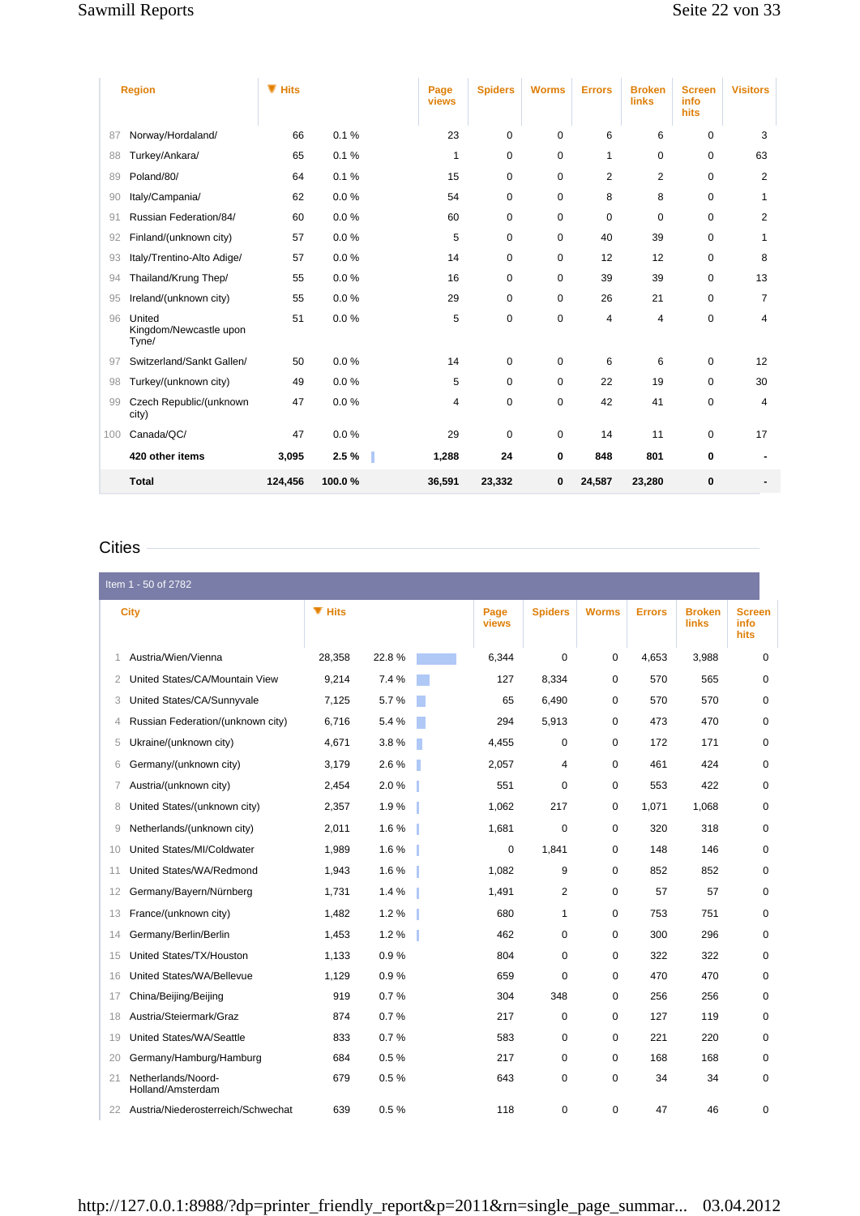|     | <b>Region</b>                             | $\P$ Hits |        | Page<br>views | <b>Spiders</b> | <b>Worms</b> | <b>Errors</b>  | <b>Broken</b><br>links | <b>Screen</b><br>info<br>hits | <b>Visitors</b> |
|-----|-------------------------------------------|-----------|--------|---------------|----------------|--------------|----------------|------------------------|-------------------------------|-----------------|
| 87  | Norway/Hordaland/                         | 66        | 0.1%   | 23            | 0              | $\Omega$     | 6              | 6                      | 0                             | 3               |
| 88  | Turkey/Ankara/                            | 65        | 0.1%   | 1             | 0              | 0            | 1              | 0                      | $\mathbf 0$                   | 63              |
| 89  | Poland/80/                                | 64        | 0.1%   | 15            | 0              | $\mathbf 0$  | $\overline{2}$ | 2                      | $\mathbf 0$                   | $\overline{2}$  |
| 90  | Italy/Campania/                           | 62        | 0.0%   | 54            | 0              | 0            | 8              | 8                      | $\mathbf 0$                   | 1               |
| 91  | Russian Federation/84/                    | 60        | 0.0%   | 60            | 0              | 0            | 0              | 0                      | $\mathbf 0$                   | $\overline{2}$  |
| 92  | Finland/(unknown city)                    | 57        | 0.0%   | 5             | 0              | $\mathbf 0$  | 40             | 39                     | 0                             | 1               |
| 93  | Italy/Trentino-Alto Adige/                | 57        | 0.0%   | 14            | $\Omega$       | 0            | 12             | 12                     | $\Omega$                      | 8               |
| 94  | Thailand/Krung Thep/                      | 55        | 0.0%   | 16            | 0              | $\mathbf 0$  | 39             | 39                     | $\mathbf 0$                   | 13              |
| 95  | Ireland/(unknown city)                    | 55        | 0.0%   | 29            | 0              | $\mathbf 0$  | 26             | 21                     | $\mathbf 0$                   | $\overline{7}$  |
| 96  | United<br>Kingdom/Newcastle upon<br>Tyne/ | 51        | 0.0%   | 5             | 0              | $\mathbf 0$  | 4              | 4                      | $\mathbf 0$                   | 4               |
| 97  | Switzerland/Sankt Gallen/                 | 50        | 0.0%   | 14            | 0              | $\mathbf 0$  | 6              | 6                      | $\mathbf 0$                   | 12              |
| 98  | Turkey/(unknown city)                     | 49        | 0.0%   | 5             | 0              | $\mathbf 0$  | 22             | 19                     | $\mathbf 0$                   | 30              |
| 99  | Czech Republic/(unknown<br>city)          | 47        | 0.0%   | 4             | 0              | $\mathbf 0$  | 42             | 41                     | $\mathbf 0$                   | 4               |
| 100 | Canada/QC/                                | 47        | 0.0%   | 29            | 0              | $\mathbf 0$  | 14             | 11                     | $\mathbf 0$                   | 17              |
|     | 420 other items                           | 3,095     | 2.5%   | 1,288         | 24             | 0            | 848            | 801                    | $\bf{0}$                      |                 |
|     | <b>Total</b>                              | 124,456   | 100.0% | 36,591        | 23,332         | 0            | 24,587         | 23,280                 | $\bf{0}$                      |                 |

# **Cities**

|    | Item 1 - 50 of 2782                     |           |       |               |                |              |               |                               |                               |
|----|-----------------------------------------|-----------|-------|---------------|----------------|--------------|---------------|-------------------------------|-------------------------------|
|    | <b>City</b>                             | $\P$ Hits |       | Page<br>views | <b>Spiders</b> | <b>Worms</b> | <b>Errors</b> | <b>Broken</b><br><b>links</b> | <b>Screen</b><br>info<br>hits |
| 1  | Austria/Wien/Vienna                     | 28,358    | 22.8% | 6,344         | 0              | 0            | 4,653         | 3,988                         | 0                             |
| 2  | United States/CA/Mountain View          | 9,214     | 7.4 % | 127           | 8,334          | $\mathbf 0$  | 570           | 565                           | $\mathbf 0$                   |
| 3  | United States/CA/Sunnyvale              | 7,125     | 5.7%  | 65            | 6,490          | $\mathbf 0$  | 570           | 570                           | $\mathbf 0$                   |
| 4  | Russian Federation/(unknown city)       | 6,716     | 5.4 % | 294           | 5,913          | 0            | 473           | 470                           | $\mathbf 0$                   |
| 5  | Ukraine/(unknown city)                  | 4,671     | 3.8%  | 4,455         | 0              | $\mathbf 0$  | 172           | 171                           | $\mathbf 0$                   |
| 6  | Germany/(unknown city)                  | 3,179     | 2.6%  | 2,057         | 4              | $\mathbf 0$  | 461           | 424                           | $\mathbf 0$                   |
| 7  | Austria/(unknown city)                  | 2.454     | 2.0%  | 551           | $\mathbf 0$    | 0            | 553           | 422                           | $\mathbf 0$                   |
| 8  | United States/(unknown city)            | 2,357     | 1.9%  | 1,062         | 217            | 0            | 1,071         | 1,068                         | $\mathbf 0$                   |
| 9  | Netherlands/(unknown city)              | 2,011     | 1.6%  | 1,681         | 0              | $\mathbf 0$  | 320           | 318                           | $\mathbf 0$                   |
| 10 | United States/MI/Coldwater              | 1.989     | 1.6%  | 0             | 1.841          | $\mathbf 0$  | 148           | 146                           | $\mathbf 0$                   |
| 11 | United States/WA/Redmond                | 1,943     | 1.6%  | 1,082         | 9              | $\mathbf 0$  | 852           | 852                           | $\mathbf 0$                   |
| 12 | Germany/Bayern/Nürnberg                 | 1,731     | 1.4%  | 1,491         | 2              | $\mathbf 0$  | 57            | 57                            | $\mathbf 0$                   |
| 13 | France/(unknown city)                   | 1,482     | 1.2%  | 680           | $\mathbf{1}$   | 0            | 753           | 751                           | $\mathbf 0$                   |
| 14 | Germany/Berlin/Berlin                   | 1,453     | 1.2%  | 462           | 0              | $\mathbf 0$  | 300           | 296                           | $\mathbf 0$                   |
| 15 | United States/TX/Houston                | 1,133     | 0.9%  | 804           | $\Omega$       | $\mathbf 0$  | 322           | 322                           | $\Omega$                      |
| 16 | United States/WA/Bellevue               | 1,129     | 0.9%  | 659           | $\mathbf 0$    | $\Omega$     | 470           | 470                           | $\mathbf 0$                   |
| 17 | China/Beijing/Beijing                   | 919       | 0.7%  | 304           | 348            | $\mathbf 0$  | 256           | 256                           | $\mathbf 0$                   |
| 18 | Austria/Steiermark/Graz                 | 874       | 0.7%  | 217           | $\mathbf 0$    | $\mathbf 0$  | 127           | 119                           | $\mathbf 0$                   |
| 19 | United States/WA/Seattle                | 833       | 0.7%  | 583           | 0              | $\mathbf 0$  | 221           | 220                           | $\mathbf 0$                   |
| 20 | Germany/Hamburg/Hamburg                 | 684       | 0.5%  | 217           | $\mathbf 0$    | $\mathbf 0$  | 168           | 168                           | $\mathbf 0$                   |
| 21 | Netherlands/Noord-<br>Holland/Amsterdam | 679       | 0.5%  | 643           | 0              | $\mathbf 0$  | 34            | 34                            | $\mathbf 0$                   |
| 22 | Austria/Niederosterreich/Schwechat      | 639       | 0.5%  | 118           | 0              | 0            | 47            | 46                            | $\mathbf 0$                   |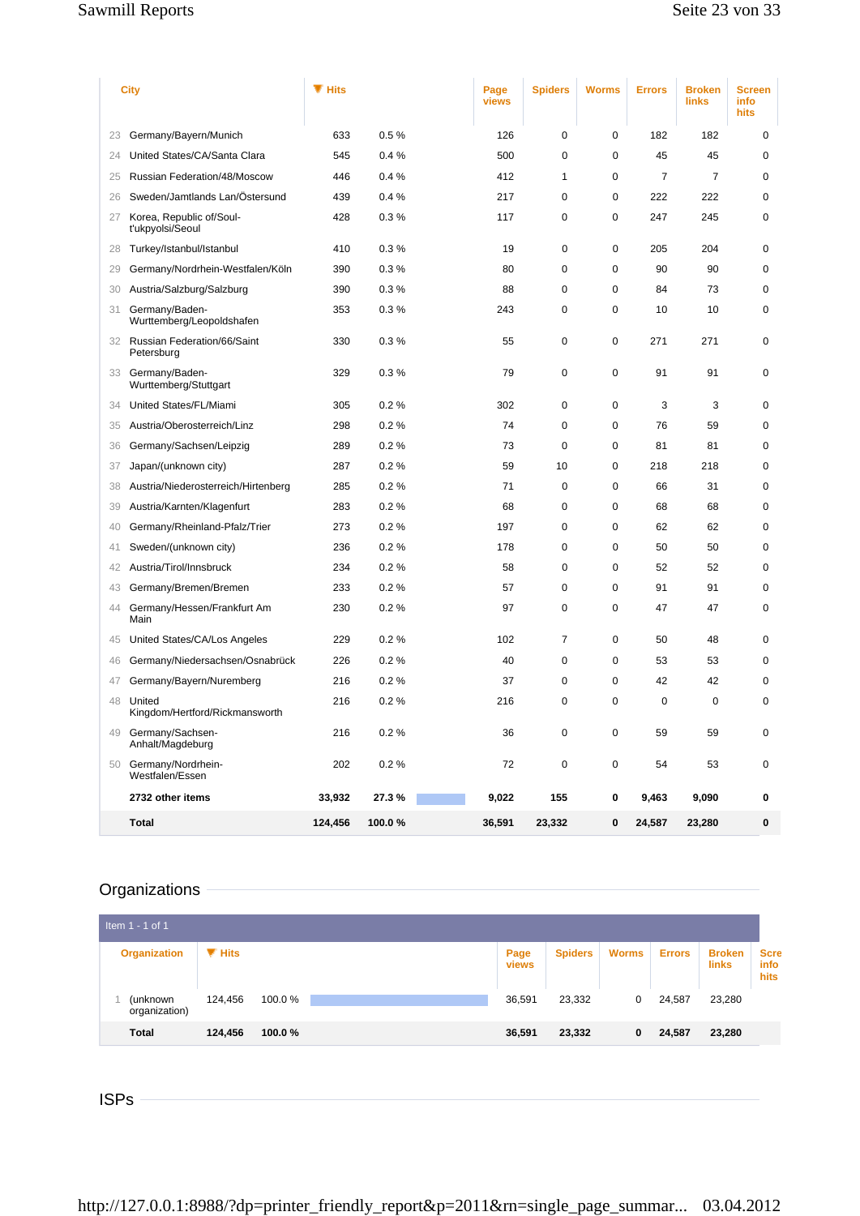|    | City                                           | $\P$ Hits |        | Page<br>views | <b>Spiders</b> | <b>Worms</b> | <b>Errors</b> | <b>Broken</b><br><b>links</b> | <b>Screen</b><br>info<br>hits |
|----|------------------------------------------------|-----------|--------|---------------|----------------|--------------|---------------|-------------------------------|-------------------------------|
| 23 | Germany/Bayern/Munich                          | 633       | 0.5%   | 126           | 0              | 0            | 182           | 182                           | 0                             |
| 24 | United States/CA/Santa Clara                   | 545       | 0.4%   | 500           | $\mathbf 0$    | 0            | 45            | 45                            | $\mathbf 0$                   |
| 25 | Russian Federation/48/Moscow                   | 446       | 0.4%   | 412           | 1              | 0            | 7             | 7                             | $\mathbf 0$                   |
| 26 | Sweden/Jamtlands Lan/Östersund                 | 439       | 0.4%   | 217           | $\mathbf 0$    | 0            | 222           | 222                           | $\mathbf 0$                   |
| 27 | Korea, Republic of/Soul-<br>t'ukpyolsi/Seoul   | 428       | 0.3%   | 117           | $\mathbf 0$    | 0            | 247           | 245                           | $\mathbf 0$                   |
| 28 | Turkey/Istanbul/Istanbul                       | 410       | 0.3%   | 19            | $\mathbf 0$    | 0            | 205           | 204                           | $\mathbf 0$                   |
| 29 | Germany/Nordrhein-Westfalen/Köln               | 390       | 0.3%   | 80            | $\mathbf 0$    | 0            | 90            | 90                            | $\mathbf 0$                   |
| 30 | Austria/Salzburg/Salzburg                      | 390       | 0.3%   | 88            | $\mathbf 0$    | 0            | 84            | 73                            | 0                             |
|    | 31 Germany/Baden-<br>Wurttemberg/Leopoldshafen | 353       | 0.3%   | 243           | $\mathbf 0$    | 0            | 10            | 10                            | $\mathbf 0$                   |
|    | 32 Russian Federation/66/Saint<br>Petersburg   | 330       | 0.3%   | 55            | 0              | 0            | 271           | 271                           | $\mathbf 0$                   |
|    | 33 Germany/Baden-<br>Wurttemberg/Stuttgart     | 329       | 0.3%   | 79            | 0              | 0            | 91            | 91                            | $\mathbf 0$                   |
| 34 | United States/FL/Miami                         | 305       | 0.2%   | 302           | $\mathbf 0$    | 0            | 3             | 3                             | $\mathbf 0$                   |
| 35 | Austria/Oberosterreich/Linz                    | 298       | 0.2%   | 74            | $\mathbf 0$    | 0            | 76            | 59                            | $\mathbf 0$                   |
| 36 | Germany/Sachsen/Leipzig                        | 289       | 0.2%   | 73            | $\mathbf 0$    | 0            | 81            | 81                            | $\mathbf 0$                   |
| 37 | Japan/(unknown city)                           | 287       | 0.2%   | 59            | 10             | 0            | 218           | 218                           | $\mathbf 0$                   |
| 38 | Austria/Niederosterreich/Hirtenberg            | 285       | 0.2%   | 71            | $\mathbf 0$    | 0            | 66            | 31                            | $\mathbf 0$                   |
| 39 | Austria/Karnten/Klagenfurt                     | 283       | 0.2 %  | 68            | 0              | 0            | 68            | 68                            | 0                             |
| 40 | Germany/Rheinland-Pfalz/Trier                  | 273       | 0.2%   | 197           | $\mathbf 0$    | 0            | 62            | 62                            | $\mathbf 0$                   |
| 41 | Sweden/(unknown city)                          | 236       | 0.2%   | 178           | $\mathbf 0$    | 0            | 50            | 50                            | $\mathbf 0$                   |
| 42 | Austria/Tirol/Innsbruck                        | 234       | 0.2%   | 58            | 0              | 0            | 52            | 52                            | $\mathbf 0$                   |
| 43 | Germany/Bremen/Bremen                          | 233       | 0.2%   | 57            | $\mathbf 0$    | 0            | 91            | 91                            | $\mathbf 0$                   |
| 44 | Germany/Hessen/Frankfurt Am<br>Main            | 230       | 0.2%   | 97            | $\mathbf 0$    | 0            | 47            | 47                            | $\mathbf 0$                   |
| 45 | United States/CA/Los Angeles                   | 229       | 0.2%   | 102           | $\overline{7}$ | 0            | 50            | 48                            | $\mathbf 0$                   |
| 46 | Germany/Niedersachsen/Osnabrück                | 226       | 0.2%   | 40            | $\mathbf 0$    | 0            | 53            | 53                            | $\mathbf 0$                   |
| 47 | Germany/Bayern/Nuremberg                       | 216       | 0.2%   | 37            | 0              | 0            | 42            | 42                            | 0                             |
| 48 | United<br>Kingdom/Hertford/Rickmansworth       | 216       | 0.2%   | 216           | $\mathbf 0$    | 0            | $\mathbf 0$   | $\mathbf 0$                   | $\mathbf 0$                   |
|    | 49 Germany/Sachsen-<br>Anhalt/Magdeburg        | 216       | 0.2%   | 36            | 0              | 0            | 59            | 59                            | $\mathbf 0$                   |
|    | 50 Germany/Nordrhein-<br>Westfalen/Essen       | 202       | 0.2%   | 72            | $\mathsf 0$    | 0            | 54            | 53                            | $\mathbf 0$                   |
|    | 2732 other items                               | 33,932    | 27.3%  | 9,022         | 155            | 0            | 9,463         | 9,090                         | 0                             |
|    | <b>Total</b>                                   | 124,456   | 100.0% | 36,591        | 23,332         | 0            | 24,587        | 23,280                        | 0                             |

# Organizations -

| Item $1 - 1$ of 1         |           |        |      |        |                |              |               |                        |                             |
|---------------------------|-----------|--------|------|--------|----------------|--------------|---------------|------------------------|-----------------------------|
| <b>Organization</b>       | $\P$ Hits |        | Page | views  | <b>Spiders</b> | <b>Worms</b> | <b>Errors</b> | <b>Broken</b><br>links | <b>Scre</b><br>info<br>hits |
| (unknown<br>organization) | 124,456   | 100.0% |      | 36,591 | 23,332         | 0            | 24,587        | 23,280                 |                             |
| <b>Total</b>              | 124,456   | 100.0% |      | 36,591 | 23,332         | 0            | 24,587        | 23,280                 |                             |

ISPs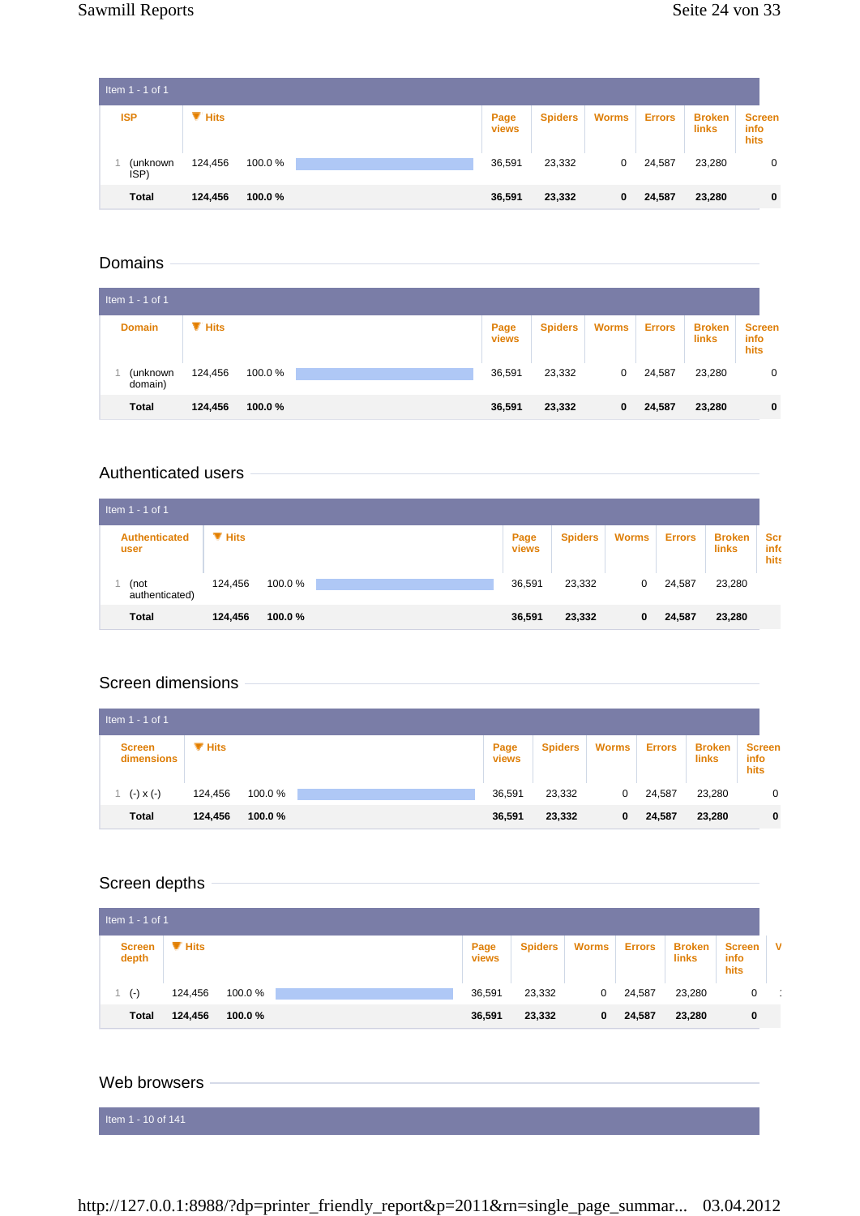| Item 1 - 1 of 1  |           |        |               |                |              |               |                        |                                      |
|------------------|-----------|--------|---------------|----------------|--------------|---------------|------------------------|--------------------------------------|
| <b>ISP</b>       | $\P$ Hits |        | Page<br>views | <b>Spiders</b> | <b>Worms</b> | <b>Errors</b> | <b>Broken</b><br>links | <b>Screen</b><br><b>info</b><br>hits |
| (unknown<br>ISP) | 124,456   | 100.0% | 36,591        | 23,332         | 0            | 24,587        | 23,280                 | 0                                    |
| <b>Total</b>     | 124,456   | 100.0% | 36,591        | 23,332         | 0            | 24,587        | 23,280                 | $\mathbf 0$                          |

## Domains

| Item 1 - 1 of 1     |                           |        |               |                |              |               |                        |                                      |
|---------------------|---------------------------|--------|---------------|----------------|--------------|---------------|------------------------|--------------------------------------|
| <b>Domain</b>       | $\blacktriangledown$ Hits |        | Page<br>views | <b>Spiders</b> | <b>Worms</b> | <b>Errors</b> | <b>Broken</b><br>links | <b>Screen</b><br>info<br><b>hits</b> |
| (unknown<br>domain) | 124,456                   | 100.0% | 36,591        | 23,332         | 0            | 24,587        | 23,280                 | $\mathbf 0$                          |
| <b>Total</b>        | 124,456                   | 100.0% | 36,591        | 23,332         | 0            | 24,587        | 23,280                 | $\mathbf 0$                          |

#### Authenticated users

| Item $1 - 1$ of 1            |           |        |                      |                |              |               |                        |                            |
|------------------------------|-----------|--------|----------------------|----------------|--------------|---------------|------------------------|----------------------------|
| <b>Authenticated</b><br>user | $\P$ Hits |        | Page<br><b>views</b> | <b>Spiders</b> | <b>Worms</b> | <b>Errors</b> | <b>Broken</b><br>links | <b>Scr</b><br>info<br>hits |
| (not<br>authenticated)       | 124,456   | 100.0% | 36,591               | 23,332         | 0            | 24,587        | 23,280                 |                            |
| <b>Total</b>                 | 124,456   | 100.0% | 36,591               | 23,332         | 0            | 24,587        | 23,280                 |                            |

#### Screen dimensions

| Item $1 - 1$ of 1           |           |        |               |                |              |               |                        |                                      |
|-----------------------------|-----------|--------|---------------|----------------|--------------|---------------|------------------------|--------------------------------------|
| <b>Screen</b><br>dimensions | $\P$ Hits |        | Page<br>views | <b>Spiders</b> | <b>Worms</b> | <b>Errors</b> | <b>Broken</b><br>links | <b>Screen</b><br><b>info</b><br>hits |
| $(-) \times (-)$            | 124,456   | 100.0% | 36,591        | 23,332         | 0            | 24,587        | 23,280                 | $\mathbf 0$                          |
| <b>Total</b>                | 124,456   | 100.0% | 36,591        | 23,332         | 0            | 24,587        | 23,280                 | $\mathbf 0$                          |

# Screen depths

| Item $1 - 1$ of 1      |           |        |  |               |                |              |               |                               |                               |          |  |
|------------------------|-----------|--------|--|---------------|----------------|--------------|---------------|-------------------------------|-------------------------------|----------|--|
| <b>Screen</b><br>depth | $\P$ Hits |        |  | Page<br>views | <b>Spiders</b> | <b>Worms</b> | <b>Errors</b> | <b>Broken</b><br><b>links</b> | <b>Screen</b><br>info<br>hits | <b>V</b> |  |
| $(-)$                  | 124,456   | 100.0% |  | 36,591        | 23,332         | $\mathbf{0}$ | 24,587        | 23,280                        | 0                             |          |  |
| Total                  | 124,456   | 100.0% |  | 36,591        | 23,332         | $\bf{0}$     | 24,587        | 23,280                        | 0                             |          |  |

#### Web browsers

Item 1 - 10 of 141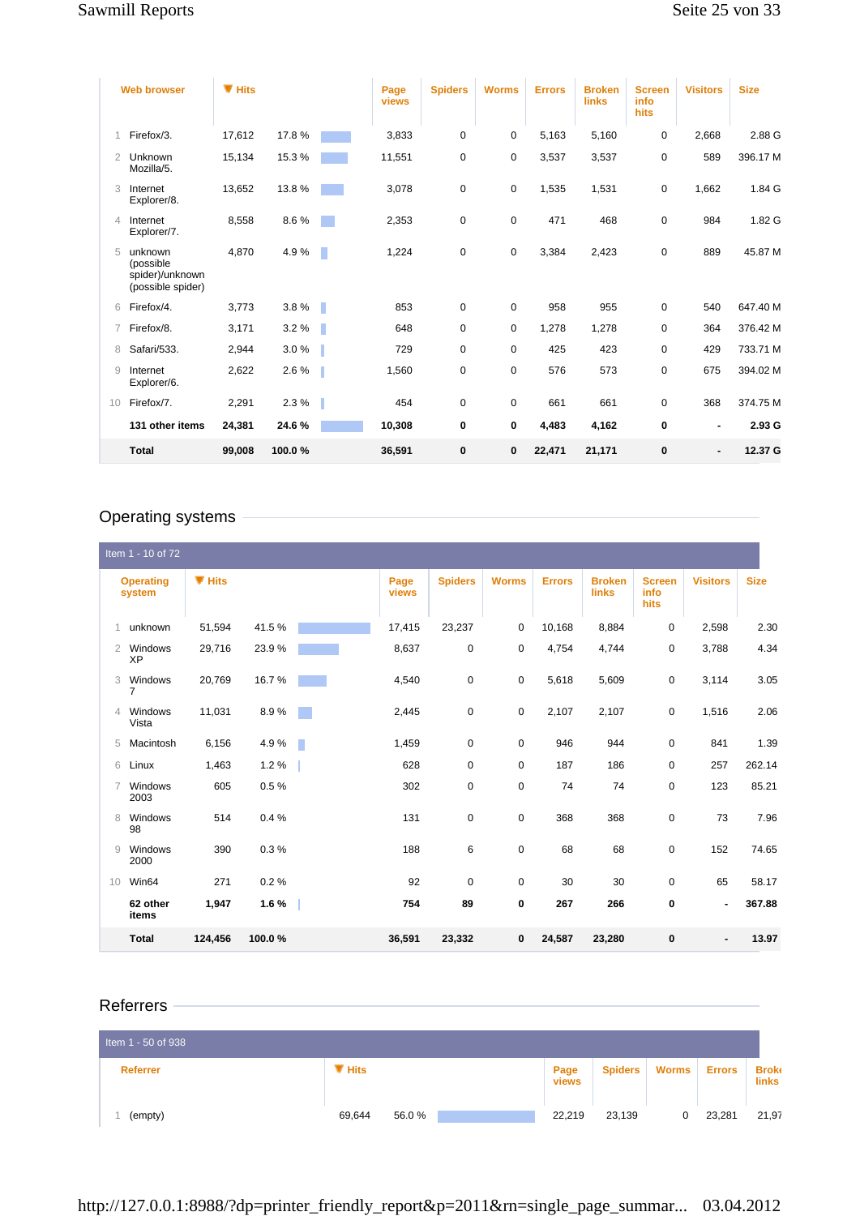|                | <b>Web browser</b>                                           | $\P$ Hits |        |    | Page<br>views | <b>Spiders</b> | <b>Worms</b> | <b>Errors</b> | <b>Broken</b><br>links | <b>Screen</b><br>info<br>hits | <b>Visitors</b> | <b>Size</b> |
|----------------|--------------------------------------------------------------|-----------|--------|----|---------------|----------------|--------------|---------------|------------------------|-------------------------------|-----------------|-------------|
|                | Firefox/3.                                                   | 17,612    | 17.8%  |    | 3,833         | $\mathbf 0$    | 0            | 5,163         | 5,160                  | $\mathbf 0$                   | 2,668           | 2.88 G      |
| $\overline{2}$ | Unknown<br>Mozilla/5.                                        | 15,134    | 15.3%  |    | 11,551        | 0              | 0            | 3,537         | 3,537                  | $\mathbf 0$                   | 589             | 396.17 M    |
| 3              | Internet<br>Explorer/8.                                      | 13,652    | 13.8%  |    | 3,078         | 0              | 0            | 1,535         | 1,531                  | $\mathbf 0$                   | 1,662           | 1.84 G      |
| $\overline{4}$ | Internet<br>Explorer/7.                                      | 8,558     | 8.6%   |    | 2,353         | $\mathbf 0$    | 0            | 471           | 468                    | $\mathbf 0$                   | 984             | 1.82 G      |
| 5              | unknown<br>(possible<br>spider)/unknown<br>(possible spider) | 4,870     | 4.9%   | r. | 1,224         | 0              | 0            | 3,384         | 2,423                  | $\mathbf 0$                   | 889             | 45.87 M     |
| 6              | Firefox/4.                                                   | 3,773     | 3.8%   | П  | 853           | $\mathbf 0$    | $\mathbf 0$  | 958           | 955                    | $\mathbf 0$                   | 540             | 647.40 M    |
|                | Firefox/8.                                                   | 3,171     | 3.2%   | Г  | 648           | $\mathbf 0$    | 0            | 1,278         | 1,278                  | $\mathbf 0$                   | 364             | 376.42 M    |
| 8              | Safari/533.                                                  | 2,944     | 3.0%   |    | 729           | $\mathbf 0$    | 0            | 425           | 423                    | $\mathbf 0$                   | 429             | 733.71 M    |
| 9              | Internet<br>Explorer/6.                                      | 2,622     | 2.6%   | ı  | 1,560         | 0              | 0            | 576           | 573                    | 0                             | 675             | 394.02 M    |
| 10             | Firefox/7.                                                   | 2,291     | 2.3%   | ı  | 454           | $\mathbf 0$    | 0            | 661           | 661                    | $\mathbf 0$                   | 368             | 374.75 M    |
|                | 131 other items                                              | 24,381    | 24.6%  |    | 10,308        | $\mathbf 0$    | 0            | 4,483         | 4,162                  | $\mathbf 0$                   | $\blacksquare$  | 2.93 G      |
|                | <b>Total</b>                                                 | 99,008    | 100.0% |    | 36,591        | $\bf{0}$       | 0            | 22,471        | 21,171                 | $\bf{0}$                      |                 | 12.37 G     |

# Operating systems

|                | Item 1 - 10 of 72          |           |        |      |               |                |              |               |                        |                               |                 |             |
|----------------|----------------------------|-----------|--------|------|---------------|----------------|--------------|---------------|------------------------|-------------------------------|-----------------|-------------|
|                | <b>Operating</b><br>system | $\P$ Hits |        |      | Page<br>views | <b>Spiders</b> | <b>Worms</b> | <b>Errors</b> | <b>Broken</b><br>links | <b>Screen</b><br>info<br>hits | <b>Visitors</b> | <b>Size</b> |
|                | unknown                    | 51,594    | 41.5%  |      | 17,415        | 23,237         | $\mathbf 0$  | 10,168        | 8,884                  | 0                             | 2,598           | 2.30        |
| $\overline{2}$ | Windows<br>XP              | 29,716    | 23.9%  |      | 8,637         | $\mathbf 0$    | $\mathbf 0$  | 4,754         | 4,744                  | $\mathbf 0$                   | 3,788           | 4.34        |
| 3              | Windows<br>$\overline{7}$  | 20,769    | 16.7%  |      | 4,540         | $\mathbf 0$    | $\mathbf 0$  | 5,618         | 5,609                  | $\mathbf 0$                   | 3,114           | 3.05        |
| $\overline{4}$ | Windows<br>Vista           | 11,031    | 8.9%   |      | 2,445         | $\pmb{0}$      | $\mathbf 0$  | 2,107         | 2,107                  | 0                             | 1,516           | 2.06        |
| 5              | Macintosh                  | 6,156     | 4.9%   | a li | 1,459         | $\mathbf 0$    | $\mathbf 0$  | 946           | 944                    | $\mathbf 0$                   | 841             | 1.39        |
| 6              | Linux                      | 1,463     | 1.2%   |      | 628           | $\mathbf 0$    | $\mathbf 0$  | 187           | 186                    | $\mathbf 0$                   | 257             | 262.14      |
|                | Windows<br>2003            | 605       | 0.5%   |      | 302           | $\mathbf 0$    | $\mathbf 0$  | 74            | 74                     | $\mathbf 0$                   | 123             | 85.21       |
| 8              | Windows<br>98              | 514       | 0.4%   |      | 131           | $\mathbf 0$    | $\mathbf 0$  | 368           | 368                    | $\mathbf 0$                   | 73              | 7.96        |
| 9              | Windows<br>2000            | 390       | 0.3%   |      | 188           | 6              | $\mathbf 0$  | 68            | 68                     | $\mathbf 0$                   | 152             | 74.65       |
| 10             | Win64                      | 271       | 0.2%   |      | 92            | $\mathbf 0$    | $\mathbf 0$  | 30            | 30                     | $\mathbf 0$                   | 65              | 58.17       |
|                | 62 other<br>items          | 1,947     | 1.6 %  |      | 754           | 89             | $\mathbf 0$  | 267           | 266                    | 0                             | ٠               | 367.88      |
|                | <b>Total</b>               | 124,456   | 100.0% |      | 36,591        | 23,332         | 0            | 24,587        | 23,280                 | 0                             | ٠               | 13.97       |

# Referrers

| Item 1 - 50 of 938 |           |       |               |                |              |               |                       |
|--------------------|-----------|-------|---------------|----------------|--------------|---------------|-----------------------|
| <b>Referrer</b>    | $\P$ Hits |       | Page<br>views | <b>Spiders</b> | <b>Worms</b> | <b>Errors</b> | <b>Broke</b><br>links |
| (empty)            | 69,644    | 56.0% | 22,219        | 23,139         |              | 23,281        | 21,97                 |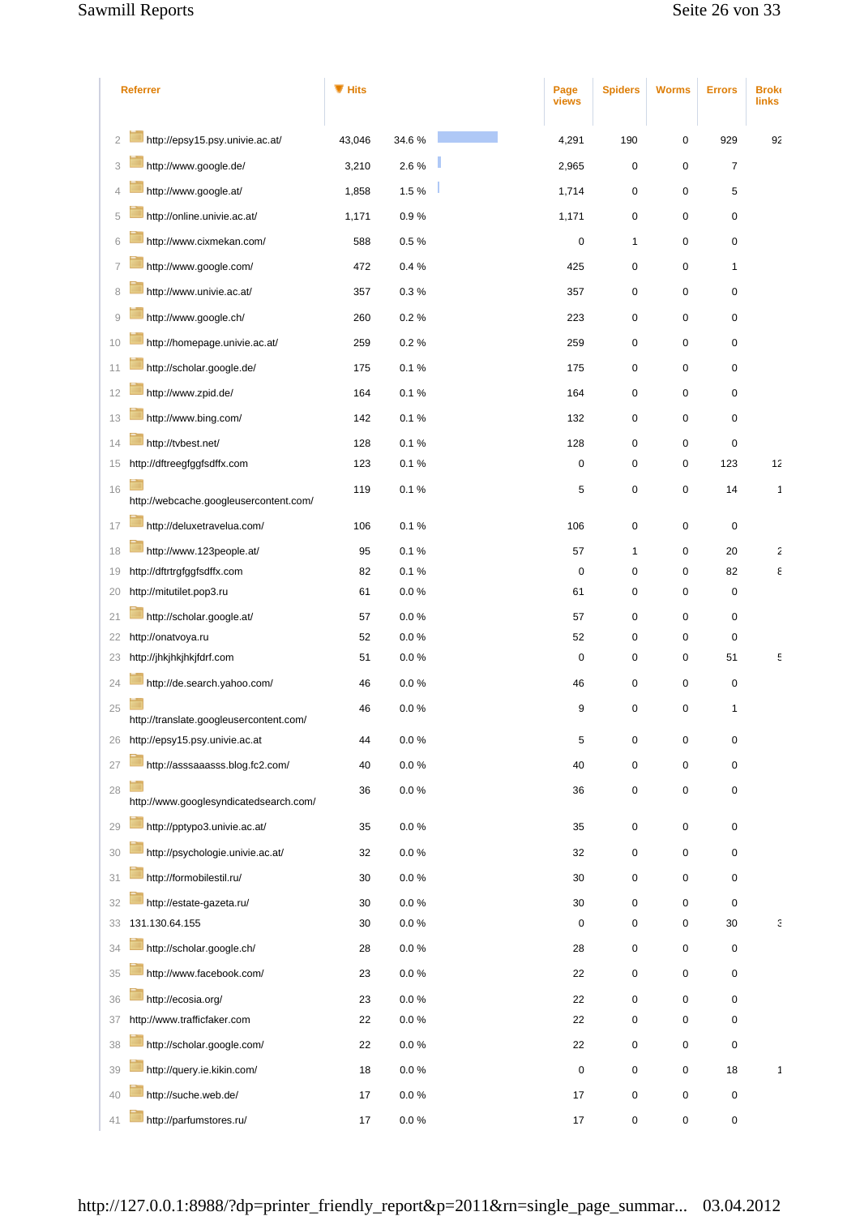|                | <b>Referrer</b>                         | $\P$ Hits |           | Page<br>views | <b>Spiders</b> | <b>Worms</b> | <b>Errors</b>       | <b>Broke</b><br><b>links</b> |
|----------------|-----------------------------------------|-----------|-----------|---------------|----------------|--------------|---------------------|------------------------------|
| $\overline{2}$ | http://epsy15.psy.univie.ac.at/         | 43,046    | 34.6%     | 4,291         | 190            | 0            | 929                 | 92                           |
| 3              | http://www.google.de/                   | 3,210     | 2.6%      | 2,965         | 0              | 0            | $\overline{7}$      |                              |
|                | http://www.google.at/                   | 1,858     | 1.5%      | 1,714         | 0              | 0            | 5                   |                              |
| 5              | http://online.univie.ac.at/             | 1,171     | 0.9%      | 1,171         | $\pmb{0}$      | 0            | 0                   |                              |
| 6              | http://www.cixmekan.com/                | 588       | 0.5%      | $\pmb{0}$     | 1              | 0            | 0                   |                              |
| 7              | http://www.google.com/                  | 472       | 0.4%      | 425           | 0              | 0            | $\mathbf{1}$        |                              |
| 8              | http://www.univie.ac.at/                | 357       | 0.3%      | 357           | 0              | 0            | $\mathbf 0$         |                              |
| 9              | http://www.google.ch/                   | 260       | 0.2%      |               |                | 0            | 0                   |                              |
|                |                                         |           |           | 223           | 0              |              |                     |                              |
| 10             | http://homepage.univie.ac.at/           | 259       | 0.2%      | 259           | 0              | 0            | 0                   |                              |
| 11             | http://scholar.google.de/               | 175       | 0.1%      | 175           | 0              | 0            | 0                   |                              |
| 12             | http://www.zpid.de/                     | 164       | 0.1%      | 164           | 0              | 0            | $\mathbf 0$         |                              |
| 13             | http://www.bing.com/                    | 142       | 0.1%      | 132           | 0              | 0            | 0                   |                              |
| 14             | http://tvbest.net/                      | 128       | 0.1%      | 128           | 0              | 0            | $\mathbf 0$         |                              |
| 15             | http://dftreegfggfsdffx.com             | 123       | 0.1%      | 0             | 0              | 0            | 123                 | 12                           |
| 16             | http://webcache.googleusercontent.com/  | 119       | 0.1%      | 5             | 0              | 0            | 14                  | 1                            |
| 17             | http://deluxetravelua.com/              | 106       | 0.1%      | 106           | 0              | 0            | $\pmb{0}$           |                              |
| 18             | http://www.123people.at/                | 95        | 0.1%      | 57            | 1              | 0            | 20                  | 2                            |
| 19             | http://dftrtrgfggfsdffx.com             | 82        | 0.1%      | $\pmb{0}$     | 0              | 0            | 82                  | ε                            |
| 20             | http://mitutilet.pop3.ru                | 61        | $0.0 \%$  | 61            | 0              | 0            | 0                   |                              |
| 21             | http://scholar.google.at/               | 57        | $0.0 \%$  | 57            | 0              | 0            | $\mathbf 0$         |                              |
| 22             | http://onatvoya.ru                      | 52        | 0.0%      | 52            | 0              | 0            | $\mathbf 0$         |                              |
| 23             | http://jhkjhkjhkjfdrf.com               | 51        | $0.0\,\%$ | $\pmb{0}$     | 0              | 0            | 51                  | ε                            |
| 24             | http://de.search.yahoo.com/             | 46        | $0.0 \%$  | 46            | 0              | 0            | $\mathbf 0$         |                              |
| 25             | http://translate.googleusercontent.com/ | 46        | $0.0 \%$  | 9             | 0              | 0            | $\mathbf{1}$        |                              |
| 26             | http://epsy15.psy.univie.ac.at          | 44        | $0.0\ \%$ | 5             | 0              | 0            | $\pmb{0}$           |                              |
| 27             | http://asssaaasss.blog.fc2.com/         | 40        | 0.0 %     | 40            | 0              | 0            | $\mathsf{O}\xspace$ |                              |
|                |                                         |           |           |               |                |              |                     |                              |
| 28             | http://www.googlesyndicatedsearch.com/  | 36        | $0.0 \%$  | 36            | 0              | 0            | $\mathsf{O}\xspace$ |                              |
| 29             | http://pptypo3.univie.ac.at/            | 35        | $0.0 \%$  | 35            | 0              | 0            | $\mathsf{O}\xspace$ |                              |
| 30             | http://psychologie.univie.ac.at/        | 32        | 0.0 %     | 32            | 0              | 0            | 0                   |                              |
| 31             | http://formobilestil.ru/                | 30        | $0.0 \%$  | 30            | 0              | 0            | 0                   |                              |
| 32             | http://estate-gazeta.ru/                | 30        | $0.0 \%$  | 30            | 0              | 0            | $\pmb{0}$           |                              |
| 33             | 131.130.64.155                          | 30        | $0.0 \%$  | $\pmb{0}$     | 0              | 0            | $30\,$              | Э                            |
| 34             | http://scholar.google.ch/               | 28        | $0.0 \%$  | 28            | 0              | 0            | $\pmb{0}$           |                              |
| 35             | http://www.facebook.com/                | 23        | $0.0 \%$  | 22            | 0              | 0            | 0                   |                              |
| 36             | http://ecosia.org/                      | 23        | $0.0\ \%$ | 22            | 0              | 0            | $\mathbf 0$         |                              |
| 37             | http://www.trafficfaker.com             | 22        | $0.0\,\%$ | 22            | 0              | 0            | $\pmb{0}$           |                              |
| 38             | http://scholar.google.com/              | 22        | $0.0 \%$  | 22            | 0              | 0            | $\pmb{0}$           |                              |
| 39             | http://query.ie.kikin.com/              | 18        | $0.0 \%$  | $\pmb{0}$     | $\pmb{0}$      | 0            | 18                  | 1                            |
| 40             | http://suche.web.de/                    | 17        | 0.0 %     | $17$          | 0              | 0            | $\pmb{0}$           |                              |
| 41             | http://parfumstores.ru/                 | $17$      | $0.0\ \%$ | $17$          | 0              | 0            | $\mathsf{O}\xspace$ |                              |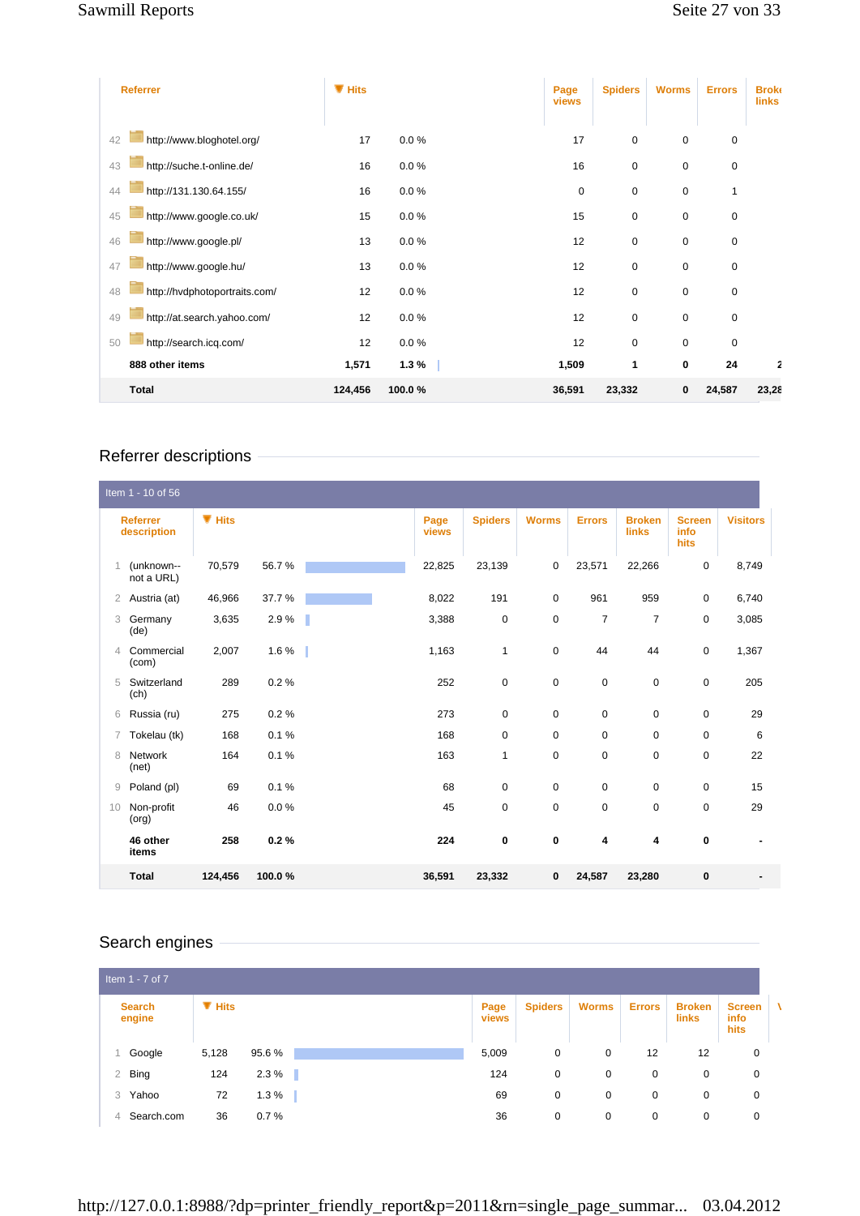| <b>Referrer</b>                     | $\P$ Hits |          | Page<br>views | <b>Spiders</b> | <b>Worms</b> | <b>Errors</b> | <b>Broke</b><br>links |
|-------------------------------------|-----------|----------|---------------|----------------|--------------|---------------|-----------------------|
|                                     |           |          |               |                |              |               |                       |
| http://www.bloghotel.org/<br>42     | 17        | $0.0 \%$ | 17            | $\mathbf 0$    | $\mathbf 0$  | 0             |                       |
| http://suche.t-online.de/<br>43     | 16        | 0.0%     | 16            | $\mathbf 0$    | $\mathbf 0$  | 0             |                       |
| http://131.130.64.155/<br>44        | 16        | $0.0 \%$ | $\pmb{0}$     | $\pmb{0}$      | 0            | 1             |                       |
| http://www.google.co.uk/<br>45      | 15        | $0.0 \%$ | 15            | $\mathbf 0$    | $\mathbf 0$  | 0             |                       |
| http://www.google.pl/<br>46         | 13        | 0.0%     | 12            | $\pmb{0}$      | $\mathbf 0$  | 0             |                       |
| http://www.google.hu/<br>47         | 13        | $0.0 \%$ | 12            | $\pmb{0}$      | $\mathbf 0$  | 0             |                       |
| http://hvdphotoportraits.com/<br>48 | 12        | $0.0 \%$ | 12            | $\mathbf 0$    | $\mathbf 0$  | 0             |                       |
| http://at.search.yahoo.com/<br>49   | 12        | $0.0 \%$ | 12            | $\mathbf 0$    | $\mathbf 0$  | 0             |                       |
| http://search.icq.com/<br>50        | 12        | 0.0%     | 12            | $\pmb{0}$      | $\mathbf 0$  | 0             |                       |
| 888 other items                     | 1,571     | 1.3%     | 1,509         | 1              | 0            | 24            | 2                     |
| Total                               | 124,456   | 100.0%   | 36,591        | 23,332         | 0            | 24,587        | 23,28                 |

# Referrer descriptions

|                | Item 1 - 10 of 56              |           |        |               |                |              |                |                               |                               |                 |
|----------------|--------------------------------|-----------|--------|---------------|----------------|--------------|----------------|-------------------------------|-------------------------------|-----------------|
|                | <b>Referrer</b><br>description | $\P$ Hits |        | Page<br>views | <b>Spiders</b> | <b>Worms</b> | <b>Errors</b>  | <b>Broken</b><br><b>links</b> | <b>Screen</b><br>info<br>hits | <b>Visitors</b> |
|                | (unknown--<br>not a URL)       | 70,579    | 56.7%  | 22,825        | 23,139         | 0            | 23,571         | 22,266                        | 0                             | 8,749           |
| $\overline{2}$ | Austria (at)                   | 46,966    | 37.7%  | 8,022         | 191            | 0            | 961            | 959                           | $\mathbf 0$                   | 6,740           |
| 3              | Germany<br>(de)                | 3,635     | 2.9%   | 3,388         | $\mathbf 0$    | $\mathbf 0$  | $\overline{7}$ | 7                             | 0                             | 3,085           |
| 4              | Commercial<br>(com)            | 2,007     | 1.6 %  | 1,163         | $\mathbf{1}$   | $\mathbf 0$  | 44             | 44                            | 0                             | 1,367           |
| 5              | Switzerland<br>(ch)            | 289       | 0.2%   | 252           | $\mathbf 0$    | $\mathbf 0$  | $\mathbf 0$    | $\mathbf 0$                   | $\mathbf 0$                   | 205             |
| 6              | Russia (ru)                    | 275       | 0.2%   | 273           | $\mathbf 0$    | $\mathbf 0$  | $\mathbf 0$    | $\mathbf 0$                   | $\mathbf 0$                   | 29              |
| 7              | Tokelau (tk)                   | 168       | 0.1%   | 168           | $\mathbf 0$    | $\mathbf 0$  | $\mathbf 0$    | $\mathbf 0$                   | $\mathbf 0$                   | 6               |
| 8              | <b>Network</b><br>(net)        | 164       | 0.1%   | 163           | $\mathbf{1}$   | $\mathbf 0$  | $\mathbf 0$    | $\mathbf 0$                   | $\mathbf 0$                   | 22              |
| 9              | Poland (pl)                    | 69        | 0.1%   | 68            | $\mathbf 0$    | $\mathbf 0$  | $\mathbf 0$    | $\mathbf 0$                   | $\mathbf 0$                   | 15              |
| 10             | Non-profit<br>(org)            | 46        | 0.0%   | 45            | $\mathbf 0$    | $\mathbf 0$  | $\mathbf 0$    | $\mathbf 0$                   | $\mathbf 0$                   | 29              |
|                | 46 other<br>items              | 258       | 0.2%   | 224           | 0              | 0            | 4              | 4                             | $\mathbf 0$                   |                 |
|                | <b>Total</b>                   | 124,456   | 100.0% | 36,591        | 23,332         | 0            | 24,587         | 23,280                        | $\bf{0}$                      |                 |

# Search engines

| Item $1 - 7$ of $7$     |           |            |               |                |              |               |                        |                               |   |
|-------------------------|-----------|------------|---------------|----------------|--------------|---------------|------------------------|-------------------------------|---|
| <b>Search</b><br>engine | $\P$ Hits |            | Page<br>views | <b>Spiders</b> | <b>Worms</b> | <b>Errors</b> | <b>Broken</b><br>links | <b>Screen</b><br>info<br>hits | A |
| Google                  | 5,128     | 95.6%      | 5,009         | 0              | 0            | 12            | 12                     | 0                             |   |
| Bing<br>$\overline{2}$  | 124       | 2.3%<br>a. | 124           | 0              | $\mathbf 0$  | $\mathbf{0}$  | 0                      | 0                             |   |
| Yahoo<br>3              | 72        | 1.3%       | 69            | 0              | 0            | 0             | 0                      | 0                             |   |
| Search.com<br>4         | 36        | 0.7%       | 36            | 0              | 0            | $\mathbf{0}$  | 0                      | $\mathbf 0$                   |   |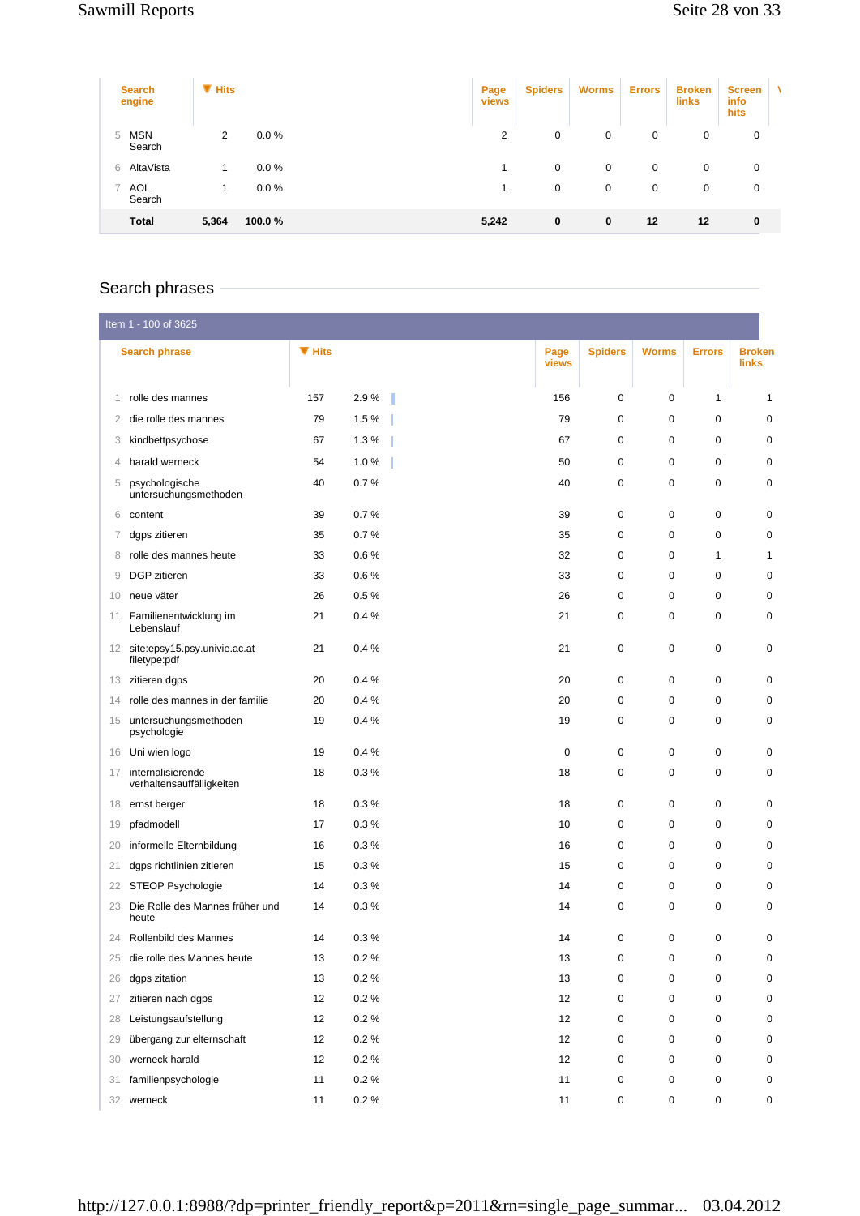| <b>Search</b><br>engine   | $\blacksquare$ Hits |          | Page<br>views | <b>Spiders</b> | <b>Worms</b> | <b>Errors</b> | <b>Broken</b><br><b>links</b> | <b>Screen</b><br>info<br>hits | ۸ |
|---------------------------|---------------------|----------|---------------|----------------|--------------|---------------|-------------------------------|-------------------------------|---|
| <b>MSN</b><br>5<br>Search | 2                   | $0.0 \%$ | 2             | 0              | 0            | 0             | 0                             | 0                             |   |
| AltaVista<br>6            |                     | $0.0 \%$ |               | 0              | $\mathbf 0$  | $\mathbf{0}$  | 0                             | 0                             |   |
| AOL<br>7<br>Search        | 1                   | $0.0 \%$ |               | 0              | 0            | 0             | 0                             | 0                             |   |
| <b>Total</b>              | 5,364               | 100.0%   | 5,242         | 0              | $\bf{0}$     | 12            | 12                            | $\bf{0}$                      |   |

# Search phrases

|    | Item 1 - 100 of 3625                            |        |          |               |                |              |               |                        |
|----|-------------------------------------------------|--------|----------|---------------|----------------|--------------|---------------|------------------------|
|    | <b>Search phrase</b>                            | ▼ Hits |          | Page<br>views | <b>Spiders</b> | <b>Worms</b> | <b>Errors</b> | <b>Broken</b><br>links |
| 1  | rolle des mannes                                | 157    | 2.9%     | 156           | 0              | $\mathbf 0$  | 1             | 1                      |
| 2  | die rolle des mannes                            | 79     | 1.5%     | 79            | 0              | $\mathbf 0$  | 0             | $\mathbf 0$            |
| 3  | kindbettpsychose                                | 67     | 1.3%     | 67            | 0              | 0            | 0             | 0                      |
| 4  | harald werneck                                  | 54     | 1.0%     | 50            | 0              | 0            | 0             | 0                      |
| 5  | psychologische<br>untersuchungsmethoden         | 40     | 0.7%     | 40            | 0              | $\mathbf 0$  | 0             | 0                      |
| 6  | content                                         | 39     | 0.7%     | 39            | 0              | 0            | 0             | 0                      |
| 7  | dgps zitieren                                   | 35     | 0.7%     | 35            | 0              | 0            | 0             | 0                      |
| 8  | rolle des mannes heute                          | 33     | 0.6%     | 32            | 0              | 0            | 1             | 1                      |
| 9  | DGP zitieren                                    | 33     | 0.6%     | 33            | 0              | 0            | 0             | 0                      |
| 10 | neue väter                                      | 26     | 0.5%     | 26            | 0              | $\mathbf 0$  | 0             | 0                      |
| 11 | Familienentwicklung im<br>Lebenslauf            | 21     | 0.4%     | 21            | 0              | 0            | 0             | $\mathbf 0$            |
|    | 12 site:epsy15.psy.univie.ac.at<br>filetype:pdf | 21     | 0.4%     | 21            | 0              | $\mathbf 0$  | 0             | 0                      |
| 13 | zitieren dgps                                   | 20     | 0.4%     | 20            | 0              | 0            | 0             | 0                      |
| 14 | rolle des mannes in der familie                 | 20     | 0.4%     | 20            | 0              | $\mathbf 0$  | 0             | 0                      |
| 15 | untersuchungsmethoden<br>psychologie            | 19     | 0.4%     | 19            | 0              | 0            | 0             | $\mathbf 0$            |
| 16 | Uni wien logo                                   | 19     | 0.4%     | $\mathbf 0$   | 0              | $\mathbf 0$  | 0             | 0                      |
| 17 | internalisierende<br>verhaltensauffälligkeiten  | 18     | 0.3%     | 18            | 0              | 0            | 0             | $\mathbf 0$            |
| 18 | ernst berger                                    | 18     | 0.3%     | 18            | 0              | $\mathbf 0$  | 0             | $\mathbf 0$            |
| 19 | pfadmodell                                      | 17     | 0.3%     | 10            | 0              | 0            | 0             | 0                      |
| 20 | informelle Elternbildung                        | 16     | 0.3%     | 16            | 0              | 0            | 0             | 0                      |
| 21 | dgps richtlinien zitieren                       | 15     | 0.3%     | 15            | 0              | $\mathbf 0$  | 0             | 0                      |
| 22 | STEOP Psychologie                               | 14     | 0.3%     | 14            | 0              | 0            | 0             | 0                      |
| 23 | Die Rolle des Mannes früher und<br>heute        | 14     | 0.3%     | 14            | 0              | 0            | 0             | 0                      |
| 24 | Rollenbild des Mannes                           | 14     | 0.3%     | 14            | 0              | 0            | 0             | 0                      |
| 25 | die rolle des Mannes heute                      | 13     | 0.2%     | 13            | 0              | $\mathbf 0$  | 0             | $\mathbf 0$            |
| 26 | dgps zitation                                   | 13     | 0.2 %    | 13            | 0              | $\pmb{0}$    | 0             | $\mathbf 0$            |
| 27 | zitieren nach dgps                              | 12     | 0.2%     | 12            | 0              | 0            | 0             | $\pmb{0}$              |
| 28 | Leistungsaufstellung                            | 12     | $0.2 \%$ | 12            | 0              | 0            | 0             | $\mathbf 0$            |
| 29 | übergang zur elternschaft                       | 12     | 0.2%     | 12            | 0              | 0            | 0             | $\pmb{0}$              |
| 30 | werneck harald                                  | 12     | 0.2 %    | 12            | 0              | 0            | 0             | $\pmb{0}$              |
| 31 | familienpsychologie                             | 11     | $0.2~\%$ | 11            | 0              | 0            | 0             | $\mathbf 0$            |
| 32 | werneck                                         | 11     | $0.2~\%$ | 11            | 0              | 0            | 0             | 0                      |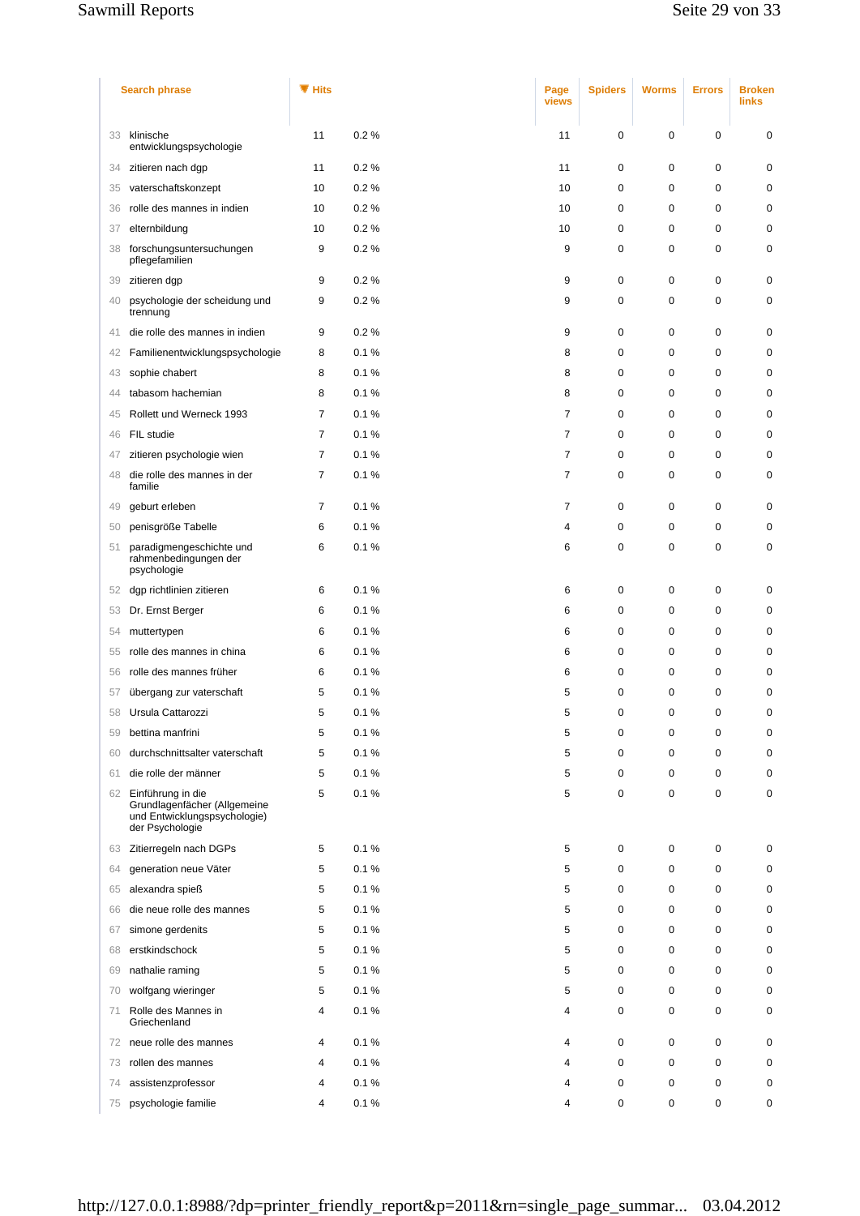## Sawmill Reports Sawmill Reports Seite 29 von 33

|    | <b>Search phrase</b>                                                                                 | ▼ Hits         |      | Page<br>views  | <b>Spiders</b> | <b>Worms</b> | <b>Errors</b> | <b>Broken</b><br><b>links</b> |
|----|------------------------------------------------------------------------------------------------------|----------------|------|----------------|----------------|--------------|---------------|-------------------------------|
| 33 | klinische<br>entwicklungspsychologie                                                                 | 11             | 0.2% | 11             | 0              | 0            | 0             | $\mathbf 0$                   |
| 34 | zitieren nach dgp                                                                                    | 11             | 0.2% | 11             | 0              | 0            | $\mathbf 0$   | $\mathbf 0$                   |
| 35 | vaterschaftskonzept                                                                                  | 10             | 0.2% | 10             | $\mathbf 0$    | 0            | $\mathbf 0$   | $\mathbf 0$                   |
| 36 | rolle des mannes in indien                                                                           | 10             | 0.2% | 10             | $\mathbf 0$    | 0            | $\mathbf 0$   | 0                             |
| 37 | elternbildung                                                                                        | 10             | 0.2% | 10             | 0              | 0            | 0             | 0                             |
| 38 | forschungsuntersuchungen<br>pflegefamilien                                                           | 9              | 0.2% | 9              | 0              | 0            | 0             | 0                             |
| 39 | zitieren dgp                                                                                         | 9              | 0.2% | 9              | 0              | 0            | $\mathbf 0$   | 0                             |
| 40 | psychologie der scheidung und<br>trennung                                                            | 9              | 0.2% | 9              | 0              | 0            | 0             | 0                             |
| 41 | die rolle des mannes in indien                                                                       | 9              | 0.2% | 9              | 0              | 0            | 0             | 0                             |
| 42 | Familienentwicklungspsychologie                                                                      | 8              | 0.1% | 8              | $\mathbf 0$    | 0            | $\mathbf 0$   | $\mathbf 0$                   |
| 43 | sophie chabert                                                                                       | 8              | 0.1% | 8              | $\mathbf 0$    | 0            | 0             | 0                             |
| 44 | tabasom hachemian                                                                                    | 8              | 0.1% | 8              | 0              | 0            | 0             | 0                             |
| 45 | Rollett und Werneck 1993                                                                             | $\overline{7}$ | 0.1% | $\overline{7}$ | $\mathbf 0$    | 0            | 0             | $\mathbf 0$                   |
| 46 | FIL studie                                                                                           | 7              | 0.1% | $\overline{7}$ | 0              | 0            | 0             | 0                             |
| 47 | zitieren psychologie wien                                                                            | 7              | 0.1% | $\overline{7}$ | 0              | 0            | 0             | 0                             |
| 48 | die rolle des mannes in der<br>familie                                                               | $\overline{7}$ | 0.1% | $\overline{7}$ | 0              | 0            | $\mathbf 0$   | 0                             |
| 49 | geburt erleben                                                                                       | $\overline{7}$ | 0.1% | $\overline{7}$ | $\mathbf 0$    | 0            | $\mathbf 0$   | $\mathbf 0$                   |
| 50 | penisgröße Tabelle                                                                                   | 6              | 0.1% | 4              | 0              | 0            | 0             | 0                             |
| 51 | paradigmengeschichte und<br>rahmenbedingungen der<br>psychologie                                     | 6              | 0.1% | 6              | 0              | 0            | $\mathbf 0$   | 0                             |
| 52 | dgp richtlinien zitieren                                                                             | 6              | 0.1% | 6              | $\mathbf 0$    | 0            | 0             | 0                             |
| 53 | Dr. Ernst Berger                                                                                     | 6              | 0.1% | 6              | $\mathbf 0$    | 0            | $\mathbf 0$   | $\mathbf 0$                   |
| 54 | muttertypen                                                                                          | 6              | 0.1% | 6              | 0              | 0            | 0             | 0                             |
| 55 | rolle des mannes in china                                                                            | 6              | 0.1% | 6              | 0              | 0            | 0             | 0                             |
| 56 | rolle des mannes früher                                                                              | 6              | 0.1% | 6              | 0              | 0            | $\mathbf 0$   | 0                             |
| 57 | übergang zur vaterschaft                                                                             | 5              | 0.1% | 5              | 0              | 0            | 0             | 0                             |
| 58 | Ursula Cattarozzi                                                                                    | 5              | 0.1% | 5              | 0              | 0            | 0             | 0                             |
| 59 | bettina manfrini                                                                                     | 5              | 0.1% | 5              | 0              | 0            | $\mathbf 0$   | 0                             |
| 60 | durchschnittsalter vaterschaft                                                                       | 5              | 0.1% | 5              | 0              | 0            | 0             | 0                             |
| 61 | die rolle der männer                                                                                 | 5              | 0.1% | 5              | 0              | 0            | 0             | 0                             |
| 62 | Einführung in die<br>Grundlagenfächer (Allgemeine<br>und Entwicklungspsychologie)<br>der Psychologie | 5              | 0.1% | 5              | 0              | 0            | $\mathbf 0$   | 0                             |
| 63 | Zitierregeln nach DGPs                                                                               | 5              | 0.1% | 5              | $\mathbf 0$    | 0            | 0             | 0                             |
| 64 | generation neue Väter                                                                                | 5              | 0.1% | 5              | $\mathbf 0$    | 0            | 0             | 0                             |
| 65 | alexandra spieß                                                                                      | 5              | 0.1% | 5              | 0              | 0            | 0             | 0                             |
| 66 | die neue rolle des mannes                                                                            | 5              | 0.1% | 5              | 0              | 0            | 0             | 0                             |
| 67 | simone gerdenits                                                                                     | 5              | 0.1% | 5              | 0              | 0            | $\mathbf 0$   | 0                             |
| 68 | erstkindschock                                                                                       | 5              | 0.1% | 5              | 0              | 0            | 0             | 0                             |
| 69 | nathalie raming                                                                                      | 5              | 0.1% | 5              | $\mathbf 0$    | 0            | 0             | $\mathbf 0$                   |
| 70 | wolfgang wieringer                                                                                   | 5              | 0.1% | 5              | 0              | 0            | $\mathbf 0$   | 0                             |
| 71 | Rolle des Mannes in<br>Griechenland                                                                  | 4              | 0.1% | 4              | 0              | 0            | 0             | $\mathbf 0$                   |
| 72 | neue rolle des mannes                                                                                | 4              | 0.1% | 4              | 0              | 0            | 0             | 0                             |
| 73 | rollen des mannes                                                                                    | 4              | 0.1% | 4              | 0              | 0            | $\mathbf 0$   | 0                             |
| 74 | assistenzprofessor                                                                                   | 4              | 0.1% | 4              | 0              | 0            | $\mathbf 0$   | 0                             |
| 75 | psychologie familie                                                                                  | 4              | 0.1% | 4              | 0              | 0            | 0             | 0                             |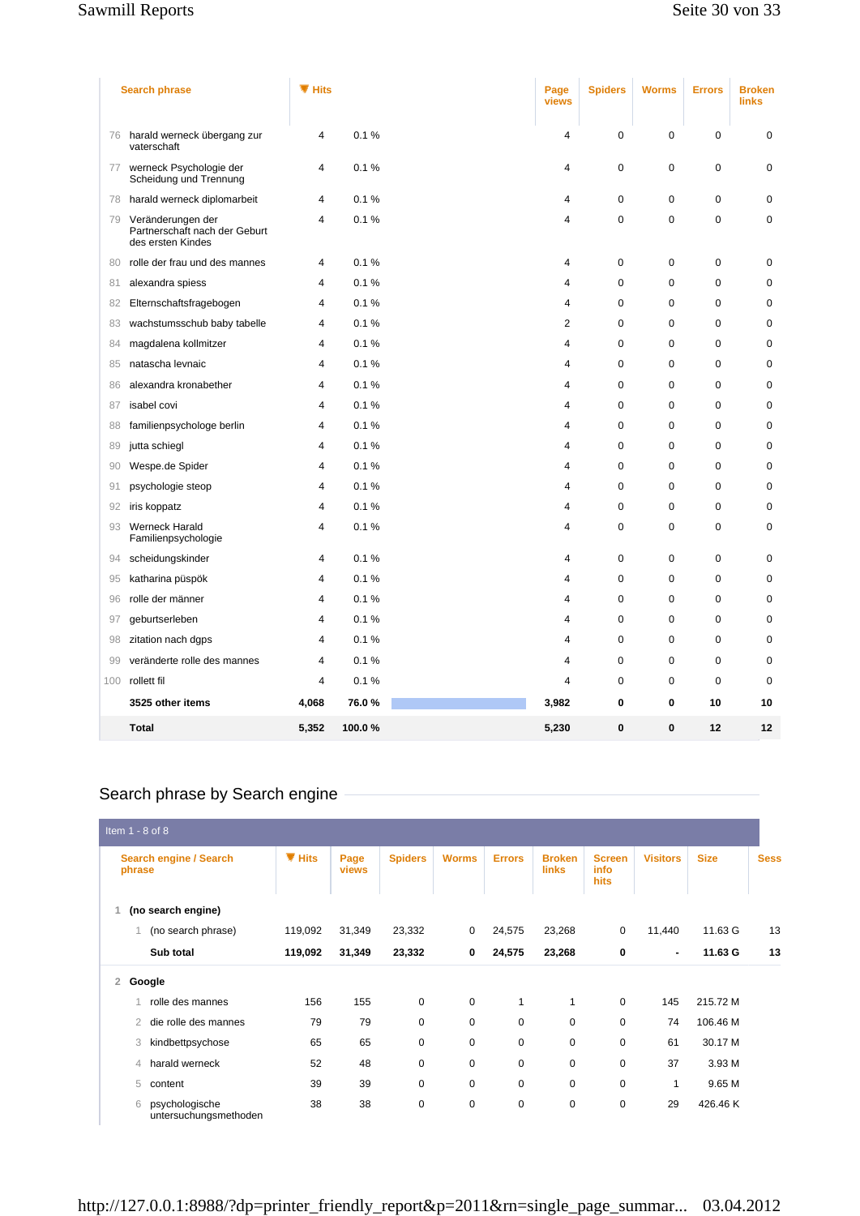#### Sawmill Reports Seite 30 von 33

|     | <b>Search phrase</b>                                                    | ▼ Hits                  |        | Page<br>views  | <b>Spiders</b> | <b>Worms</b> | <b>Errors</b> | <b>Broken</b><br><b>links</b> |
|-----|-------------------------------------------------------------------------|-------------------------|--------|----------------|----------------|--------------|---------------|-------------------------------|
| 76  | harald werneck übergang zur<br>vaterschaft                              | $\overline{4}$          | 0.1%   | 4              | 0              | 0            | 0             | $\mathbf 0$                   |
| 77  | werneck Psychologie der<br>Scheidung und Trennung                       | $\overline{4}$          | 0.1%   | 4              | $\mathbf 0$    | $\mathbf 0$  | $\mathbf 0$   | $\mathbf 0$                   |
| 78  | harald werneck diplomarbeit                                             | 4                       | 0.1%   | 4              | $\mathbf 0$    | 0            | 0             | $\pmb{0}$                     |
| 79  | Veränderungen der<br>Partnerschaft nach der Geburt<br>des ersten Kindes | 4                       | 0.1%   | 4              | $\mathbf 0$    | $\mathbf 0$  | $\mathbf 0$   | $\mathbf 0$                   |
| 80  | rolle der frau und des mannes                                           | $\overline{4}$          | 0.1%   | $\overline{4}$ | $\mathbf 0$    | $\mathbf 0$  | $\mathbf 0$   | $\mathbf 0$                   |
| 81  | alexandra spiess                                                        | 4                       | 0.1%   | 4              | 0              | $\mathbf 0$  | $\mathbf 0$   | $\mathbf 0$                   |
| 82  | Elternschaftsfragebogen                                                 | 4                       | 0.1%   | 4              | $\mathbf 0$    | $\mathbf 0$  | 0             | $\mathbf 0$                   |
| 83  | wachstumsschub baby tabelle                                             | 4                       | 0.1%   | $\overline{2}$ | 0              | 0            | 0             | 0                             |
| 84  | magdalena kollmitzer                                                    | $\overline{\mathbf{4}}$ | 0.1%   | 4              | 0              | 0            | 0             | $\mathbf 0$                   |
| 85  | natascha levnaic                                                        | 4                       | 0.1%   | 4              | $\mathbf 0$    | $\mathbf 0$  | $\mathbf 0$   | $\mathbf 0$                   |
| 86  | alexandra kronabether                                                   | 4                       | 0.1%   | 4              | 0              | $\mathbf 0$  | $\mathbf 0$   | $\mathbf 0$                   |
| 87  | isabel covi                                                             | 4                       | 0.1%   | 4              | $\mathbf 0$    | $\mathbf 0$  | 0             | $\mathbf 0$                   |
| 88  | familienpsychologe berlin                                               | 4                       | 0.1%   | 4              | $\mathbf 0$    | $\mathbf 0$  | 0             | $\mathbf 0$                   |
| 89  | jutta schiegl                                                           | 4                       | 0.1%   | 4              | $\mathbf 0$    | 0            | 0             | $\mathbf 0$                   |
| 90  | Wespe.de Spider                                                         | 4                       | 0.1%   | 4              | 0              | $\mathbf 0$  | 0             | $\mathbf 0$                   |
| 91  | psychologie steop                                                       | 4                       | 0.1%   | 4              | $\mathbf 0$    | $\mathbf 0$  | $\mathbf 0$   | $\mathbf 0$                   |
| 92  | iris koppatz                                                            | 4                       | 0.1%   | 4              | $\mathbf 0$    | 0            | 0             | $\mathbf 0$                   |
| 93  | Werneck Harald<br>Familienpsychologie                                   | 4                       | 0.1%   | 4              | 0              | 0            | 0             | $\mathbf 0$                   |
| 94  | scheidungskinder                                                        | $\overline{4}$          | 0.1%   | 4              | $\mathbf 0$    | $\mathbf 0$  | $\mathbf 0$   | $\mathbf 0$                   |
| 95  | katharina püspök                                                        | 4                       | 0.1%   | 4              | 0              | 0            | 0             | $\mathbf 0$                   |
| 96  | rolle der männer                                                        | 4                       | 0.1%   | 4              | 0              | $\mathbf 0$  | $\mathbf 0$   | $\mathbf 0$                   |
| 97  | geburtserleben                                                          | 4                       | 0.1%   | 4              | $\mathbf 0$    | $\mathbf 0$  | $\pmb{0}$     | $\pmb{0}$                     |
| 98  | zitation nach dgps                                                      | 4                       | 0.1%   | 4              | $\mathbf 0$    | $\mathbf 0$  | 0             | $\mathbf 0$                   |
| 99  | veränderte rolle des mannes                                             | 4                       | 0.1%   | 4              | 0              | $\mathbf 0$  | 0             | $\mathbf 0$                   |
| 100 | rollett fil                                                             | $\overline{4}$          | 0.1%   | 4              | $\mathbf 0$    | 0            | $\mathbf 0$   | $\mathbf 0$                   |
|     | 3525 other items                                                        | 4,068                   | 76.0%  | 3,982          | 0              | $\mathbf 0$  | 10            | 10                            |
|     | <b>Total</b>                                                            | 5,352                   | 100.0% | 5,230          | $\bf{0}$       | 0            | 12            | 12                            |

# Search phrase by Search engine

| Item 1 - 8 of 8                              |           |               |                |              |               |                               |                               |                 |             |             |
|----------------------------------------------|-----------|---------------|----------------|--------------|---------------|-------------------------------|-------------------------------|-----------------|-------------|-------------|
| Search engine / Search<br>phrase             | $\P$ Hits | Page<br>views | <b>Spiders</b> | <b>Worms</b> | <b>Errors</b> | <b>Broken</b><br><b>links</b> | <b>Screen</b><br>info<br>hits | <b>Visitors</b> | <b>Size</b> | <b>Sess</b> |
| (no search engine)                           |           |               |                |              |               |                               |                               |                 |             |             |
| (no search phrase)                           | 119,092   | 31,349        | 23,332         | 0            | 24,575        | 23,268                        | 0                             | 11,440          | 11.63 G     | 13          |
| Sub total                                    | 119,092   | 31,349        | 23,332         | 0            | 24,575        | 23,268                        | 0                             | $\blacksquare$  | 11.63 G     | 13          |
| 2<br>Google                                  |           |               |                |              |               |                               |                               |                 |             |             |
| rolle des mannes                             | 156       | 155           | $\mathbf 0$    | $\mathbf 0$  | 1             | 1                             | 0                             | 145             | 215.72 M    |             |
| die rolle des mannes<br>$\overline{2}$       | 79        | 79            | $\mathbf 0$    | 0            | $\mathbf 0$   | 0                             | 0                             | 74              | 106.46 M    |             |
| 3<br>kindbettpsychose                        | 65        | 65            | 0              | 0            | 0             | 0                             | 0                             | 61              | 30.17 M     |             |
| harald werneck<br>4                          | 52        | 48            | $\mathbf 0$    | $\mathbf 0$  | 0             | $\mathbf 0$                   | 0                             | 37              | 3.93 M      |             |
| 5<br>content                                 | 39        | 39            | $\mathbf 0$    | $\mathbf 0$  | 0             | $\mathbf 0$                   | 0                             | 1               | 9.65 M      |             |
| psychologische<br>6<br>untersuchungsmethoden | 38        | 38            | $\mathbf 0$    | $\mathbf 0$  | 0             | $\mathbf 0$                   | 0                             | 29              | 426.46 K    |             |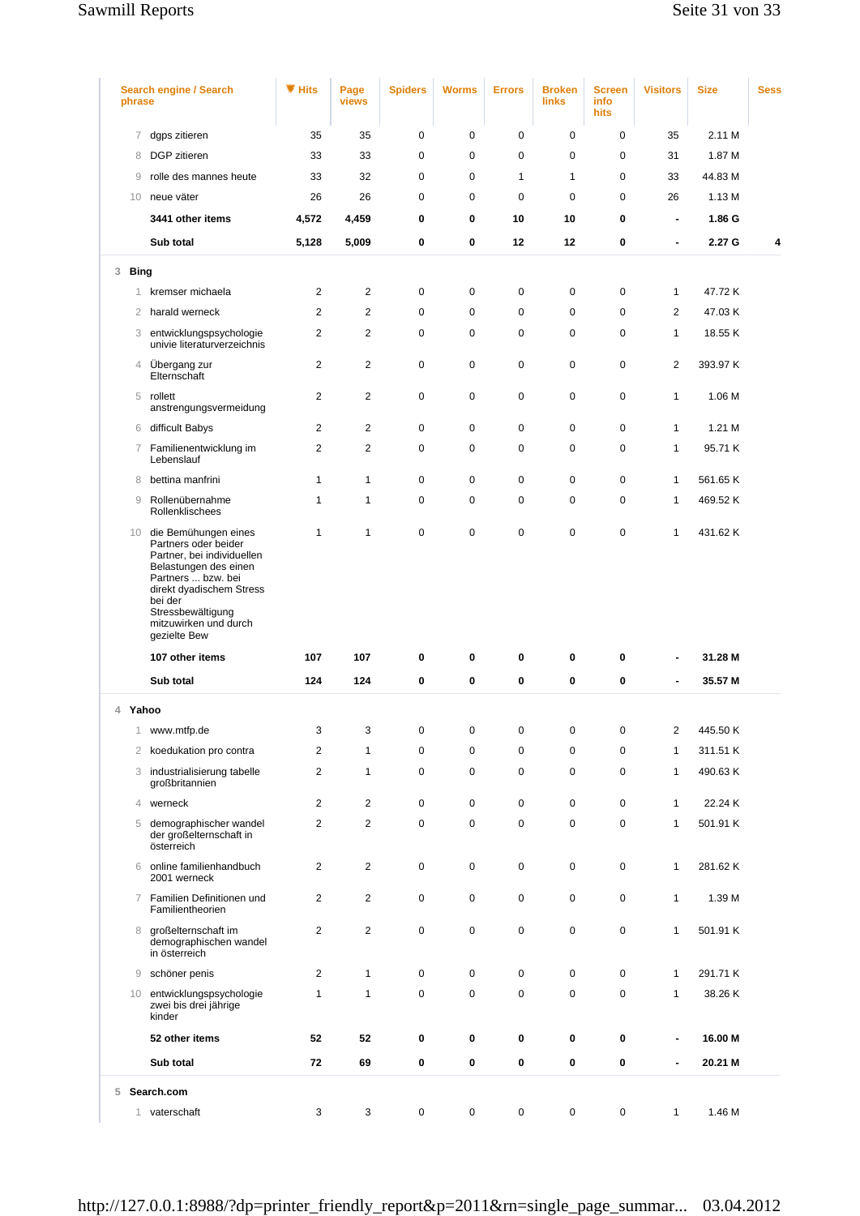## Sawmill Reports Sawmill Reports Seite 31 von 33

| phrase           | <b>Search engine / Search</b>                                                                                                                                                                                                     | ▼ Hits                  | Page<br>views  | <b>Spiders</b> | <b>Worms</b> | <b>Errors</b> | <b>Broken</b><br><b>links</b> | <b>Screen</b><br>info<br>hits | <b>Visitors</b>          | <b>Size</b> | <b>Sess</b> |
|------------------|-----------------------------------------------------------------------------------------------------------------------------------------------------------------------------------------------------------------------------------|-------------------------|----------------|----------------|--------------|---------------|-------------------------------|-------------------------------|--------------------------|-------------|-------------|
| 7                | dgps zitieren                                                                                                                                                                                                                     | 35                      | 35             | 0              | 0            | $\mathbf 0$   | 0                             | 0                             | 35                       | 2.11 M      |             |
| 8                | DGP zitieren                                                                                                                                                                                                                      | 33                      | 33             | 0              | 0            | 0             | $\mathbf 0$                   | 0                             | 31                       | 1.87 M      |             |
| 9                | rolle des mannes heute                                                                                                                                                                                                            | 33                      | 32             | 0              | 0            | $\mathbf{1}$  | $\mathbf{1}$                  | $\mathbf 0$                   | 33                       | 44.83 M     |             |
| 10               | neue väter                                                                                                                                                                                                                        | 26                      | 26             | 0              | 0            | 0             | $\Omega$                      | $\mathbf 0$                   | 26                       | 1.13 M      |             |
|                  | 3441 other items                                                                                                                                                                                                                  | 4,572                   | 4,459          | 0              | 0            | 10            | 10                            | 0                             | $\blacksquare$           | 1.86 G      |             |
|                  | Sub total                                                                                                                                                                                                                         | 5,128                   | 5,009          | 0              | 0            | 12            | $12 \,$                       | 0                             | ä,                       | 2.27 G      | 4           |
| 3<br><b>Bing</b> |                                                                                                                                                                                                                                   |                         |                |                |              |               |                               |                               |                          |             |             |
| 1                | kremser michaela                                                                                                                                                                                                                  | 2                       | 2              | 0              | 0            | 0             | $\mathbf 0$                   | 0                             | 1                        | 47.72 K     |             |
| $\overline{2}$   | harald werneck                                                                                                                                                                                                                    | 2                       | 2              | 0              | 0            | 0             | $\mathbf 0$                   | $\mathbf 0$                   | $\overline{2}$           | 47.03 K     |             |
| 3                | entwicklungspsychologie<br>univie literaturverzeichnis                                                                                                                                                                            | $\overline{2}$          | 2              | 0              | 0            | 0             | $\mathbf 0$                   | 0                             | $\mathbf{1}$             | 18.55 K     |             |
| $\overline{4}$   | Übergang zur<br>Elternschaft                                                                                                                                                                                                      | $\overline{2}$          | $\mathbf{2}$   | 0              | 0            | 0             | $\mathbf 0$                   | $\mathbf 0$                   | $\overline{2}$           | 393.97 K    |             |
| 5                | rollett<br>anstrengungsvermeidung                                                                                                                                                                                                 | $\overline{2}$          | 2              | 0              | 0            | 0             | $\mathbf 0$                   | 0                             | 1                        | 1.06 M      |             |
|                  | 6 difficult Babys                                                                                                                                                                                                                 | $\overline{2}$          | $\overline{2}$ | 0              | 0            | $\mathbf 0$   | $\mathbf 0$                   | 0                             | $\mathbf{1}$             | 1.21 M      |             |
| 7                | Familienentwicklung im<br>Lebenslauf                                                                                                                                                                                              | $\overline{2}$          | $\mathbf{2}$   | 0              | 0            | 0             | $\mathbf 0$                   | 0                             | $\mathbf{1}$             | 95.71 K     |             |
| 8                | bettina manfrini                                                                                                                                                                                                                  | $\mathbf{1}$            | $\mathbf{1}$   | 0              | 0            | 0             | $\mathbf 0$                   | 0                             | $\mathbf{1}$             | 561.65 K    |             |
| $\overline{9}$   | Rollenübernahme<br>Rollenklischees                                                                                                                                                                                                | $\mathbf{1}$            | $\mathbf{1}$   | 0              | 0            | 0             | $\mathbf 0$                   | 0                             | $\mathbf{1}$             | 469.52 K    |             |
|                  | 10 die Bemühungen eines<br>Partners oder beider<br>Partner, bei individuellen<br>Belastungen des einen<br>Partners  bzw. bei<br>direkt dyadischem Stress<br>bei der<br>Stressbewältigung<br>mitzuwirken und durch<br>gezielte Bew | $\mathbf{1}$            | $\mathbf{1}$   | 0              | 0            | $\mathbf 0$   | $\mathbf 0$                   | 0                             | $\mathbf{1}$             | 431.62 K    |             |
|                  | 107 other items                                                                                                                                                                                                                   | 107                     | 107            | 0              | 0            | 0             | 0                             | 0                             | ٠                        | 31.28 M     |             |
|                  | Sub total                                                                                                                                                                                                                         | 124                     | 124            | 0              | 0            | 0             | 0                             | 0                             | $\overline{\phantom{a}}$ | 35.57 M     |             |
| 4 Yahoo          |                                                                                                                                                                                                                                   |                         |                |                |              |               |                               |                               |                          |             |             |
|                  |                                                                                                                                                                                                                                   |                         |                |                |              |               |                               |                               |                          |             |             |
| 1.               | www.mtfp.de                                                                                                                                                                                                                       | 3                       | 3              | 0              | 0            | 0             | 0                             | 0                             | 2                        | 445.50 K    |             |
| 2                | koedukation pro contra                                                                                                                                                                                                            | $\overline{2}$          | $\mathbf{1}$   | 0              | 0            | 0             | $\mathbf 0$                   | 0                             | $\mathbf{1}$             | 311.51 K    |             |
|                  | 3 industrialisierung tabelle<br>großbritannien                                                                                                                                                                                    | $\overline{2}$          | $\mathbf{1}$   | 0              | 0            | 0             | 0                             | 0                             | 1                        | 490.63 K    |             |
| 4                | werneck                                                                                                                                                                                                                           | $\overline{2}$          | 2              | 0              | 0            | 0             | $\mathbf 0$                   | 0                             | $\mathbf{1}$             | 22.24 K     |             |
| 5                | demographischer wandel<br>der großelternschaft in<br>österreich                                                                                                                                                                   | $\overline{2}$          | $\mathbf{2}$   | 0              | 0            | 0             | 0                             | 0                             | $\mathbf{1}$             | 501.91 K    |             |
| 6                | online familienhandbuch<br>2001 werneck                                                                                                                                                                                           | $\overline{2}$          | 2              | 0              | 0            | 0             | 0                             | 0                             | 1                        | 281.62 K    |             |
| $\tau$           | Familien Definitionen und<br>Familientheorien                                                                                                                                                                                     | $\overline{\mathbf{c}}$ | $\overline{2}$ | 0              | 0            | 0             | $\pmb{0}$                     | 0                             | 1                        | 1.39 M      |             |
| 8                | großelternschaft im<br>demographischen wandel<br>in österreich                                                                                                                                                                    | $\overline{2}$          | $\mathbf{2}$   | 0              | 0            | 0             | $\mathbf 0$                   | 0                             | $\mathbf{1}$             | 501.91 K    |             |
| 9                | schöner penis                                                                                                                                                                                                                     | $\overline{2}$          | $\mathbf{1}$   | 0              | 0            | 0             | $\mathbf 0$                   | 0                             | $\mathbf{1}$             | 291.71 K    |             |
| 10               | entwicklungspsychologie<br>zwei bis drei jährige<br>kinder                                                                                                                                                                        | $\mathbf{1}$            | $\mathbf{1}$   | 0              | 0            | 0             | $\mathbf 0$                   | $\mathbf 0$                   | $\mathbf{1}$             | 38.26K      |             |
|                  | 52 other items                                                                                                                                                                                                                    | 52                      | 52             | 0              | 0            | 0             | 0                             | 0                             |                          | 16.00 M     |             |
|                  | Sub total                                                                                                                                                                                                                         | 72                      | 69             | 0              | 0            | 0             | 0                             | 0                             | $\overline{\phantom{a}}$ | 20.21 M     |             |
| 5                | Search.com                                                                                                                                                                                                                        |                         |                |                |              |               |                               |                               |                          |             |             |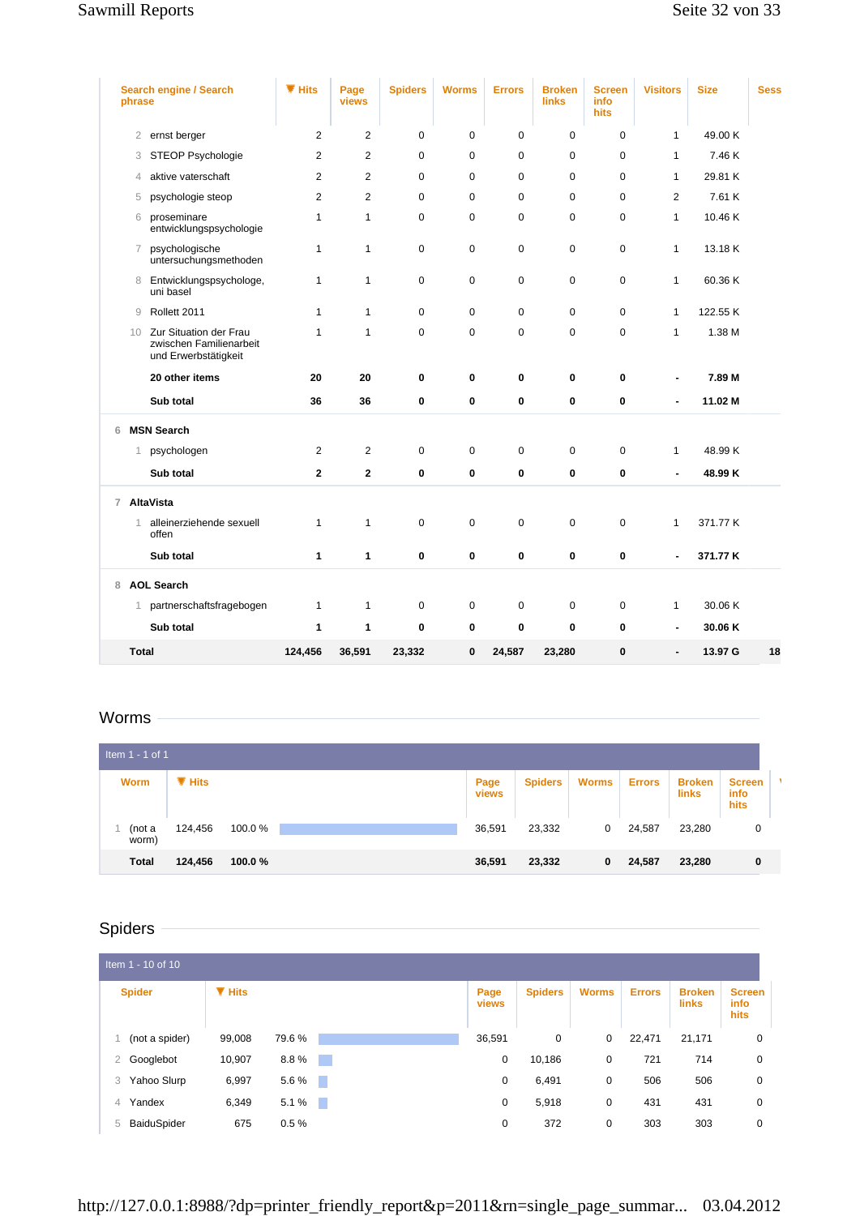| phrase         | Search engine / Search                                                    | $\P$ Hits      | Page<br>views  | <b>Spiders</b> | <b>Worms</b> | <b>Errors</b> | <b>Broken</b><br><b>links</b> | <b>Screen</b><br>info<br>hits | <b>Visitors</b> | <b>Size</b> | <b>Sess</b> |
|----------------|---------------------------------------------------------------------------|----------------|----------------|----------------|--------------|---------------|-------------------------------|-------------------------------|-----------------|-------------|-------------|
| 2              | ernst berger                                                              | 2              | 2              | 0              | 0            | 0             | 0                             | $\pmb{0}$                     | $\mathbf{1}$    | 49.00 K     |             |
| 3              | STEOP Psychologie                                                         | $\overline{2}$ | $\overline{2}$ | $\mathbf 0$    | $\mathbf 0$  | $\mathbf 0$   | $\mathbf 0$                   | $\mathbf 0$                   | $\mathbf{1}$    | 7.46 K      |             |
| 4              | aktive vaterschaft                                                        | $\overline{2}$ | 2              | 0              | 0            | 0             | $\mathbf 0$                   | 0                             | $\mathbf{1}$    | 29.81 K     |             |
| 5              | psychologie steop                                                         | $\overline{2}$ | 2              | $\mathbf 0$    | $\mathbf 0$  | 0             | $\mathbf 0$                   | $\mathbf 0$                   | $\mathbf{2}$    | 7.61 K      |             |
| 6              | proseminare<br>entwicklungspsychologie                                    | $\mathbf{1}$   | $\mathbf{1}$   | $\mathbf 0$    | $\mathbf 0$  | 0             | $\mathbf 0$                   | $\mathbf 0$                   | $\mathbf{1}$    | 10.46 K     |             |
| $\overline{7}$ | psychologische<br>untersuchungsmethoden                                   | $\mathbf{1}$   | $\mathbf{1}$   | 0              | $\mathbf 0$  | $\mathbf 0$   | $\mathbf 0$                   | 0                             | $\mathbf{1}$    | 13.18K      |             |
| 8              | Entwicklungspsychologe,<br>uni basel                                      | 1              | 1              | 0              | $\mathbf 0$  | 0             | $\mathbf 0$                   | 0                             | 1               | 60.36K      |             |
| 9              | Rollett 2011                                                              | $\mathbf{1}$   | 1              | 0              | $\mathbf 0$  | 0             | 0                             | 0                             | $\mathbf{1}$    | 122.55 K    |             |
| 10             | Zur Situation der Frau<br>zwischen Familienarbeit<br>und Erwerbstätigkeit | 1              | 1              | $\mathbf 0$    | $\mathbf 0$  | 0             | $\mathbf 0$                   | $\mathbf 0$                   | $\mathbf{1}$    | 1.38 M      |             |
|                | 20 other items                                                            | 20             | 20             | 0              | 0            | 0             | 0                             | 0                             | ٠               | 7.89 M      |             |
|                | Sub total                                                                 | 36             | 36             | $\mathbf 0$    | $\mathbf 0$  | 0             | $\mathbf 0$                   | 0                             | $\blacksquare$  | 11.02 M     |             |
| 6              | <b>MSN Search</b>                                                         |                |                |                |              |               |                               |                               |                 |             |             |
|                | psychologen<br>$\mathbf{1}$                                               | $\overline{2}$ | 2              | 0              | 0            | 0             | 0                             | 0                             | 1               | 48.99 K     |             |
|                | Sub total                                                                 | $\mathbf{2}$   | $\mathbf{2}$   | $\bf{0}$       | $\mathbf 0$  | 0             | 0                             | 0                             | $\blacksquare$  | 48.99 K     |             |
| $\overline{7}$ | AltaVista                                                                 |                |                |                |              |               |                               |                               |                 |             |             |
| 1              | alleinerziehende sexuell<br>offen                                         | 1              | 1              | 0              | $\mathbf 0$  | 0             | $\mathbf 0$                   | 0                             | $\mathbf{1}$    | 371.77 K    |             |
|                | Sub total                                                                 | 1              | 1              | 0              | $\bf{0}$     | 0             | 0                             | 0                             | $\blacksquare$  | 371.77 K    |             |
| 8              | <b>AOL Search</b>                                                         |                |                |                |              |               |                               |                               |                 |             |             |
| $\mathbf{1}$   | partnerschaftsfragebogen                                                  | 1              | 1              | 0              | $\pmb{0}$    | 0             | 0                             | 0                             | 1               | 30.06 K     |             |
|                | Sub total                                                                 | 1              | 1              | $\mathbf 0$    | $\mathbf 0$  | 0             | 0                             | 0                             | $\blacksquare$  | 30.06 K     |             |
|                |                                                                           |                |                |                |              |               |                               |                               |                 |             |             |

#### Worms

| Item $1 - 1$ of 1 |           |        |               |                |              |               |                        |                               |  |
|-------------------|-----------|--------|---------------|----------------|--------------|---------------|------------------------|-------------------------------|--|
| <b>Worm</b>       | $\P$ Hits |        | Page<br>views | <b>Spiders</b> | <b>Worms</b> | <b>Errors</b> | <b>Broken</b><br>links | <b>Screen</b><br>info<br>hits |  |
| (not a<br>worm)   | 124,456   | 100.0% | 36,591        | 23,332         | 0            | 24,587        | 23,280                 | 0                             |  |
| <b>Total</b>      | 124,456   | 100.0% | 36,591        | 23,332         | 0            | 24,587        | 23,280                 | 0                             |  |

# Spiders -

| Item 1 - 10 of 10 |               |                           |               |                |              |               |                        |                               |
|-------------------|---------------|---------------------------|---------------|----------------|--------------|---------------|------------------------|-------------------------------|
| <b>Spider</b>     | <b>V</b> Hits |                           | Page<br>views | <b>Spiders</b> | <b>Worms</b> | <b>Errors</b> | <b>Broken</b><br>links | <b>Screen</b><br>info<br>hits |
| (not a spider)    | 99,008        | 79.6%                     | 36,591        | 0              | 0            | 22,471        | 21,171                 | 0                             |
| Googlebot<br>2    | 10,907        | 8.8%<br><b>CONTRACTOR</b> | 0             | 10,186         | 0            | 721           | 714                    | 0                             |
| Yahoo Slurp<br>3  | 6,997         | $5.6\%$                   | 0             | 6,491          | 0            | 506           | 506                    | 0                             |
| Yandex<br>4       | 6,349         | 5.1%                      | 0             | 5,918          | 0            | 431           | 431                    | 0                             |
| BaiduSpider<br>5  | 675           | 0.5%                      | 0             | 372            | 0            | 303           | 303                    | 0                             |